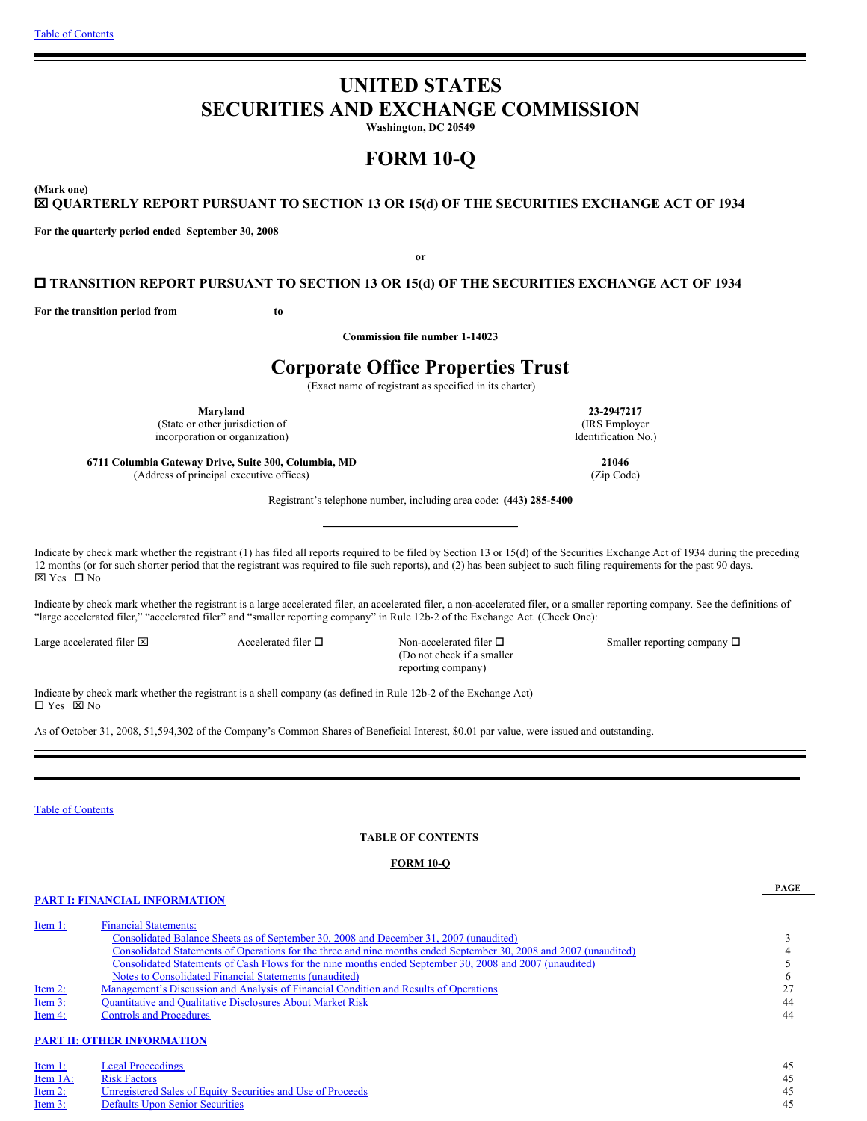# **UNITED STATES SECURITIES AND EXCHANGE COMMISSION**

**Washington, DC 20549**

# **FORM 10-Q**

**(Mark one)**

# x **QUARTERLY REPORT PURSUANT TO SECTION 13 OR 15(d) OF THE SECURITIES EXCHANGE ACT OF 1934**

**For the quarterly period ended September 30, 2008**

**or**

# o **TRANSITION REPORT PURSUANT TO SECTION 13 OR 15(d) OF THE SECURITIES EXCHANGE ACT OF 1934**

**For the transition period from to**

**Commission file number 1-14023**

# **Corporate Office Properties Trust**

(Exact name of registrant as specified in its charter)

**Maryland 23-2947217** (State or other jurisdiction of (IRS Employer incorporation or organization) Identification No.)

**6711 Columbia Gateway Drive, Suite 300, Columbia, MD 21046** (Address of principal executive offices) (Zip Code)

Registrant's telephone number, including area code: **(443) 285-5400**

Indicate by check mark whether the registrant (1) has filed all reports required to be filed by Section 13 or 15(d) of the Securities Exchange Act of 1934 during the preceding 12 months (or for such shorter period that the registrant was required to file such reports), and (2) has been subject to such filing requirements for the past 90 days.  $\boxtimes$  Yes  $\Box$  No

Indicate by check mark whether the registrant is a large accelerated filer, an accelerated filer, a non-accelerated filer, or a smaller reporting company. See the definitions of "large accelerated filer," "accelerated filer" and "smaller reporting company" in Rule 12b-2 of the Exchange Act. (Check One):

(Do not check if a smaller reporting company)

Large accelerated filer  $\boxtimes$  Accelerated filer  $\Box$  Non-accelerated filer  $\Box$  Smaller reporting company  $\Box$ 

**PAGE**

Indicate by check mark whether the registrant is a shell company (as defined in Rule 12b-2 of the Exchange Act)  $\Box$  Yes  $\boxtimes$  No

As of October 31, 2008, 51,594,302 of the Company's Common Shares of Beneficial Interest, \$0.01 par value, were issued and outstanding.

Table of [Contents](#page-0-0)

# **TABLE OF CONTENTS**

# <span id="page-0-0"></span>**FORM 10-Q**

# **PART I: FINANCIAL [INFORMATION](#page-1-0)** [Item](#page-1-1) 1: Financial [Statements:](#page-1-1) [Consolidated](#page-1-2) Balance Sheets as of September 30, 2008 and December 31, 2007 (unaudited) 3 [Consolidated](#page-1-3) Statements of Operations for the three and nine months ended September 30, 2008 and 2007 (unaudited) 4 [Consolidated](#page-2-0) Statements of Cash Flows for the nine months ended September 30, 2008 and 2007 (unaudited) 5 Notes to [Consolidated](#page-3-0) Financial Statements (unaudited) 6 [Item](#page-16-0) 2: [Management's](#page-16-0) Discussion and Analysis of Financial Condition and Results of Operations 27 [Item](#page-25-0) 3: [Quantitative](#page-25-0) and Qualitative Disclosures About Market Risk 44 **[Item](#page-26-0) 4:** Controls and [Procedures](#page-26-0) **6.6 Procedures** 6.6 Procedures **6.6 Procedures** 6.6 Procedures **6.6 Procedures** 6.6 Procedures **6.6 Procedures** 6.6 Procedures **6.6 Procedures** 6.6 Procedures **6.6 Procedures** 6.6 Procedu **PART II: OTHER [INFORMATION](#page-26-1)**

[Item](#page-26-2) 1: Legal [Proceedings](#page-26-2)[Item](#page-26-3) 1A: Risk [Factors](#page-26-3)[Item](#page-26-4) 2: [Unregistered](#page-26-4) Sales of Equity Securities and Use of Proceeds 45 [Item](#page-26-5) 3: Defaults Upon Senior [Securities](#page-26-5)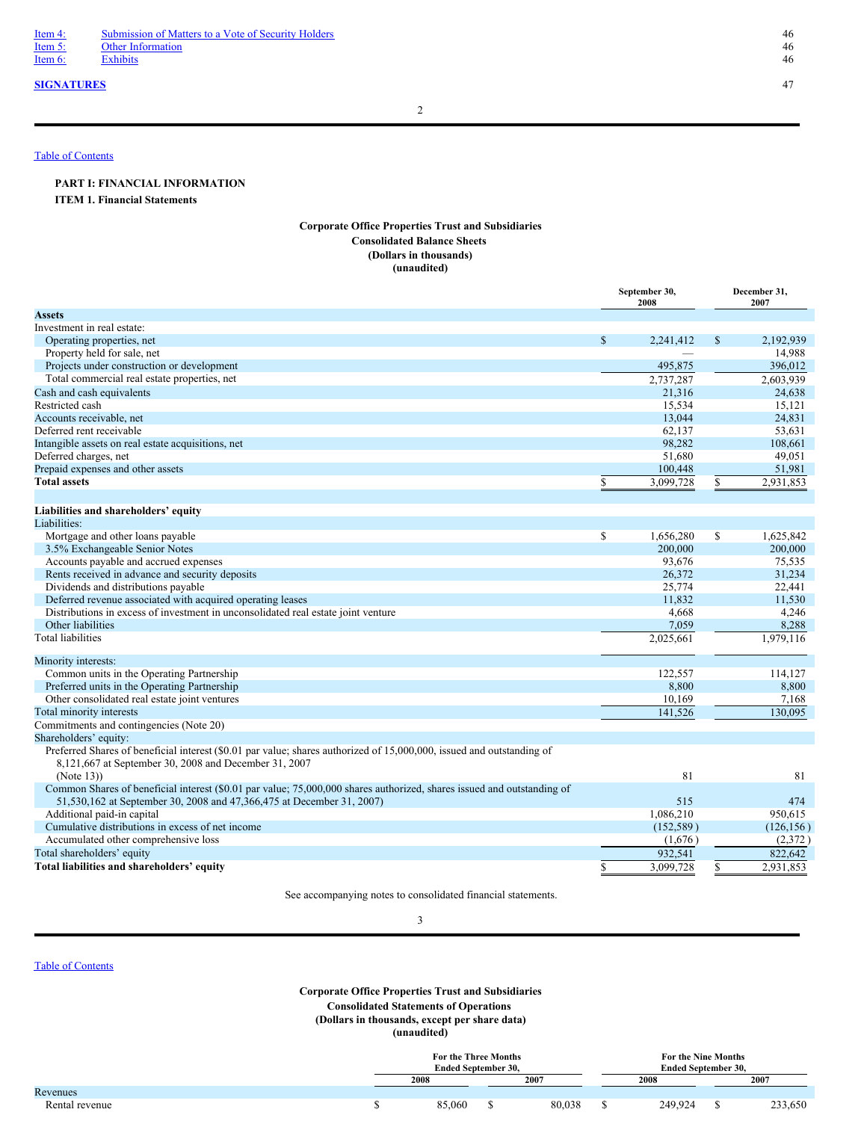2

# Table of [Contents](#page-0-0)

**PART I: FINANCIAL INFORMATION**

# <span id="page-1-1"></span><span id="page-1-0"></span>**Corporate Office Properties Trust and Subsidiaries**

**Consolidated Balance Sheets (Dollars in thousands)**

<span id="page-1-2"></span>**(unaudited)**

|                                                                                                                                                                                                 | September 30,<br>2008 |            | December 31,<br>2007 |            |
|-------------------------------------------------------------------------------------------------------------------------------------------------------------------------------------------------|-----------------------|------------|----------------------|------------|
| Assets                                                                                                                                                                                          |                       |            |                      |            |
| Investment in real estate:                                                                                                                                                                      |                       |            |                      |            |
| Operating properties, net                                                                                                                                                                       | $\mathbb{S}$          | 2,241,412  | $\mathbb{S}$         | 2,192,939  |
| Property held for sale, net                                                                                                                                                                     |                       |            |                      | 14,988     |
| Projects under construction or development                                                                                                                                                      |                       | 495,875    |                      | 396,012    |
| Total commercial real estate properties, net                                                                                                                                                    |                       | 2,737,287  |                      | 2,603,939  |
| Cash and cash equivalents                                                                                                                                                                       |                       | 21,316     |                      | 24,638     |
| Restricted cash                                                                                                                                                                                 |                       | 15.534     |                      | 15.121     |
| Accounts receivable, net                                                                                                                                                                        |                       | 13,044     |                      | 24,831     |
| Deferred rent receivable                                                                                                                                                                        |                       | 62,137     |                      | 53.631     |
| Intangible assets on real estate acquisitions, net                                                                                                                                              |                       | 98,282     |                      | 108,661    |
| Deferred charges, net                                                                                                                                                                           |                       | 51,680     |                      | 49.051     |
| Prepaid expenses and other assets                                                                                                                                                               |                       | 100,448    |                      | 51,981     |
| <b>Total assets</b>                                                                                                                                                                             | S                     | 3,099,728  | \$                   | 2,931,853  |
|                                                                                                                                                                                                 |                       |            |                      |            |
| Liabilities and shareholders' equity<br>Liabilities:                                                                                                                                            |                       |            |                      |            |
| Mortgage and other loans payable                                                                                                                                                                | \$                    | 1,656,280  | $\mathbb{S}$         | 1,625,842  |
| 3.5% Exchangeable Senior Notes                                                                                                                                                                  |                       | 200,000    |                      | 200,000    |
| Accounts payable and accrued expenses                                                                                                                                                           |                       | 93,676     |                      | 75,535     |
| Rents received in advance and security deposits                                                                                                                                                 |                       | 26,372     |                      | 31,234     |
| Dividends and distributions payable                                                                                                                                                             |                       | 25,774     |                      | 22,441     |
| Deferred revenue associated with acquired operating leases                                                                                                                                      |                       | 11,832     |                      | 11,530     |
| Distributions in excess of investment in unconsolidated real estate joint venture                                                                                                               |                       | 4.668      |                      | 4,246      |
| Other liabilities                                                                                                                                                                               |                       | 7,059      |                      | 8,288      |
| Total liabilities                                                                                                                                                                               |                       | 2,025,661  |                      | 1,979,116  |
|                                                                                                                                                                                                 |                       |            |                      |            |
| Minority interests:                                                                                                                                                                             |                       |            |                      |            |
| Common units in the Operating Partnership                                                                                                                                                       |                       | 122,557    |                      | 114,127    |
| Preferred units in the Operating Partnership                                                                                                                                                    |                       | 8,800      |                      | 8,800      |
| Other consolidated real estate joint ventures                                                                                                                                                   |                       | 10,169     |                      | 7,168      |
| Total minority interests                                                                                                                                                                        |                       | 141,526    |                      | 130,095    |
| Commitments and contingencies (Note 20)                                                                                                                                                         |                       |            |                      |            |
| Shareholders' equity:                                                                                                                                                                           |                       |            |                      |            |
| Preferred Shares of beneficial interest (\$0.01 par value; shares authorized of 15,000,000, issued and outstanding of<br>8,121,667 at September 30, 2008 and December 31, 2007                  |                       |            |                      |            |
| (Note 13)                                                                                                                                                                                       |                       | 81         |                      | 81         |
| Common Shares of beneficial interest (\$0.01 par value; 75,000,000 shares authorized, shares issued and outstanding of<br>51,530,162 at September 30, 2008 and 47,366,475 at December 31, 2007) |                       | 515        |                      | 474        |
| Additional paid-in capital                                                                                                                                                                      |                       | 1,086,210  |                      | 950.615    |
| Cumulative distributions in excess of net income                                                                                                                                                |                       | (152, 589) |                      | (126, 156) |
| Accumulated other comprehensive loss                                                                                                                                                            |                       | (1,676)    |                      | (2,372)    |
| Total shareholders' equity                                                                                                                                                                      |                       | 932.541    |                      | 822.642    |
| Total liabilities and shareholders' equity                                                                                                                                                      | \$                    | 3.099.728  | \$                   | 2,931,853  |
|                                                                                                                                                                                                 |                       |            |                      |            |

See accompanying notes to consolidated financial statements. 3

# Table of [Contents](#page-0-0)

# **Corporate Office Properties Trust and Subsidiaries**

<span id="page-1-3"></span>**Consolidated Statements of Operations**

**(Dollars in thousands, except per share data)**

|                | (unaudited)                                                                                      |  |        |  |         |   |         |
|----------------|--------------------------------------------------------------------------------------------------|--|--------|--|---------|---|---------|
|                | For the Three Months<br>For the Nine Months<br><b>Ended September 30,</b><br>Ended September 30, |  |        |  |         |   |         |
|                | 2008                                                                                             |  | 2007   |  | 2008    |   | 2007    |
| Revenues       |                                                                                                  |  |        |  |         |   |         |
| Rental revenue | 85,060                                                                                           |  | 80,038 |  | 249,924 | w | 233,650 |

**ITEM 1. Financial Statements**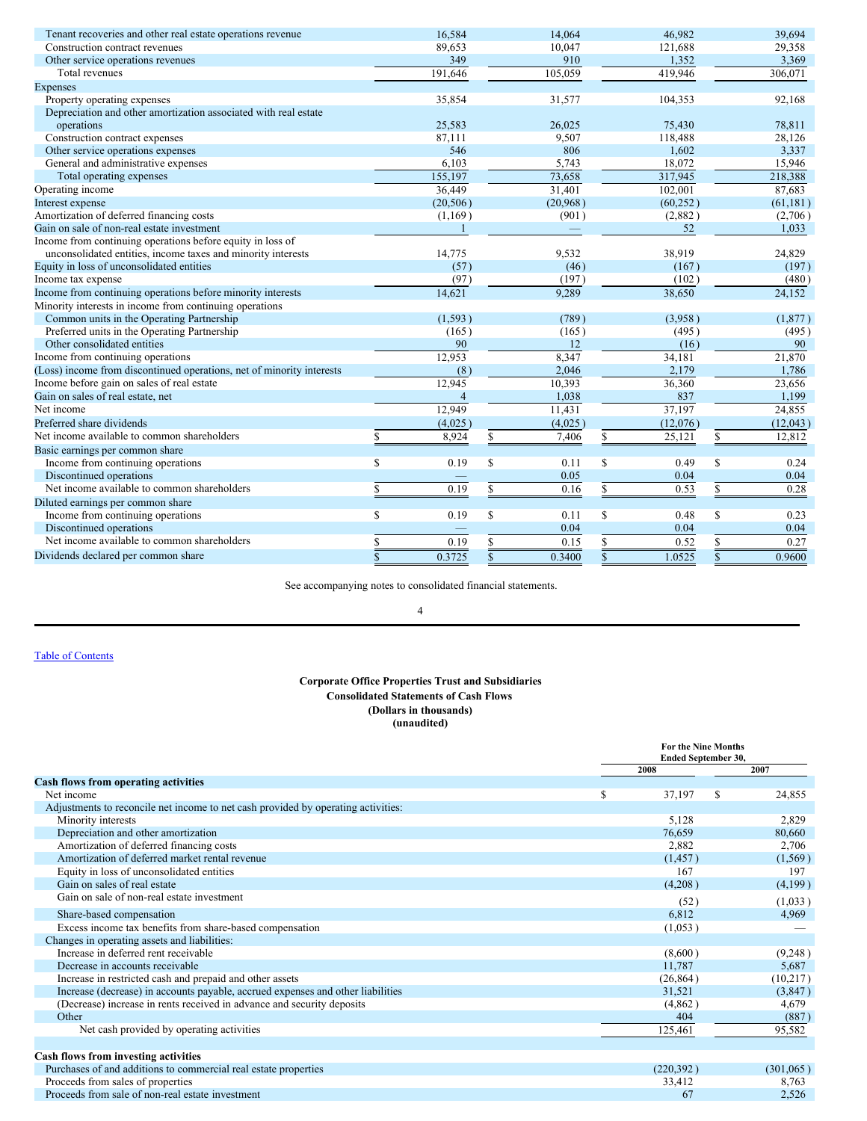| Tenant recoveries and other real estate operations revenue            | 16,584         |    | 14,064   |              | 46,982    | 39,694       |
|-----------------------------------------------------------------------|----------------|----|----------|--------------|-----------|--------------|
| Construction contract revenues                                        | 89,653         |    | 10,047   |              | 121,688   | 29,358       |
| Other service operations revenues                                     | 349            |    | 910      |              | 1,352     | 3,369        |
| Total revenues                                                        | 191,646        |    | 105,059  |              | 419,946   | 306,071      |
| <b>Expenses</b>                                                       |                |    |          |              |           |              |
| Property operating expenses                                           | 35,854         |    | 31,577   |              | 104,353   | 92,168       |
| Depreciation and other amortization associated with real estate       |                |    |          |              |           |              |
| operations                                                            | 25,583         |    | 26,025   |              | 75,430    | 78,811       |
| Construction contract expenses                                        | 87,111         |    | 9,507    |              | 118,488   | 28,126       |
| Other service operations expenses                                     | 546            |    | 806      |              | 1,602     | 3,337        |
| General and administrative expenses                                   | 6,103          |    | 5,743    |              | 18,072    | 15,946       |
| Total operating expenses                                              | 155,197        |    | 73,658   |              | 317,945   | 218,388      |
| Operating income                                                      | 36,449         |    | 31,401   |              | 102,001   | 87,683       |
| Interest expense                                                      | (20, 506)      |    | (20,968) |              | (60, 252) | (61, 181)    |
| Amortization of deferred financing costs                              | (1,169)        |    | (901)    |              | (2,882)   | (2,706)      |
| Gain on sale of non-real estate investment                            | -1             |    |          |              | 52        | 1,033        |
| Income from continuing operations before equity in loss of            |                |    |          |              |           |              |
| unconsolidated entities, income taxes and minority interests          | 14,775         |    | 9,532    |              | 38,919    | 24,829       |
| Equity in loss of unconsolidated entities                             | (57)           |    | (46)     |              | (167)     | (197)        |
| Income tax expense                                                    | (97)           |    | (197)    |              | (102)     | (480)        |
| Income from continuing operations before minority interests           | 14,621         |    | 9,289    |              | 38,650    | 24,152       |
| Minority interests in income from continuing operations               |                |    |          |              |           |              |
| Common units in the Operating Partnership                             | (1, 593)       |    | (789)    |              | (3,958)   | (1,877)      |
| Preferred units in the Operating Partnership                          | (165)          |    | (165)    |              | (495)     | (495)        |
| Other consolidated entities                                           | 90             |    | 12       |              | (16)      | 90           |
| Income from continuing operations                                     | 12,953         |    | 8,347    |              | 34,181    | 21,870       |
| (Loss) income from discontinued operations, net of minority interests | (8)            |    | 2,046    |              | 2,179     | 1,786        |
| Income before gain on sales of real estate                            | 12,945         |    | 10,393   |              | 36,360    | 23,656       |
| Gain on sales of real estate, net                                     | $\overline{4}$ |    | 1,038    |              | 837       | 1,199        |
| Net income                                                            | 12,949         |    | 11, 431  |              | 37,197    | 24,855       |
| Preferred share dividends                                             | (4,025)        |    | (4,025)  |              | (12,076)  | (12,043)     |
| Net income available to common shareholders                           | \$<br>8,924    | S  | 7,406    | $\mathbf S$  | 25,121    | \$<br>12,812 |
| Basic earnings per common share                                       |                |    |          |              |           |              |
| Income from continuing operations                                     | \$<br>0.19     | S  | 0.11     | $\mathbb{S}$ | 0.49      | \$<br>0.24   |
| Discontinued operations                                               |                |    | 0.05     |              | 0.04      | 0.04         |
| Net income available to common shareholders                           | 0.19           | \$ | 0.16     | \$           | 0.53      | \$<br>0.28   |
| Diluted earnings per common share                                     |                |    |          |              |           |              |
| Income from continuing operations                                     | \$<br>0.19     | S  | 0.11     | $\mathbb{S}$ | 0.48      | \$<br>0.23   |
| Discontinued operations                                               |                |    | 0.04     |              | 0.04      | 0.04         |
| Net income available to common shareholders                           | \$<br>0.19     | \$ | 0.15     | \$           | 0.52      | \$<br>0.27   |
| Dividends declared per common share                                   | \$<br>0.3725   | S  | 0.3400   | \$           | 1.0525    | \$<br>0.9600 |
|                                                                       |                |    |          |              |           |              |

See accompanying notes to consolidated financial statements.

<span id="page-2-0"></span>4

# Table of [Contents](#page-0-0)

# **Corporate Office Properties Trust and Subsidiaries Consolidated Statements of Cash Flows (Dollars in thousands) (unaudited)**

|                                                                                   |   | For the Nine Months<br>Ended September 30, |           |  |
|-----------------------------------------------------------------------------------|---|--------------------------------------------|-----------|--|
|                                                                                   |   | 2008                                       | 2007      |  |
| Cash flows from operating activities                                              |   |                                            |           |  |
| Net income                                                                        | S | S<br>37,197                                | 24,855    |  |
| Adjustments to reconcile net income to net cash provided by operating activities: |   |                                            |           |  |
| Minority interests                                                                |   | 5,128                                      | 2,829     |  |
| Depreciation and other amortization                                               |   | 76.659                                     | 80,660    |  |
| Amortization of deferred financing costs                                          |   | 2.882                                      | 2,706     |  |
| Amortization of deferred market rental revenue                                    |   | (1, 457)                                   | (1, 569)  |  |
| Equity in loss of unconsolidated entities                                         |   | 167                                        | 197       |  |
| Gain on sales of real estate                                                      |   | (4,208)                                    | (4,199)   |  |
| Gain on sale of non-real estate investment                                        |   | (52)                                       | (1,033)   |  |
| Share-based compensation                                                          |   | 6,812                                      | 4,969     |  |
| Excess income tax benefits from share-based compensation                          |   | (1,053)                                    |           |  |
| Changes in operating assets and liabilities:                                      |   |                                            |           |  |
| Increase in deferred rent receivable                                              |   | (8,600)                                    | (9,248)   |  |
| Decrease in accounts receivable                                                   |   | 11,787                                     | 5,687     |  |
| Increase in restricted cash and prepaid and other assets                          |   | (26, 864)                                  | (10,217)  |  |
| Increase (decrease) in accounts payable, accrued expenses and other liabilities   |   | 31,521                                     | (3,847)   |  |
| (Decrease) increase in rents received in advance and security deposits            |   | (4,862)                                    | 4,679     |  |
| Other                                                                             |   | 404                                        | (887)     |  |
| Net cash provided by operating activities                                         |   | 125,461                                    | 95,582    |  |
| Cash flows from investing activities                                              |   |                                            |           |  |
| Purchases of and additions to commercial real estate properties                   |   | (220, 392)                                 | (301,065) |  |
| Proceeds from sales of properties                                                 |   | 33,412                                     | 8,763     |  |
| Proceeds from sale of non-real estate investment                                  |   | 67                                         | 2,526     |  |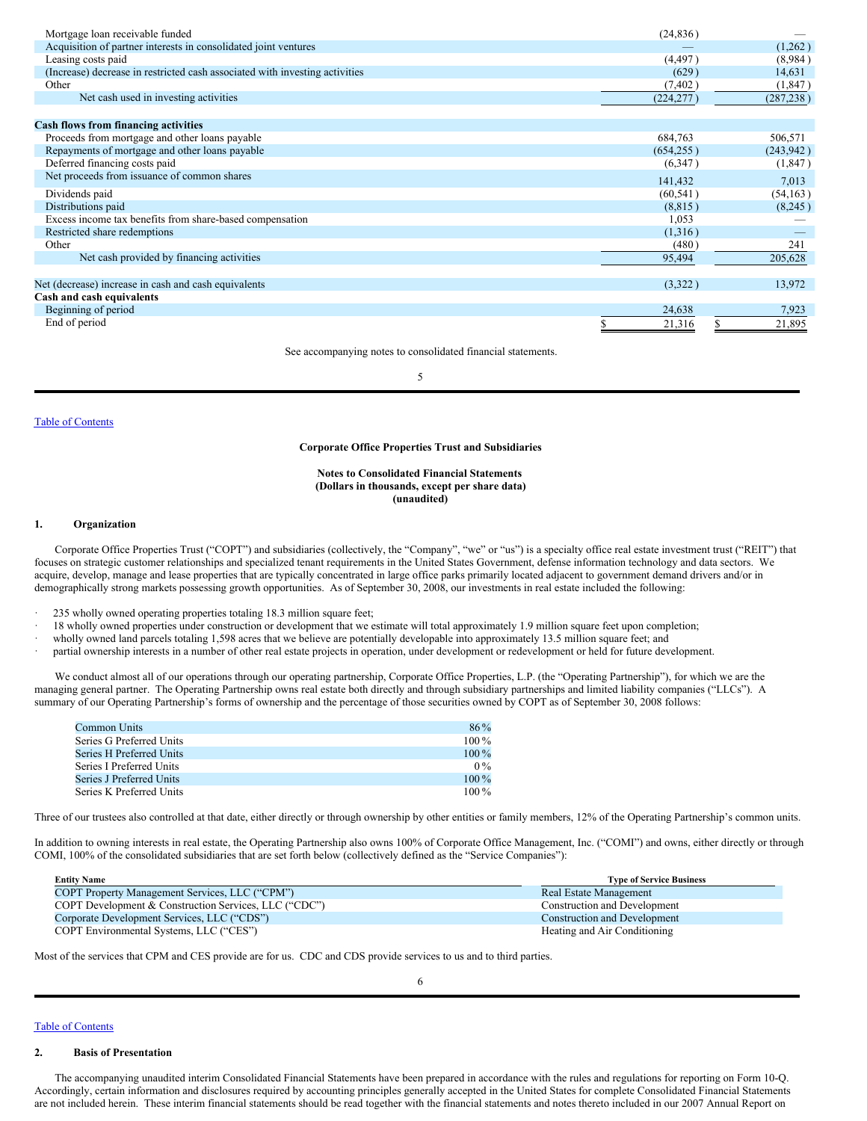| Mortgage loan receivable funded                                             | (24, 836)  |            |
|-----------------------------------------------------------------------------|------------|------------|
| Acquisition of partner interests in consolidated joint ventures             |            | (1,262)    |
| Leasing costs paid                                                          | (4, 497)   | (8,984)    |
| (Increase) decrease in restricted cash associated with investing activities | (629)      | 14,631     |
| Other                                                                       | (7, 402)   | (1,847)    |
| Net cash used in investing activities                                       | (224, 277) | (287, 238) |
| <b>Cash flows from financing activities</b>                                 |            |            |
| Proceeds from mortgage and other loans payable                              | 684,763    | 506,571    |
| Repayments of mortgage and other loans payable                              | (654, 255) | (243, 942) |
| Deferred financing costs paid                                               | (6,347)    | (1, 847)   |
| Net proceeds from issuance of common shares                                 | 141,432    | 7,013      |
| Dividends paid                                                              | (60, 541)  | (54, 163)  |
| Distributions paid                                                          | (8, 815)   | (8,245)    |
| Excess income tax benefits from share-based compensation                    | 1,053      |            |
| Restricted share redemptions                                                | (1,316)    |            |
| Other                                                                       | (480)      | 241        |
| Net cash provided by financing activities                                   | 95,494     | 205,628    |
| Net (decrease) increase in cash and cash equivalents                        | (3,322)    | 13,972     |
| Cash and cash equivalents                                                   |            |            |
| Beginning of period                                                         | 24,638     | 7,923      |
| End of period                                                               | 21,316     | 21,895     |

See accompanying notes to consolidated financial statements.

<span id="page-3-0"></span>5

Table of [Contents](#page-0-0)

**Corporate Office Properties Trust and Subsidiaries**

### **Notes to Consolidated Financial Statements (Dollars in thousands, except per share data) (unaudited)**

### **1. Organization**

Corporate Office Properties Trust ("COPT") and subsidiaries (collectively, the "Company", "we" or "us") is a specialty office real estate investment trust ("REIT") that focuses on strategic customer relationships and specialized tenant requirements in the United States Government, defense information technology and data sectors. We acquire, develop, manage and lease properties that are typically concentrated in large office parks primarily located adjacent to government demand drivers and/or in demographically strong markets possessing growth opportunities. As of September 30, 2008, our investments in real estate included the following:

- 235 wholly owned operating properties totaling 18.3 million square feet;
- · 18 wholly owned properties under construction or development that we estimate will total approximately 1.9 million square feet upon completion;
- · wholly owned land parcels totaling 1,598 acres that we believe are potentially developable into approximately 13.5 million square feet; and
- · partial ownership interests in a number of other real estate projects in operation, under development or redevelopment or held for future development.

We conduct almost all of our operations through our operating partnership, Corporate Office Properties, L.P. (the "Operating Partnership"), for which we are the managing general partner. The Operating Partnership owns real estate both directly and through subsidiary partnerships and limited liability companies ("LLCs"). A summary of our Operating Partnership's forms of ownership and the percentage of those securities owned by COPT as of September 30, 2008 follows:

| Common Units             | $86\%$  |
|--------------------------|---------|
| Series G Preferred Units | $100\%$ |
| Series H Preferred Units | $100\%$ |
| Series I Preferred Units | $0\%$   |
| Series J Preferred Units | $100\%$ |
| Series K Preferred Units | $100\%$ |

Three of our trustees also controlled at that date, either directly or through ownership by other entities or family members, 12% of the Operating Partnership's common units.

In addition to owning interests in real estate, the Operating Partnership also owns 100% of Corporate Office Management, Inc. ("COMI") and owns, either directly or through COMI, 100% of the consolidated subsidiaries that are set forth below (collectively defined as the "Service Companies"):

| <b>Entity Name</b>                                    | <b>Type of Service Business</b> |
|-------------------------------------------------------|---------------------------------|
| COPT Property Management Services, LLC ("CPM")        | Real Estate Management          |
| COPT Development & Construction Services, LLC ("CDC") | Construction and Development    |
| Corporate Development Services, LLC ("CDS")           | Construction and Development    |
| COPT Environmental Systems, LLC ("CES")               | Heating and Air Conditioning    |

Most of the services that CPM and CES provide are for us. CDC and CDS provide services to us and to third parties.

# Table of [Contents](#page-0-0)

## **2. Basis of Presentation**

The accompanying unaudited interim Consolidated Financial Statements have been prepared in accordance with the rules and regulations for reporting on Form 10-Q. Accordingly, certain information and disclosures required by accounting principles generally accepted in the United States for complete Consolidated Financial Statements are not included herein. These interim financial statements should be read together with the financial statements and notes thereto included in our 2007 Annual Report on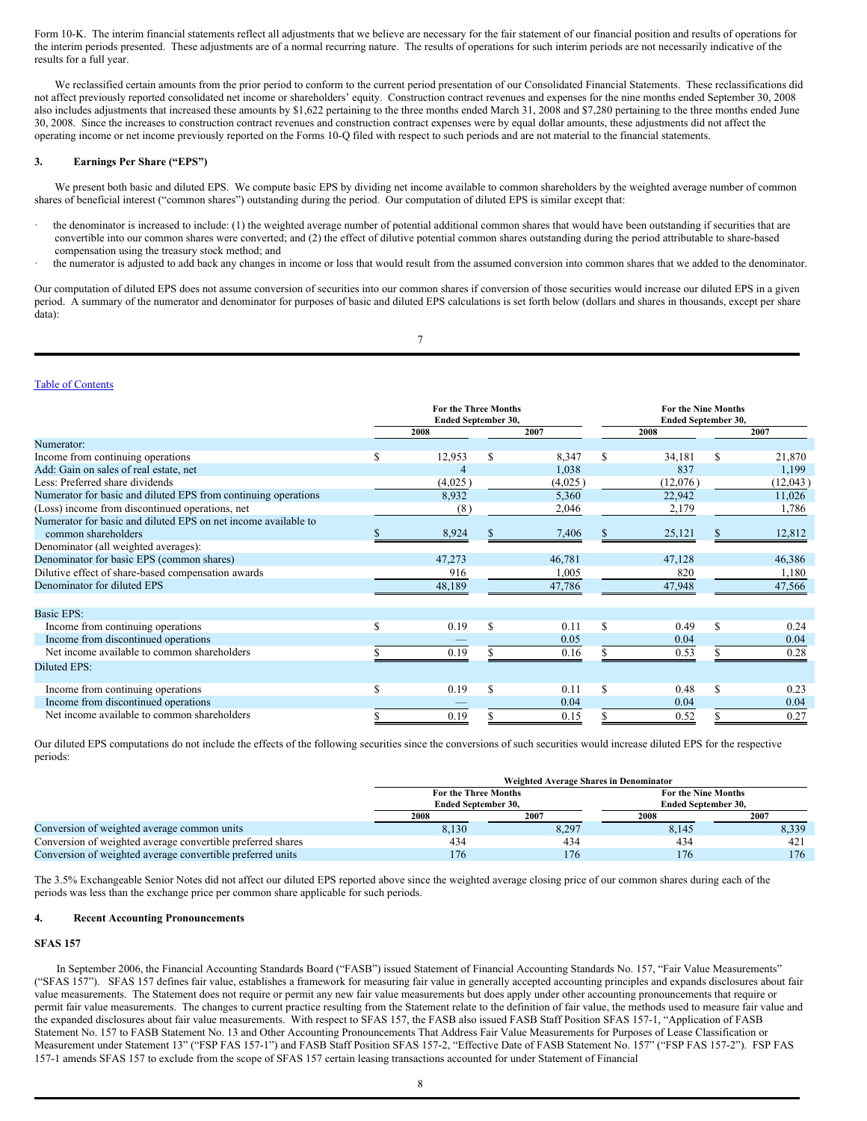Form 10-K. The interim financial statements reflect all adjustments that we believe are necessary for the fair statement of our financial position and results of operations for the interim periods presented. These adjustments are of a normal recurring nature. The results of operations for such interim periods are not necessarily indicative of the results for a full year.

We reclassified certain amounts from the prior period to conform to the current period presentation of our Consolidated Financial Statements. These reclassifications did not affect previously reported consolidated net income or shareholders' equity. Construction contract revenues and expenses for the nine months ended September 30, 2008 also includes adjustments that increased these amounts by \$1,622 pertaining to the three months ended March 31, 2008 and \$7,280 pertaining to the three months ended June 30, 2008. Since the increases to construction contract revenues and construction contract expenses were by equal dollar amounts, these adjustments did not affect the operating income or net income previously reported on the Forms 10-Q filed with respect to such periods and are not material to the financial statements.

### **3. Earnings Per Share ("EPS")**

We present both basic and diluted EPS. We compute basic EPS by dividing net income available to common shareholders by the weighted average number of common shares of beneficial interest ("common shares") outstanding during the period. Our computation of diluted EPS is similar except that:

- the denominator is increased to include: (1) the weighted average number of potential additional common shares that would have been outstanding if securities that are convertible into our common shares were converted; and (2) the effect of dilutive potential common shares outstanding during the period attributable to share-based compensation using the treasury stock method; and
- the numerator is adjusted to add back any changes in income or loss that would result from the assumed conversion into common shares that we added to the denominator.

Our computation of diluted EPS does not assume conversion of securities into our common shares if conversion of those securities would increase our diluted EPS in a given period. A summary of the numerator and denominator for purposes of basic and diluted EPS calculations is set forth below (dollars and shares in thousands, except per share data):

# Table of [Contents](#page-0-0)

|                                                                                       | <b>For the Three Months</b><br>Ended September 30, |         |   | <b>For the Nine Months</b><br>Ended September 30, |     |          |               |           |
|---------------------------------------------------------------------------------------|----------------------------------------------------|---------|---|---------------------------------------------------|-----|----------|---------------|-----------|
|                                                                                       |                                                    | 2008    |   | 2007                                              |     | 2008     |               | 2007      |
| Numerator:                                                                            |                                                    |         |   |                                                   |     |          |               |           |
| Income from continuing operations                                                     | S                                                  | 12,953  | S | 8,347                                             | \$. | 34,181   | S             | 21,870    |
| Add: Gain on sales of real estate, net                                                |                                                    | 4       |   | 1,038                                             |     | 837      |               | 1,199     |
| Less: Preferred share dividends                                                       |                                                    | (4,025) |   | (4,025)                                           |     | (12,076) |               | (12, 043) |
| Numerator for basic and diluted EPS from continuing operations                        |                                                    | 8,932   |   | 5,360                                             |     | 22,942   |               | 11,026    |
| (Loss) income from discontinued operations, net                                       |                                                    | (8)     |   | 2,046                                             |     | 2,179    |               | 1,786     |
| Numerator for basic and diluted EPS on net income available to<br>common shareholders |                                                    | 8,924   |   | 7,406                                             |     | 25,121   | \$            | 12,812    |
| Denominator (all weighted averages):                                                  |                                                    |         |   |                                                   |     |          |               |           |
| Denominator for basic EPS (common shares)                                             |                                                    | 47,273  |   | 46,781                                            |     | 47,128   |               | 46,386    |
| Dilutive effect of share-based compensation awards                                    |                                                    | 916     |   | 1,005                                             |     | 820      |               | 1,180     |
| Denominator for diluted EPS                                                           |                                                    | 48,189  |   | 47,786                                            |     | 47,948   |               | 47,566    |
| <b>Basic EPS:</b>                                                                     |                                                    |         |   |                                                   |     |          |               |           |
| Income from continuing operations                                                     | S                                                  | 0.19    | S | 0.11                                              | S   | 0.49     | <sup>\$</sup> | 0.24      |
| Income from discontinued operations                                                   |                                                    |         |   | 0.05                                              |     | 0.04     |               | 0.04      |
| Net income available to common shareholders                                           |                                                    | 0.19    |   | 0.16                                              |     | 0.53     |               | 0.28      |
| Diluted EPS:                                                                          |                                                    |         |   |                                                   |     |          |               |           |
| Income from continuing operations                                                     | S                                                  | 0.19    | S | 0.11                                              | \$  | 0.48     | S             | 0.23      |
| Income from discontinued operations                                                   |                                                    |         |   | 0.04                                              |     | 0.04     |               | 0.04      |
| Net income available to common shareholders                                           |                                                    | 0.19    |   | 0.15                                              |     | 0.52     | S             | 0.27      |

Our diluted EPS computations do not include the effects of the following securities since the conversions of such securities would increase diluted EPS for the respective periods:

|                                                             | Weighted Average Shares in Denominator |       |                                                   |       |  |  |  |
|-------------------------------------------------------------|----------------------------------------|-------|---------------------------------------------------|-------|--|--|--|
|                                                             | For the Three Months                   |       | For the Nine Months<br><b>Ended September 30.</b> |       |  |  |  |
|                                                             | <b>Ended September 30.</b>             |       |                                                   |       |  |  |  |
|                                                             | 2008                                   | 2007  | 2008                                              | 2007  |  |  |  |
| Conversion of weighted average common units                 | 8,130                                  | 8,297 | 8,145                                             | 8,339 |  |  |  |
| Conversion of weighted average convertible preferred shares | 434                                    | 434   | 434                                               | 421   |  |  |  |
| Conversion of weighted average convertible preferred units  | 176                                    | 176   | 176                                               | 176   |  |  |  |

The 3.5% Exchangeable Senior Notes did not affect our diluted EPS reported above since the weighted average closing price of our common shares during each of the periods was less than the exchange price per common share applicable for such periods.

### **4. Recent Accounting Pronouncements**

### **SFAS 157**

In September 2006, the Financial Accounting Standards Board ("FASB") issued Statement of Financial Accounting Standards No. 157, "Fair Value Measurements" ("SFAS 157"). SFAS 157 defines fair value, establishes a framework for measuring fair value in generally accepted accounting principles and expands disclosures about fair value measurements. The Statement does not require or permit any new fair value measurements but does apply under other accounting pronouncements that require or permit fair value measurements. The changes to current practice resulting from the Statement relate to the definition of fair value, the methods used to measure fair value and the expanded disclosures about fair value measurements. With respect to SFAS 157, the FASB also issued FASB Staff Position SFAS 157-1, "Application of FASB Statement No. 157 to FASB Statement No. 13 and Other Accounting Pronouncements That Address Fair Value Measurements for Purposes of Lease Classification or Measurement under Statement 13" ("FSP FAS 157-1") and FASB Staff Position SFAS 157-2, "Effective Date of FASB Statement No. 157" ("FSP FAS 157-2"). FSP FAS 157-1 amends SFAS 157 to exclude from the scope of SFAS 157 certain leasing transactions accounted for under Statement of Financial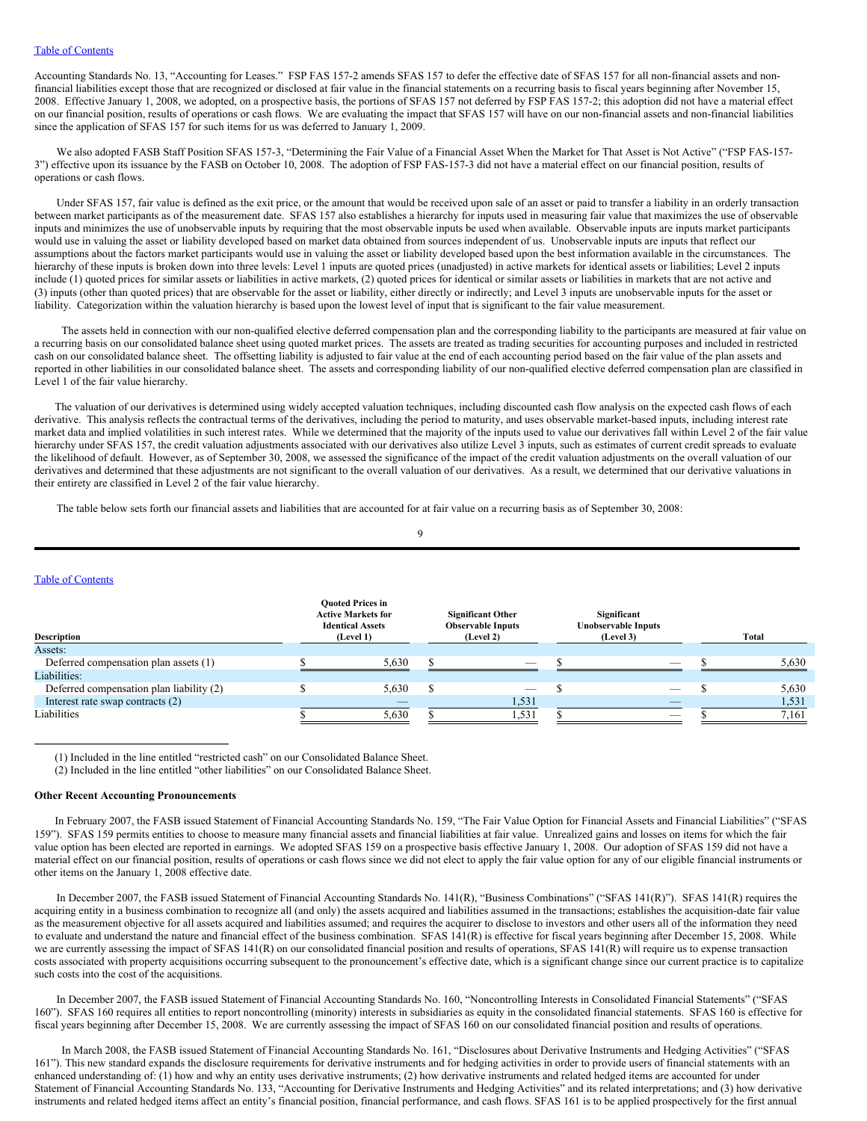Accounting Standards No. 13, "Accounting for Leases." FSP FAS 157-2 amends SFAS 157 to defer the effective date of SFAS 157 for all non-financial assets and nonfinancial liabilities except those that are recognized or disclosed at fair value in the financial statements on a recurring basis to fiscal years beginning after November 15, 2008. Effective January 1, 2008, we adopted, on a prospective basis, the portions of SFAS 157 not deferred by FSP FAS 157-2; this adoption did not have a material effect on our financial position, results of operations or cash flows. We are evaluating the impact that SFAS 157 will have on our non-financial assets and non-financial liabilities since the application of SFAS 157 for such items for us was deferred to January 1, 2009.

We also adopted FASB Staff Position SFAS 157-3, "Determining the Fair Value of a Financial Asset When the Market for That Asset is Not Active" ("FSP FAS-157- 3") effective upon its issuance by the FASB on October 10, 2008. The adoption of FSP FAS-157-3 did not have a material effect on our financial position, results of operations or cash flows.

Under SFAS 157, fair value is defined as the exit price, or the amount that would be received upon sale of an asset or paid to transfer a liability in an orderly transaction between market participants as of the measurement date. SFAS 157 also establishes a hierarchy for inputs used in measuring fair value that maximizes the use of observable inputs and minimizes the use of unobservable inputs by requiring that the most observable inputs be used when available. Observable inputs are inputs market participants would use in valuing the asset or liability developed based on market data obtained from sources independent of us. Unobservable inputs are inputs that reflect our assumptions about the factors market participants would use in valuing the asset or liability developed based upon the best information available in the circumstances. The hierarchy of these inputs is broken down into three levels: Level 1 inputs are quoted prices (unadjusted) in active markets for identical assets or liabilities; Level 2 inputs include (1) quoted prices for similar assets or liabilities in active markets, (2) quoted prices for identical or similar assets or liabilities in markets that are not active and (3) inputs (other than quoted prices) that are observable for the asset or liability, either directly or indirectly; and Level 3 inputs are unobservable inputs for the asset or liability. Categorization within the valuation hierarchy is based upon the lowest level of input that is significant to the fair value measurement.

The assets held in connection with our non-qualified elective deferred compensation plan and the corresponding liability to the participants are measured at fair value on a recurring basis on our consolidated balance sheet using quoted market prices. The assets are treated as trading securities for accounting purposes and included in restricted cash on our consolidated balance sheet. The offsetting liability is adjusted to fair value at the end of each accounting period based on the fair value of the plan assets and reported in other liabilities in our consolidated balance sheet. The assets and corresponding liability of our non-qualified elective deferred compensation plan are classified in Level 1 of the fair value hierarchy.

The valuation of our derivatives is determined using widely accepted valuation techniques, including discounted cash flow analysis on the expected cash flows of each derivative. This analysis reflects the contractual terms of the derivatives, including the period to maturity, and uses observable market-based inputs, including interest rate market data and implied volatilities in such interest rates. While we determined that the majority of the inputs used to value our derivatives fall within Level 2 of the fair value hierarchy under SFAS 157, the credit valuation adjustments associated with our derivatives also utilize Level 3 inputs, such as estimates of current credit spreads to evaluate the likelihood of default. However, as of September 30, 2008, we assessed the significance of the impact of the credit valuation adjustments on the overall valuation of our derivatives and determined that these adjustments are not significant to the overall valuation of our derivatives. As a result, we determined that our derivative valuations in their entirety are classified in Level 2 of the fair value hierarchy.

The table below sets forth our financial assets and liabilities that are accounted for at fair value on a recurring basis as of September 30, 2008:

# 9

### Table of [Contents](#page-0-0)

|       | <b>Significant Other</b><br><b>Observable Inputs</b>              |                         | Significant<br><b>Unobservable Inputs</b> |    |           | Total |
|-------|-------------------------------------------------------------------|-------------------------|-------------------------------------------|----|-----------|-------|
|       |                                                                   |                         |                                           |    |           |       |
|       |                                                                   |                         |                                           |    |           |       |
| 5,630 |                                                                   | _                       |                                           | __ |           | 5,630 |
|       |                                                                   |                         |                                           |    |           |       |
| 5,630 |                                                                   | _                       |                                           |    |           | 5,630 |
| __    |                                                                   | 1,531                   |                                           |    |           | 1,531 |
| 5.630 |                                                                   | 1,531                   |                                           |    |           | 7.161 |
|       | <b>Active Markets for</b><br><b>Identical Assets</b><br>(Level 1) | <b>Ouoted Prices in</b> | (Level 2)                                 |    | (Level 3) |       |

(1) Included in the line entitled "restricted cash" on our Consolidated Balance Sheet.

(2) Included in the line entitled "other liabilities" on our Consolidated Balance Sheet.

### **Other Recent Accounting Pronouncements**

In February 2007, the FASB issued Statement of Financial Accounting Standards No. 159, "The Fair Value Option for Financial Assets and Financial Liabilities" ("SFAS 159"). SFAS 159 permits entities to choose to measure many financial assets and financial liabilities at fair value. Unrealized gains and losses on items for which the fair value option has been elected are reported in earnings. We adopted SFAS 159 on a prospective basis effective January 1, 2008. Our adoption of SFAS 159 did not have a material effect on our financial position, results of operations or cash flows since we did not elect to apply the fair value option for any of our eligible financial instruments or other items on the January 1, 2008 effective date.

In December 2007, the FASB issued Statement of Financial Accounting Standards No. 141(R), "Business Combinations" ("SFAS 141(R)"). SFAS 141(R) requires the acquiring entity in a business combination to recognize all (and only) the assets acquired and liabilities assumed in the transactions; establishes the acquisition-date fair value as the measurement objective for all assets acquired and liabilities assumed; and requires the acquirer to disclose to investors and other users all of the information they need to evaluate and understand the nature and financial effect of the business combination. SFAS 141(R) is effective for fiscal years beginning after December 15, 2008. While we are currently assessing the impact of SFAS 141(R) on our consolidated financial position and results of operations, SFAS 141(R) will require us to expense transaction costs associated with property acquisitions occurring subsequent to the pronouncement's effective date, which is a significant change since our current practice is to capitalize such costs into the cost of the acquisitions.

In December 2007, the FASB issued Statement of Financial Accounting Standards No. 160, "Noncontrolling Interests in Consolidated Financial Statements" ("SFAS 160"). SFAS 160 requires all entities to report noncontrolling (minority) interests in subsidiaries as equity in the consolidated financial statements. SFAS 160 is effective for fiscal years beginning after December 15, 2008. We are currently assessing the impact of SFAS 160 on our consolidated financial position and results of operations.

In March 2008, the FASB issued Statement of Financial Accounting Standards No. 161, "Disclosures about Derivative Instruments and Hedging Activities" ("SFAS 161"). This new standard expands the disclosure requirements for derivative instruments and for hedging activities in order to provide users of financial statements with an enhanced understanding of: (1) how and why an entity uses derivative instruments; (2) how derivative instruments and related hedged items are accounted for under Statement of Financial Accounting Standards No. 133, "Accounting for Derivative Instruments and Hedging Activities" and its related interpretations; and (3) how derivative instruments and related hedged items affect an entity's financial position, financial performance, and cash flows. SFAS 161 is to be applied prospectively for the first annual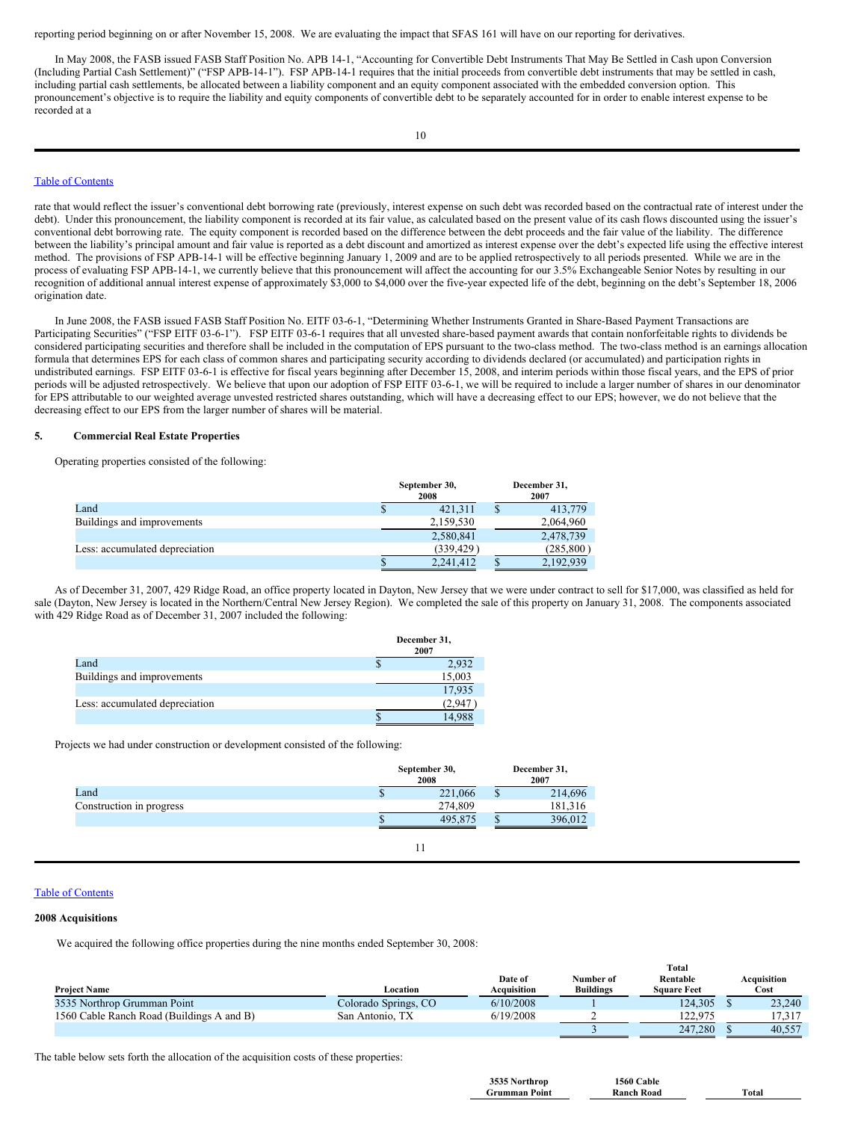reporting period beginning on or after November 15, 2008. We are evaluating the impact that SFAS 161 will have on our reporting for derivatives.

In May 2008, the FASB issued FASB Staff Position No. APB 14-1, "Accounting for Convertible Debt Instruments That May Be Settled in Cash upon Conversion (Including Partial Cash Settlement)" ("FSP APB-14-1"). FSP APB-14-1 requires that the initial proceeds from convertible debt instruments that may be settled in cash, including partial cash settlements, be allocated between a liability component and an equity component associated with the embedded conversion option. This pronouncement's objective is to require the liability and equity components of convertible debt to be separately accounted for in order to enable interest expense to be recorded at a

### Table of [Contents](#page-0-0)

rate that would reflect the issuer's conventional debt borrowing rate (previously, interest expense on such debt was recorded based on the contractual rate of interest under the debt). Under this pronouncement, the liability component is recorded at its fair value, as calculated based on the present value of its cash flows discounted using the issuer's conventional debt borrowing rate. The equity component is recorded based on the difference between the debt proceeds and the fair value of the liability. The difference between the liability's principal amount and fair value is reported as a debt discount and amortized as interest expense over the debt's expected life using the effective interest method. The provisions of FSP APB-14-1 will be effective beginning January 1, 2009 and are to be applied retrospectively to all periods presented. While we are in the process of evaluating FSP APB-14-1, we currently believe that this pronouncement will affect the accounting for our 3.5% Exchangeable Senior Notes by resulting in our recognition of additional annual interest expense of approximately \$3,000 to \$4,000 over the five-year expected life of the debt, beginning on the debt's September 18, 2006 origination date.

In June 2008, the FASB issued FASB Staff Position No. EITF 03-6-1, "Determining Whether Instruments Granted in Share-Based Payment Transactions are Participating Securities" ("FSP EITF 03-6-1"). FSP EITF 03-6-1 requires that all unvested share-based payment awards that contain nonforfeitable rights to dividends be considered participating securities and therefore shall be included in the computation of EPS pursuant to the two-class method. The two-class method is an earnings allocation formula that determines EPS for each class of common shares and participating security according to dividends declared (or accumulated) and participation rights in undistributed earnings. FSP EITF 03-6-1 is effective for fiscal years beginning after December 15, 2008, and interim periods within those fiscal years, and the EPS of prior periods will be adjusted retrospectively. We believe that upon our adoption of FSP EITF 03-6-1, we will be required to include a larger number of shares in our denominator for EPS attributable to our weighted average unvested restricted shares outstanding, which will have a decreasing effect to our EPS; however, we do not believe that the decreasing effect to our EPS from the larger number of shares will be material.

### **5. Commercial Real Estate Properties**

Operating properties consisted of the following:

|                                |   | September 30,<br>2008 | December 31,<br>2007 |  |  |
|--------------------------------|---|-----------------------|----------------------|--|--|
| Land                           | Φ | 421.311               | 413,779              |  |  |
| Buildings and improvements     |   | 2,159,530             | 2,064,960            |  |  |
|                                |   | 2,580,841             | 2,478,739            |  |  |
| Less: accumulated depreciation |   | (339, 429)            | (285, 800)           |  |  |
|                                | Ф | 2,241,412             | 2,192,939            |  |  |

As of December 31, 2007, 429 Ridge Road, an office property located in Dayton, New Jersey that we were under contract to sell for \$17,000, was classified as held for sale (Dayton, New Jersey is located in the Northern/Central New Jersey Region). We completed the sale of this property on January 31, 2008. The components associated with 429 Ridge Road as of December 31, 2007 included the following:

|                                | December 31,<br>2007 |  |  |  |
|--------------------------------|----------------------|--|--|--|
| Land                           | 2.932                |  |  |  |
| Buildings and improvements     | 15,003               |  |  |  |
|                                | 17,935               |  |  |  |
| Less: accumulated depreciation | $^{\prime}2.94$      |  |  |  |
|                                |                      |  |  |  |

Projects we had under construction or development consisted of the following:

|                          |    | September 30,<br>2008 |    |         |  |  |
|--------------------------|----|-----------------------|----|---------|--|--|
| Land                     | ۰D | 221,066               | Φ  | 214,696 |  |  |
| Construction in progress |    | 274,809               |    | 181,316 |  |  |
|                          |    | 495.875               | пD | 396,012 |  |  |
|                          |    |                       |    |         |  |  |

# Table of [Contents](#page-0-0)

# **2008 Acquisitions**

We acquired the following office properties during the nine months ended September 30, 2008:

|                                           |                      |             |                  | Total              |             |  |  |
|-------------------------------------------|----------------------|-------------|------------------|--------------------|-------------|--|--|
|                                           |                      | Date of     | Number of        | Rentable           | Acquisition |  |  |
| <b>Project Name</b>                       | Location             | Acquisition | <b>Buildings</b> | <b>Square Feet</b> | Cost        |  |  |
| 3535 Northrop Grumman Point               | Colorado Springs, CO | 6/10/2008   |                  | 124.305            | 23,240      |  |  |
| 1560 Cable Ranch Road (Buildings A and B) | San Antonio, TX      | 6/19/2008   |                  | 122.975            | 17.317      |  |  |
|                                           |                      |             |                  | 247.280            | 40.557      |  |  |

The table below sets forth the allocation of the acquisition costs of these properties:

| 3535 Northrop        | 1560 Cable        |       |
|----------------------|-------------------|-------|
| <b>Grumman Point</b> | <b>Ranch Road</b> | Total |
|                      |                   |       |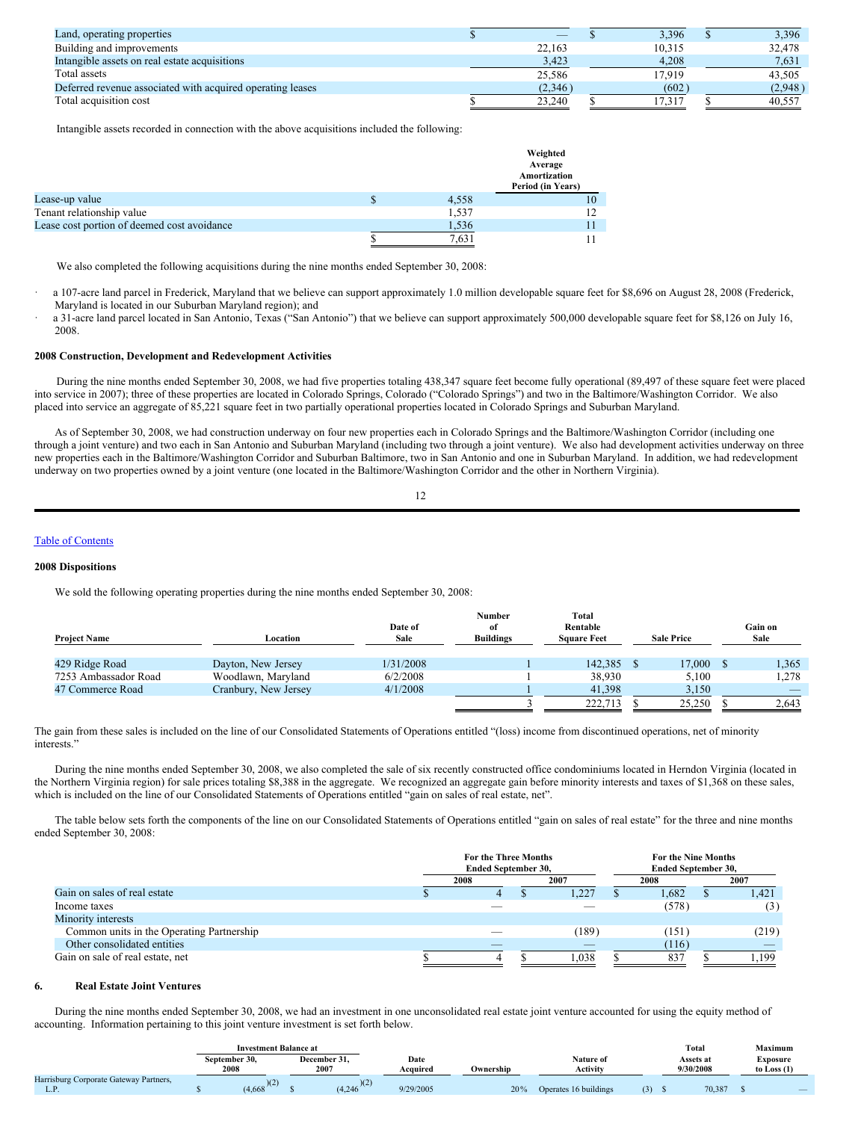| Land, operating properties                                 | _       | 3.396  | 3,396   |
|------------------------------------------------------------|---------|--------|---------|
| Building and improvements                                  | 22,163  | 10.315 | 32,478  |
| Intangible assets on real estate acquisitions              | 3.423   | 4.208  | 7.631   |
| Total assets                                               | 25,586  | 17.919 | 43.505  |
| Deferred revenue associated with acquired operating leases | (2,346) | (602)  | (2,948) |
| Total acquisition cost                                     | 23.240  | 7.31   | 40.557  |

Intangible assets recorded in connection with the above acquisitions included the following:

|                                             |    |       | Weighted          |
|---------------------------------------------|----|-------|-------------------|
|                                             |    |       | Average           |
|                                             |    |       | Amortization      |
|                                             |    |       | Period (in Years) |
| Lease-up value                              | Ъ. | 4,558 | 10                |
| Tenant relationship value                   |    | 1.537 |                   |
| Lease cost portion of deemed cost avoidance |    | 1,536 |                   |
|                                             |    | 7,631 |                   |

We also completed the following acquisitions during the nine months ended September 30, 2008:

· a 107-acre land parcel in Frederick, Maryland that we believe can support approximately 1.0 million developable square feet for \$8,696 on August 28, 2008 (Frederick, Maryland is located in our Suburban Maryland region); and

· a 31-acre land parcel located in San Antonio, Texas ("San Antonio") that we believe can support approximately 500,000 developable square feet for \$8,126 on July 16, 2008.

# **2008 Construction, Development and Redevelopment Activities**

During the nine months ended September 30, 2008, we had five properties totaling 438,347 square feet become fully operational (89,497 of these square feet were placed into service in 2007); three of these properties are located in Colorado Springs, Colorado ("Colorado Springs") and two in the Baltimore/Washington Corridor. We also placed into service an aggregate of 85,221 square feet in two partially operational properties located in Colorado Springs and Suburban Maryland.

As of September 30, 2008, we had construction underway on four new properties each in Colorado Springs and the Baltimore/Washington Corridor (including one through a joint venture) and two each in San Antonio and Suburban Maryland (including two through a joint venture). We also had development activities underway on three new properties each in the Baltimore/Washington Corridor and Suburban Baltimore, two in San Antonio and one in Suburban Maryland. In addition, we had redevelopment underway on two properties owned by a joint venture (one located in the Baltimore/Washington Corridor and the other in Northern Virginia).

12

### Table of [Contents](#page-0-0)

# **2008 Dispositions**

We sold the following operating properties during the nine months ended September 30, 2008:

| <b>Project Name</b>  | Location             | Date of<br>Sale | Number<br>of<br><b>Buildings</b> | Total<br>Rentable<br><b>Square Feet</b> | <b>Sale Price</b> | Gain on<br>Sale |
|----------------------|----------------------|-----------------|----------------------------------|-----------------------------------------|-------------------|-----------------|
| 429 Ridge Road       | Dayton, New Jersey   | 1/31/2008       |                                  | 142.385 \$                              | 17,000            | 1,365           |
| 7253 Ambassador Road | Woodlawn, Maryland   | 6/2/2008        |                                  | 38.930                                  | 5.100             | 1,278           |
| 47 Commerce Road     | Cranbury, New Jersey | 4/1/2008        |                                  | 41,398                                  | 3.150             |                 |
|                      |                      |                 |                                  | 222,713                                 | 25,250            | 2.643           |

The gain from these sales is included on the line of our Consolidated Statements of Operations entitled "(loss) income from discontinued operations, net of minority interests."

During the nine months ended September 30, 2008, we also completed the sale of six recently constructed office condominiums located in Herndon Virginia (located in the Northern Virginia region) for sale prices totaling \$8,388 in the aggregate. We recognized an aggregate gain before minority interests and taxes of \$1,368 on these sales, which is included on the line of our Consolidated Statements of Operations entitled "gain on sales of real estate, net".

The table below sets forth the components of the line on our Consolidated Statements of Operations entitled "gain on sales of real estate" for the three and nine months ended September 30, 2008:

|                                           | For the Three Months<br><b>Ended September 30,</b> |  |       |  | For the Nine Months<br>Ended September 30, |  |       |  |
|-------------------------------------------|----------------------------------------------------|--|-------|--|--------------------------------------------|--|-------|--|
|                                           | 2008                                               |  | 2007  |  | 2008                                       |  | 2007  |  |
| Gain on sales of real estate              | 4                                                  |  | 1,227 |  | 1,682                                      |  | 1,421 |  |
| Income taxes                              |                                                    |  |       |  | (578)                                      |  | (3)   |  |
| Minority interests                        |                                                    |  |       |  |                                            |  |       |  |
| Common units in the Operating Partnership | _                                                  |  | (189) |  | (151)                                      |  | (219) |  |
| Other consolidated entities               | __                                                 |  |       |  | (116)                                      |  |       |  |
| Gain on sale of real estate, net          |                                                    |  | 1.038 |  | 837                                        |  | .199  |  |

### **6. Real Estate Joint Ventures**

During the nine months ended September 30, 2008, we had an investment in one unconsolidated real estate joint venture accounted for using the equity method of accounting. Information pertaining to this joint venture investment is set forth below.

|                                                     |                          | <b>Investment Balance at</b> |              |                  |           |                       |     | Total                  | <b>Maximum</b>            |
|-----------------------------------------------------|--------------------------|------------------------------|--------------|------------------|-----------|-----------------------|-----|------------------------|---------------------------|
|                                                     | September 30.<br>2008    | 2007                         | December 31. | Date<br>Acquired | Ownership | Nature of<br>Activity |     | Assets at<br>9/30/2008 | Exposure<br>to Loss $(1)$ |
| Harrisburg Corporate Gateway Partners,<br>D<br>L.I. | $(4,668)$ <sup>(2)</sup> |                              | (4,246)(2)   | 9/29/2005        | 20%       | Operates 16 buildings | (3) | 70,387                 |                           |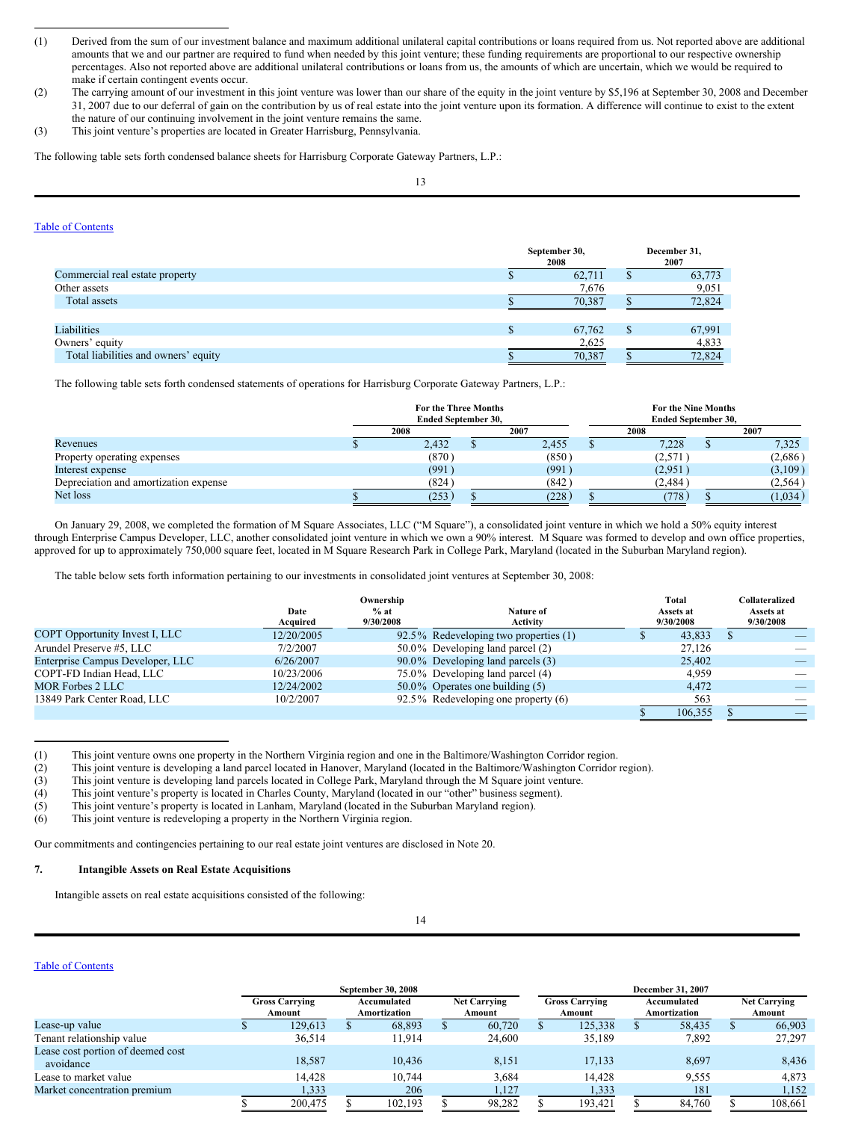- (2) The carrying amount of our investment in this joint venture was lower than our share of the equity in the joint venture by \$5,196 at September 30, 2008 and December 31, 2007 due to our deferral of gain on the contribution by us of real estate into the joint venture upon its formation. A difference will continue to exist to the extent the nature of our continuing involvement in the joint venture remains the same.
- (3) This joint venture's properties are located in Greater Harrisburg, Pennsylvania.

The following table sets forth condensed balance sheets for Harrisburg Corporate Gateway Partners, L.P.:

13

### Table of [Contents](#page-0-0)

|                                      | September 30,<br>2008 |  |        |
|--------------------------------------|-----------------------|--|--------|
| Commercial real estate property      | 62,711                |  | 63,773 |
| Other assets                         | 7,676                 |  | 9,051  |
| Total assets                         | 70.387                |  | 72,824 |
| Liabilities                          | 67,762                |  | 67,991 |
| Owners' equity                       | 2,625                 |  | 4,833  |
| Total liabilities and owners' equity | 70,387                |  | 72,824 |

The following table sets forth condensed statements of operations for Harrisburg Corporate Gateway Partners, L.P.:

|                                       | For the Three Months<br><b>Ended September 30.</b> |  |       | <b>For the Nine Months</b><br><b>Ended September 30.</b> |          |  |          |
|---------------------------------------|----------------------------------------------------|--|-------|----------------------------------------------------------|----------|--|----------|
|                                       | 2008                                               |  | 2007  |                                                          | 2008     |  | 2007     |
| Revenues                              | 2,432                                              |  | 2,455 |                                                          | 7.228    |  | 7,325    |
| Property operating expenses           | (870)                                              |  | (850) |                                                          | (2,571)  |  | (2,686)  |
| Interest expense                      | (991)                                              |  | (991) |                                                          | (2,951)  |  | (3,109)  |
| Depreciation and amortization expense | (824)                                              |  | (842) |                                                          | (2, 484) |  | (2, 564) |
| Net loss                              | (253)                                              |  | (228) |                                                          | (778)    |  | (1,034)  |

On January 29, 2008, we completed the formation of M Square Associates, LLC ("M Square"), a consolidated joint venture in which we hold a 50% equity interest through Enterprise Campus Developer, LLC, another consolidated joint venture in which we own a 90% interest. M Square was formed to develop and own office properties, approved for up to approximately 750,000 square feet, located in M Square Research Park in College Park, Maryland (located in the Suburban Maryland region).

The table below sets forth information pertaining to our investments in consolidated joint ventures at September 30, 2008:

| Ownership<br>$%$ at<br>Nature of<br>Date<br>9/30/2008<br><b>Activity</b><br>Acquired |            |  | Total<br>Assets at<br>9/30/2008       | Collateralized<br>Assets at<br>9/30/2008 |  |
|--------------------------------------------------------------------------------------|------------|--|---------------------------------------|------------------------------------------|--|
| COPT Opportunity Invest I, LLC                                                       | 12/20/2005 |  | 92.5% Redeveloping two properties (1) | 43,833                                   |  |
|                                                                                      |            |  |                                       |                                          |  |
| Arundel Preserve #5, LLC                                                             | 7/2/2007   |  | $50.0\%$ Developing land parcel (2)   | 27,126                                   |  |
| Enterprise Campus Developer, LLC                                                     | 6/26/2007  |  | 90.0% Developing land parcels $(3)$   | 25,402                                   |  |
| COPT-FD Indian Head, LLC                                                             | 10/23/2006 |  | 75.0% Developing land parcel (4)      | 4,959                                    |  |
| <b>MOR Forbes 2 LLC</b>                                                              | 12/24/2002 |  | $50.0\%$ Operates one building $(5)$  | 4.472                                    |  |
| 13849 Park Center Road, LLC                                                          | 10/2/2007  |  | 92.5% Redeveloping one property $(6)$ | 563                                      |  |
|                                                                                      |            |  |                                       | 106.355                                  |  |

(1) This joint venture owns one property in the Northern Virginia region and one in the Baltimore/Washington Corridor region.

(2) This joint venture is developing a land parcel located in Hanover, Maryland (located in the Baltimore/Washington Corridor region).

(3) This joint venture is developing land parcels located in College Park, Maryland through the M Square joint venture.

(4) This joint venture's property is located in Charles County, Maryland (located in our "other" business segment).

(5) This joint venture's property is located in Lanham, Maryland (located in the Suburban Maryland region).

(6) This joint venture is redeveloping a property in the Northern Virginia region.

Our commitments and contingencies pertaining to our real estate joint ventures are disclosed in Note 20.

# **7. Intangible Assets on Real Estate Acquisitions**

Intangible assets on real estate acquisitions consisted of the following:

# Table of [Contents](#page-0-0)

|                                                | September 30, 2008              |  |                             |  |                               | December 31, 2007 |                                 |  |                             |  |                               |
|------------------------------------------------|---------------------------------|--|-----------------------------|--|-------------------------------|-------------------|---------------------------------|--|-----------------------------|--|-------------------------------|
|                                                | <b>Gross Carrying</b><br>Amount |  | Accumulated<br>Amortization |  | <b>Net Carrying</b><br>Amount |                   | <b>Gross Carrying</b><br>Amount |  | Accumulated<br>Amortization |  | <b>Net Carrying</b><br>Amount |
| Lease-up value                                 | 129.613                         |  | 68,893                      |  | 60,720                        |                   | 125,338                         |  | 58,435                      |  | 66,903                        |
| Tenant relationship value                      | 36,514                          |  | 11.914                      |  | 24,600                        |                   | 35,189                          |  | 7,892                       |  | 27,297                        |
| Lease cost portion of deemed cost<br>avoidance | 18,587                          |  | 10.436                      |  | 8,151                         |                   | 17.133                          |  | 8,697                       |  | 8,436                         |
| Lease to market value                          | 14.428                          |  | 10.744                      |  | 3,684                         |                   | 14.428                          |  | 9,555                       |  | 4,873                         |
| Market concentration premium                   | 1,333                           |  | 206                         |  | 1,127                         |                   | 1,333                           |  | 181                         |  | 1,152                         |
|                                                | 200,475                         |  | 102,193                     |  | 98,282                        |                   | 193.421                         |  | 84,760                      |  | 108,661                       |

<sup>(1)</sup> Derived from the sum of our investment balance and maximum additional unilateral capital contributions or loans required from us. Not reported above are additional amounts that we and our partner are required to fund when needed by this joint venture; these funding requirements are proportional to our respective ownership percentages. Also not reported above are additional unilateral contributions or loans from us, the amounts of which are uncertain, which we would be required to make if certain contingent events occur.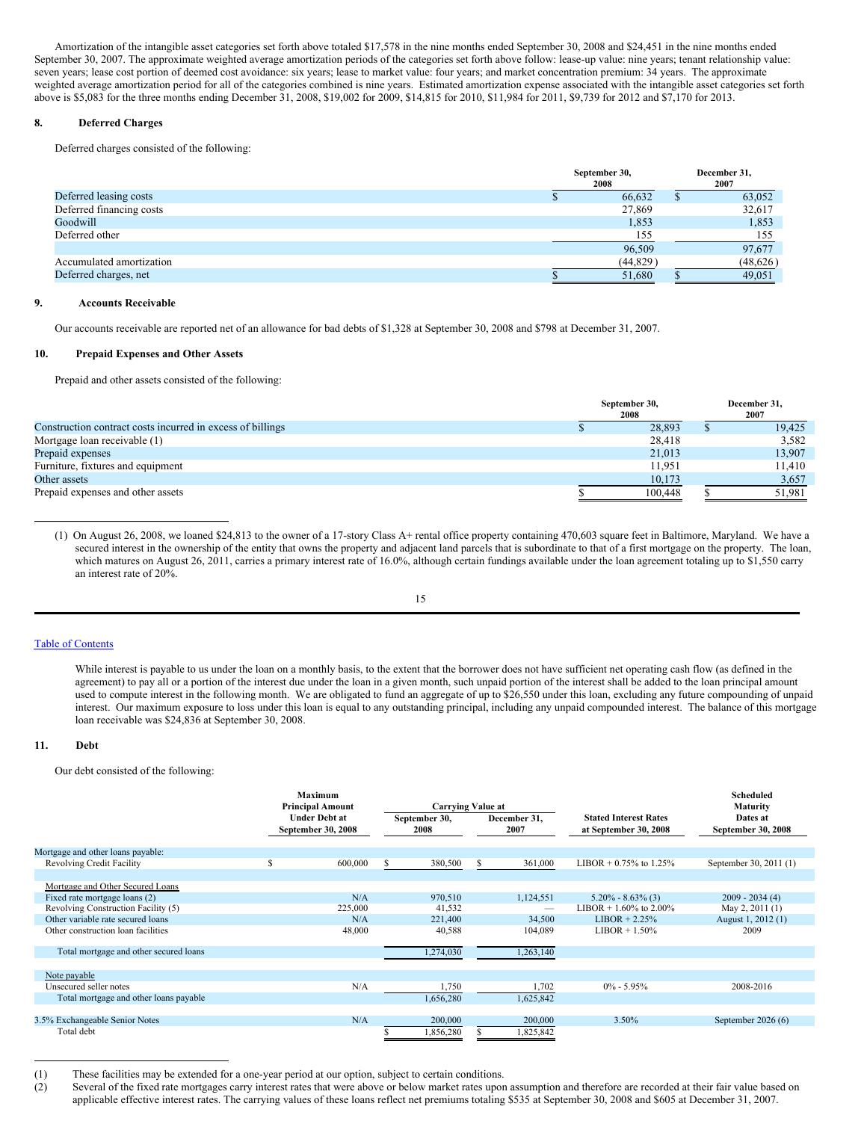Amortization of the intangible asset categories set forth above totaled \$17,578 in the nine months ended September 30, 2008 and \$24,451 in the nine months ended September 30, 2007. The approximate weighted average amortization periods of the categories set forth above follow: lease-up value: nine years; tenant relationship value: seven years; lease cost portion of deemed cost avoidance: six years; lease to market value: four years; and market concentration premium: 34 years. The approximate weighted average amortization period for all of the categories combined is nine years. Estimated amortization expense associated with the intangible asset categories set forth above is \$5,083 for the three months ending December 31, 2008, \$19,002 for 2009, \$14,815 for 2010, \$11,984 for 2011, \$9,739 for 2012 and \$7,170 for 2013.

# **8. Deferred Charges**

Deferred charges consisted of the following:

|                          | September 30,<br>2008 | December 31,<br>2007 |
|--------------------------|-----------------------|----------------------|
| Deferred leasing costs   | 66.632                | 63,052               |
| Deferred financing costs | 27,869                | 32,617               |
| Goodwill                 | 1,853                 | 1,853                |
| Deferred other           | 155                   | 155                  |
|                          | 96,509                | 97,677               |
| Accumulated amortization | (44, 829)             | (48, 626)            |
| Deferred charges, net    | 51,680                | 49,051               |

# **9. Accounts Receivable**

Our accounts receivable are reported net of an allowance for bad debts of \$1,328 at September 30, 2008 and \$798 at December 31, 2007.

### **10. Prepaid Expenses and Other Assets**

Prepaid and other assets consisted of the following:

|                                                            | September 30, | December 31.<br>2007 |        |
|------------------------------------------------------------|---------------|----------------------|--------|
| Construction contract costs incurred in excess of billings |               | 28.893               | 19.425 |
| Mortgage loan receivable (1)                               |               | 28.418               | 3,582  |
| Prepaid expenses                                           |               | 21,013               | 13,907 |
| Furniture, fixtures and equipment                          |               | 11.951               | 11,410 |
| Other assets                                               |               | 10,173               | 3,657  |
| Prepaid expenses and other assets                          |               | 100.448              | 51.981 |

(1) On August 26, 2008, we loaned \$24,813 to the owner of a 17-story Class A+ rental office property containing 470,603 square feet in Baltimore, Maryland. We have a secured interest in the ownership of the entity that owns the property and adjacent land parcels that is subordinate to that of a first mortgage on the property. The loan, which matures on August 26, 2011, carries a primary interest rate of 16.0%, although certain fundings available under the loan agreement totaling up to \$1,550 carry an interest rate of 20%.

15

# Table of [Contents](#page-0-0)

While interest is payable to us under the loan on a monthly basis, to the extent that the borrower does not have sufficient net operating cash flow (as defined in the agreement) to pay all or a portion of the interest due under the loan in a given month, such unpaid portion of the interest shall be added to the loan principal amount used to compute interest in the following month. We are obligated to fund an aggregate of up to \$26,550 under this loan, excluding any future compounding of unpaid interest. Our maximum exposure to loss under this loan is equal to any outstanding principal, including any unpaid compounded interest. The balance of this mortgage loan receivable was \$24,836 at September 30, 2008.

### **11. Debt**

Our debt consisted of the following:

|                                        |   | <b>Maximum</b><br><b>Principal Amount</b>  |                       | <b>Carrying Value at</b> |    |                          |                                                       | <b>Scheduled</b><br>Maturity   |
|----------------------------------------|---|--------------------------------------------|-----------------------|--------------------------|----|--------------------------|-------------------------------------------------------|--------------------------------|
|                                        |   | <b>Under Debt at</b><br>September 30, 2008 | September 30,<br>2008 |                          |    | December 31,<br>2007     | <b>Stated Interest Rates</b><br>at September 30, 2008 | Dates at<br>September 30, 2008 |
| Mortgage and other loans payable:      |   |                                            |                       |                          |    |                          |                                                       |                                |
| <b>Revolving Credit Facility</b>       | S | 600,000                                    | S.                    | 380,500                  | S. | 361,000                  | LIBOR + 0.75% to 1.25%                                | September 30, 2011 (1)         |
|                                        |   |                                            |                       |                          |    |                          |                                                       |                                |
| Mortgage and Other Secured Loans       |   |                                            |                       |                          |    |                          |                                                       |                                |
| Fixed rate mortgage loans (2)          |   | N/A                                        |                       | 970,510                  |    | 1,124,551                | $5.20\% - 8.63\%$ (3)                                 | $2009 - 2034(4)$               |
| Revolving Construction Facility (5)    |   | 225,000                                    |                       | 41,532                   |    | $\overline{\phantom{a}}$ | LIBOR + 1.60% to 2.00%                                | May 2, 2011 (1)                |
| Other variable rate secured loans      |   | N/A                                        |                       | 221,400                  |    | 34,500                   | $LIBOR + 2.25%$                                       | August 1, 2012 (1)             |
| Other construction loan facilities     |   | 48,000                                     |                       | 40,588                   |    | 104,089                  | $LIBOR + 1.50\%$                                      | 2009                           |
| Total mortgage and other secured loans |   |                                            |                       | 1,274,030                |    | 1,263,140                |                                                       |                                |
|                                        |   |                                            |                       |                          |    |                          |                                                       |                                |
| Note payable                           |   |                                            |                       |                          |    |                          |                                                       |                                |
| Unsecured seller notes                 |   | N/A                                        |                       | 1,750                    |    | 1,702                    | $0\% - 5.95\%$                                        | 2008-2016                      |
| Total mortgage and other loans payable |   |                                            |                       | 1,656,280                |    | 1,625,842                |                                                       |                                |
|                                        |   |                                            |                       |                          |    |                          |                                                       |                                |
| 3.5% Exchangeable Senior Notes         |   | N/A                                        |                       | 200,000                  |    | 200,000                  | 3.50%                                                 | September 2026 $(6)$           |
| Total debt                             |   |                                            |                       | 1,856,280                |    | 1,825,842                |                                                       |                                |

(1) These facilities may be extended for a one-year period at our option, subject to certain conditions.

(2) Several of the fixed rate mortgages carry interest rates that were above or below market rates upon assumption and therefore are recorded at their fair value based on applicable effective interest rates. The carrying values of these loans reflect net premiums totaling \$535 at September 30, 2008 and \$605 at December 31, 2007.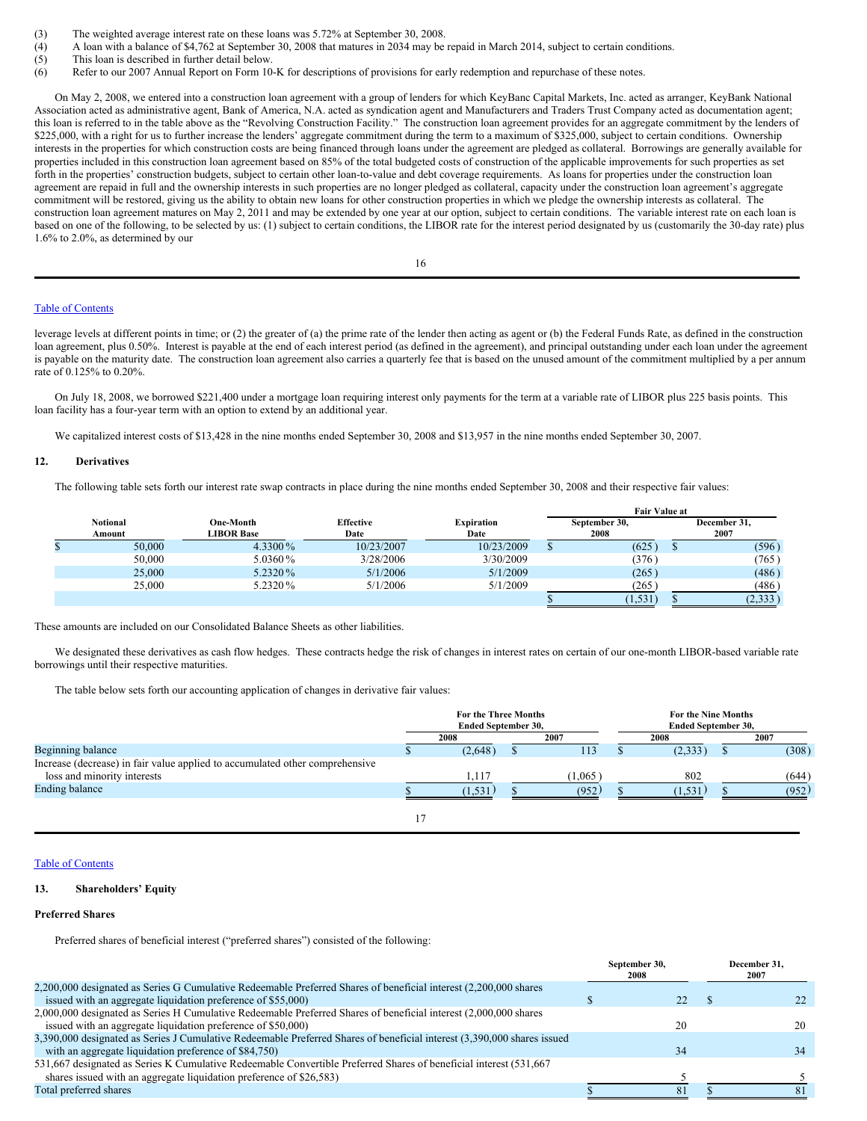- (3) The weighted average interest rate on these loans was 5.72% at September 30, 2008.
- (4) A loan with a balance of \$4,762 at September 30, 2008 that matures in 2034 may be repaid in March 2014, subject to certain conditions.
- (5) This loan is described in further detail below.
- (6) Refer to our 2007 Annual Report on Form 10-K for descriptions of provisions for early redemption and repurchase of these notes.

On May 2, 2008, we entered into a construction loan agreement with a group of lenders for which KeyBanc Capital Markets, Inc. acted as arranger, KeyBank National Association acted as administrative agent, Bank of America, N.A. acted as syndication agent and Manufacturers and Traders Trust Company acted as documentation agent; this loan is referred to in the table above as the "Revolving Construction Facility." The construction loan agreement provides for an aggregate commitment by the lenders of \$225,000, with a right for us to further increase the lenders' aggregate commitment during the term to a maximum of \$325,000, subject to certain conditions. Ownership interests in the properties for which construction costs are being financed through loans under the agreement are pledged as collateral. Borrowings are generally available for properties included in this construction loan agreement based on 85% of the total budgeted costs of construction of the applicable improvements for such properties as set forth in the properties' construction budgets, subject to certain other loan-to-value and debt coverage requirements. As loans for properties under the construction loan agreement are repaid in full and the ownership interests in such properties are no longer pledged as collateral, capacity under the construction loan agreement's aggregate commitment will be restored, giving us the ability to obtain new loans for other construction properties in which we pledge the ownership interests as collateral. The construction loan agreement matures on May 2, 2011 and may be extended by one year at our option, subject to certain conditions. The variable interest rate on each loan is based on one of the following, to be selected by us: (1) subject to certain conditions, the LIBOR rate for the interest period designated by us (customarily the 30-day rate) plus 1.6% to 2.0%, as determined by our

16

### Table of [Contents](#page-0-0)

leverage levels at different points in time; or (2) the greater of (a) the prime rate of the lender then acting as agent or (b) the Federal Funds Rate, as defined in the construction loan agreement, plus 0.50%. Interest is payable at the end of each interest period (as defined in the agreement), and principal outstanding under each loan under the agreement is payable on the maturity date. The construction loan agreement also carries a quarterly fee that is based on the unused amount of the commitment multiplied by a per annum rate of 0.125% to 0.20%.

On July 18, 2008, we borrowed \$221,400 under a mortgage loan requiring interest only payments for the term at a variable rate of LIBOR plus 225 basis points. This loan facility has a four-year term with an option to extend by an additional year.

We capitalized interest costs of \$13,428 in the nine months ended September 30, 2008 and \$13,957 in the nine months ended September 30, 2007.

### **12. Derivatives**

The following table sets forth our interest rate swap contracts in place during the nine months ended September 30, 2008 and their respective fair values:

|                                     |                   |                                       |            |  | <b>Fair Value at</b> |      |          |  |  |
|-------------------------------------|-------------------|---------------------------------------|------------|--|----------------------|------|----------|--|--|
| <b>Notional</b><br><b>One-Month</b> |                   | <b>Effective</b><br><b>Expiration</b> |            |  |                      |      |          |  |  |
| Amount                              | <b>LIBOR Base</b> | Date                                  |            |  | 2008                 | 2007 |          |  |  |
| 50,000                              | 4.3300 %          | 10/23/2007                            | 10/23/2009 |  | (625)                |      | (596)    |  |  |
| 50,000                              | 5.0360 %          | 3/28/2006                             | 3/30/2009  |  | (376)                |      | (765)    |  |  |
| 25,000                              | 5.2320 %          | 5/1/2006                              | 5/1/2009   |  | (265)                |      | (486)    |  |  |
| 25,000                              | 5.2320 %          | 5/1/2006                              | 5/1/2009   |  | (265)                |      | (486)    |  |  |
|                                     |                   |                                       |            |  | (1, 531)             |      | (2, 333) |  |  |

These amounts are included on our Consolidated Balance Sheets as other liabilities.

We designated these derivatives as cash flow hedges. These contracts hedge the risk of changes in interest rates on certain of our one-month LIBOR-based variable rate borrowings until their respective maturities.

The table below sets forth our accounting application of changes in derivative fair values:

|                                                                              | <b>For the Three Months</b><br>Ended September 30, |         |  | For the Nine Months<br><b>Ended September 30,</b> |  |       |
|------------------------------------------------------------------------------|----------------------------------------------------|---------|--|---------------------------------------------------|--|-------|
|                                                                              | 2008                                               | 2007    |  | 2008                                              |  | 2007  |
| Beginning balance                                                            | (2,648)                                            | 113     |  | (2,333)                                           |  | (308) |
| Increase (decrease) in fair value applied to accumulated other comprehensive |                                                    |         |  |                                                   |  |       |
| loss and minority interests                                                  | 1,117                                              | (1,065) |  | 802                                               |  | (644) |
| <b>Ending balance</b>                                                        | (1, 531)                                           | (952)   |  | (1, 531)                                          |  | (952) |
|                                                                              |                                                    |         |  |                                                   |  |       |
|                                                                              |                                                    |         |  |                                                   |  |       |

# Table of [Contents](#page-0-0)

# **13. Shareholders' Equity**

### **Preferred Shares**

Preferred shares of beneficial interest ("preferred shares") consisted of the following:

|                                                                                                                         | September 30,<br>2008 | December 31.<br>2007 |
|-------------------------------------------------------------------------------------------------------------------------|-----------------------|----------------------|
| 2,200,000 designated as Series G Cumulative Redeemable Preferred Shares of beneficial interest (2,200,000 shares        |                       |                      |
| issued with an aggregate liquidation preference of \$55,000)                                                            |                       |                      |
| 2,000,000 designated as Series H Cumulative Redeemable Preferred Shares of beneficial interest (2,000,000 shares        |                       |                      |
| issued with an aggregate liquidation preference of \$50,000)                                                            | 20                    | 20                   |
| 3,390,000 designated as Series J Cumulative Redeemable Preferred Shares of beneficial interest (3,390,000 shares issued |                       |                      |
| with an aggregate liquidation preference of \$84,750)                                                                   | 34                    | 34                   |
| 531,667 designated as Series K Cumulative Redeemable Convertible Preferred Shares of beneficial interest (531,667       |                       |                      |
| shares issued with an aggregate liquidation preference of \$26,583)                                                     |                       |                      |
| Total preferred shares                                                                                                  |                       |                      |
|                                                                                                                         |                       |                      |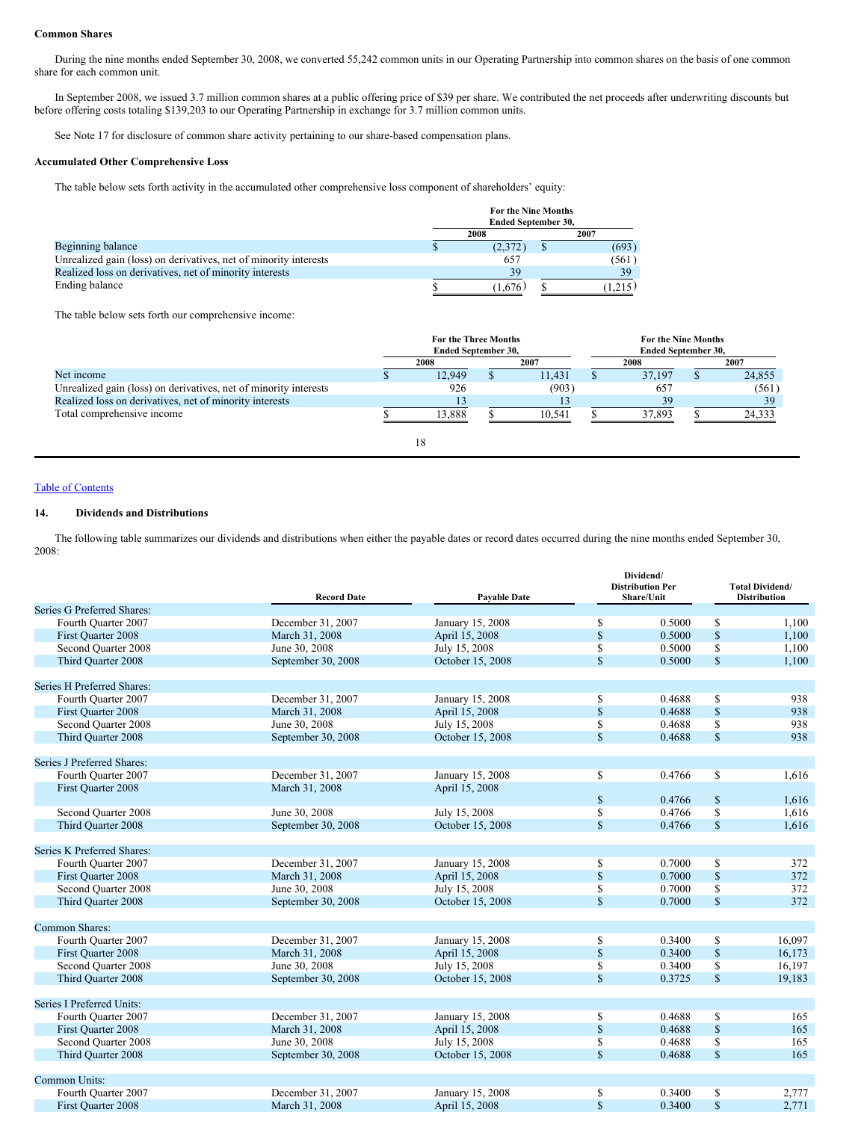## **Common Shares**

During the nine months ended September 30, 2008, we converted 55,242 common units in our Operating Partnership into common shares on the basis of one common share for each common unit.

In September 2008, we issued 3.7 million common shares at a public offering price of \$39 per share. We contributed the net proceeds after underwriting discounts but before offering costs totaling \$139,203 to our Operating Partnership in exchange for 3.7 million common units.

See Note 17 for disclosure of common share activity pertaining to our share-based compensation plans.

# **Accumulated Other Comprehensive Loss**

The table below sets forth activity in the accumulated other comprehensive loss component of shareholders' equity:

|                                                                  | <b>For the Nine Months</b><br><b>Ended September 30.</b> |        |
|------------------------------------------------------------------|----------------------------------------------------------|--------|
|                                                                  | 2008                                                     | 2007   |
| Beginning balance                                                | (2,372)                                                  | (693)  |
| Unrealized gain (loss) on derivatives, net of minority interests | 657                                                      | (561)  |
| Realized loss on derivatives, net of minority interests          | 39                                                       | 39     |
| Ending balance                                                   | (1.676)                                                  | 1,215) |

The table below sets forth our comprehensive income:

|                                                                  | <b>For the Three Months</b><br>Ended September 30, |        | <b>For the Nine Months</b><br><b>Ended September 30,</b> |        |
|------------------------------------------------------------------|----------------------------------------------------|--------|----------------------------------------------------------|--------|
|                                                                  | 2008                                               | 2007   | 2008                                                     | 2007   |
| Net income                                                       | 12.949                                             | 11.431 | 37,197                                                   | 24,855 |
| Unrealized gain (loss) on derivatives, net of minority interests | 926                                                | (903)  | 657                                                      | (561)  |
| Realized loss on derivatives, net of minority interests          |                                                    | 13     | 39                                                       | 39     |
| Total comprehensive income                                       | 13.888                                             | 10.541 | 37.893                                                   | 24.333 |
|                                                                  | 18                                                 |        |                                                          |        |

# Table of [Contents](#page-0-0)

# **14. Dividends and Distributions**

The following table summarizes our dividends and distributions when either the payable dates or record dates occurred during the nine months ended September 30, 2008:

**Dividend/**

|                            | <b>Record Date</b> | <b>Payable Date</b> |              | enana<br><b>Distribution Per</b><br>Share/Unit | <b>Total Dividend/</b><br><b>Distribution</b> |        |  |
|----------------------------|--------------------|---------------------|--------------|------------------------------------------------|-----------------------------------------------|--------|--|
| Series G Preferred Shares: |                    |                     |              |                                                |                                               |        |  |
| Fourth Ouarter 2007        | December 31, 2007  | January 15, 2008    | \$           | 0.5000                                         | \$                                            | 1,100  |  |
| First Ouarter 2008         | March 31, 2008     | April 15, 2008      | \$           | 0.5000                                         | $\$$                                          | 1,100  |  |
| Second Ouarter 2008        | June 30, 2008      | July 15, 2008       | \$           | 0.5000                                         | \$                                            | 1,100  |  |
| Third Quarter 2008         | September 30, 2008 | October 15, 2008    | \$           | 0.5000                                         | \$                                            | 1,100  |  |
| Series H Preferred Shares: |                    |                     |              |                                                |                                               |        |  |
| Fourth Quarter 2007        | December 31, 2007  | January 15, 2008    | \$           | 0.4688                                         | \$                                            | 938    |  |
| First Ouarter 2008         | March 31, 2008     | April 15, 2008      | \$           | 0.4688                                         | $\mathbb{S}$                                  | 938    |  |
| Second Quarter 2008        | June 30, 2008      | July 15, 2008       | \$           | 0.4688                                         | \$                                            | 938    |  |
| Third Ouarter 2008         | September 30, 2008 | October 15, 2008    | \$           | 0.4688                                         | $\mathbb{S}$                                  | 938    |  |
| Series J Preferred Shares: |                    |                     |              |                                                |                                               |        |  |
| Fourth Ouarter 2007        | December 31, 2007  | January 15, 2008    | \$           | 0.4766                                         | \$                                            | 1,616  |  |
| First Quarter 2008         | March 31, 2008     | April 15, 2008      | $\$$         | 0.4766                                         | \$                                            | 1,616  |  |
| Second Ouarter 2008        | June 30, 2008      | July 15, 2008       | \$           | 0.4766                                         | \$                                            | 1,616  |  |
| Third Ouarter 2008         | September 30, 2008 | October 15, 2008    | $\mathbf S$  | 0.4766                                         | $\mathbb{S}$                                  | 1,616  |  |
| Series K Preferred Shares: |                    |                     |              |                                                |                                               |        |  |
| Fourth Quarter 2007        | December 31, 2007  | January 15, 2008    | \$           | 0.7000                                         | \$                                            | 372    |  |
| First Ouarter 2008         | March 31, 2008     | April 15, 2008      | $\mathbb{S}$ | 0.7000                                         | $\mathbb{S}$                                  | 372    |  |
| Second Quarter 2008        | June 30, 2008      | July 15, 2008       | \$           | 0.7000                                         | \$                                            | 372    |  |
| Third Ouarter 2008         | September 30, 2008 | October 15, 2008    | \$           | 0.7000                                         | $\mathbf{\$}$                                 | 372    |  |
|                            |                    |                     |              |                                                |                                               |        |  |
| <b>Common Shares:</b>      |                    |                     |              |                                                |                                               |        |  |
| Fourth Quarter 2007        | December 31, 2007  | January 15, 2008    | \$           | 0.3400                                         | \$                                            | 16,097 |  |
| First Ouarter 2008         | March 31, 2008     | April 15, 2008      | \$           | 0.3400                                         | $\$$                                          | 16,173 |  |
| Second Ouarter 2008        | June 30, 2008      | July 15, 2008       | \$           | 0.3400                                         | \$                                            | 16,197 |  |
| Third Quarter 2008         | September 30, 2008 | October 15, 2008    | \$           | 0.3725                                         | $\mathbb{S}$                                  | 19,183 |  |
| Series I Preferred Units:  |                    |                     |              |                                                |                                               |        |  |
| Fourth Quarter 2007        | December 31, 2007  | January 15, 2008    | \$           | 0.4688                                         | \$                                            | 165    |  |
| First Ouarter 2008         | March 31, 2008     | April 15, 2008      | \$           | 0.4688                                         | \$                                            | 165    |  |
| Second Quarter 2008        | June 30, 2008      | July 15, 2008       | \$           | 0.4688                                         | \$                                            | 165    |  |
| Third Ouarter 2008         | September 30, 2008 | October 15, 2008    | $\mathbb{S}$ | 0.4688                                         | $\mathbb{S}$                                  | 165    |  |
| <b>Common Units:</b>       |                    |                     |              |                                                |                                               |        |  |
| Fourth Ouarter 2007        | December 31, 2007  | January 15, 2008    | \$           | 0.3400                                         | \$                                            | 2,777  |  |
| First Ouarter 2008         | March 31, 2008     | April 15, 2008      | \$           | 0.3400                                         | \$                                            | 2,771  |  |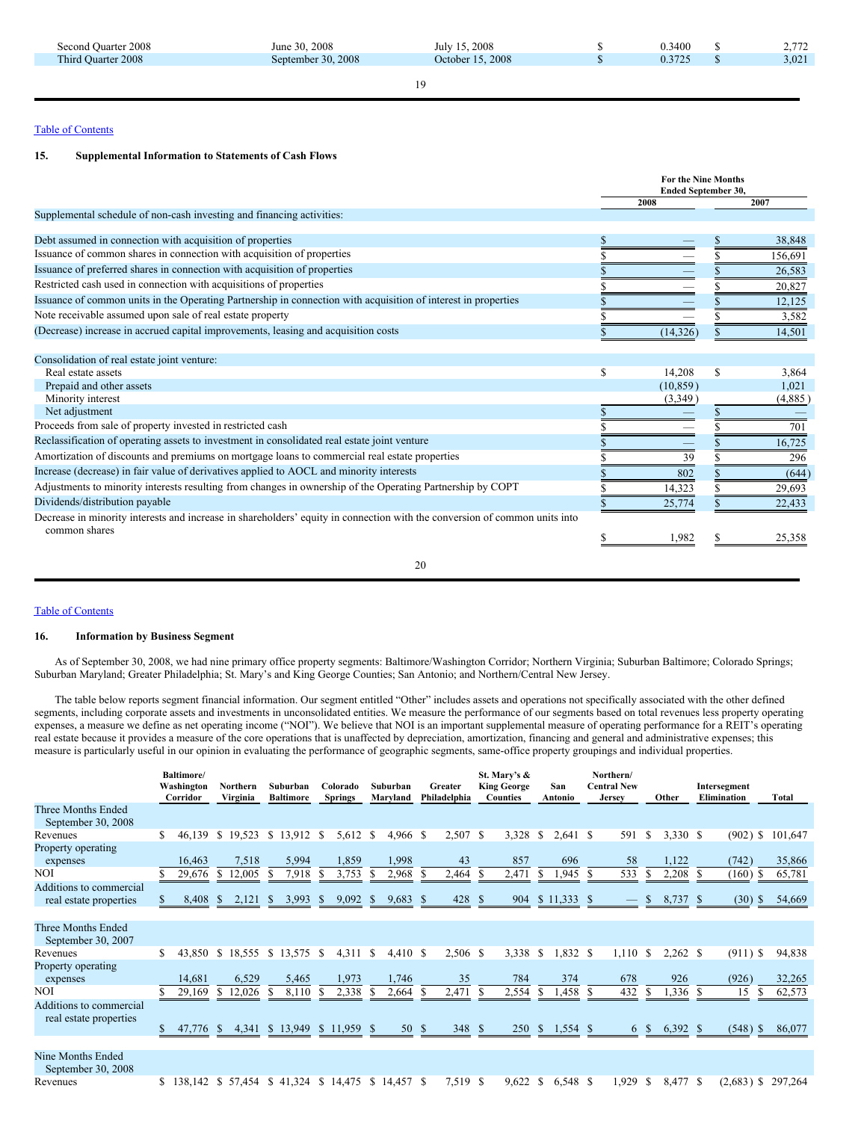| Second Quarter 2008 | June 30, 2008      | July 15, 2008    | 0.3400 |       |
|---------------------|--------------------|------------------|--------|-------|
| Third Ouarter 2008  | September 30, 2008 | October 15, 2008 | 0.3725 | 3.021 |
|                     |                    |                  |        |       |
|                     |                    | 1 Q              |        |       |

# Table of [Contents](#page-0-0)

# **15. Supplemental Information to Statements of Cash Flows**

|                                                                                                                                             |   | <b>For the Nine Months</b><br>Ended September 30, |   |         |
|---------------------------------------------------------------------------------------------------------------------------------------------|---|---------------------------------------------------|---|---------|
|                                                                                                                                             |   | 2008                                              |   | 2007    |
| Supplemental schedule of non-cash investing and financing activities:                                                                       |   |                                                   |   |         |
| Debt assumed in connection with acquisition of properties                                                                                   |   |                                                   |   | 38,848  |
| Issuance of common shares in connection with acquisition of properties                                                                      |   |                                                   |   | 156,691 |
| Issuance of preferred shares in connection with acquisition of properties                                                                   |   |                                                   |   | 26,583  |
| Restricted cash used in connection with acquisitions of properties                                                                          |   |                                                   |   | 20,827  |
| Issuance of common units in the Operating Partnership in connection with acquisition of interest in properties                              |   |                                                   |   | 12,125  |
| Note receivable assumed upon sale of real estate property                                                                                   |   |                                                   |   | 3,582   |
| (Decrease) increase in accrued capital improvements, leasing and acquisition costs                                                          |   | (14,326)                                          |   | 14,501  |
| Consolidation of real estate joint venture:                                                                                                 |   |                                                   |   |         |
| Real estate assets                                                                                                                          | S | 14,208                                            | S | 3,864   |
| Prepaid and other assets                                                                                                                    |   | (10, 859)                                         |   | 1,021   |
| Minority interest                                                                                                                           |   | (3,349)                                           |   | (4,885) |
| Net adjustment                                                                                                                              |   |                                                   |   |         |
| Proceeds from sale of property invested in restricted cash                                                                                  |   |                                                   |   | 701     |
| Reclassification of operating assets to investment in consolidated real estate joint venture                                                |   |                                                   |   | 16,725  |
| Amortization of discounts and premiums on mortgage loans to commercial real estate properties                                               |   | 39                                                |   | 296     |
| Increase (decrease) in fair value of derivatives applied to AOCL and minority interests                                                     |   | 802                                               |   | (644)   |
| Adjustments to minority interests resulting from changes in ownership of the Operating Partnership by COPT                                  |   | 14,323                                            |   | 29,693  |
| Dividends/distribution payable                                                                                                              |   | 25,774                                            |   | 22,433  |
| Decrease in minority interests and increase in shareholders' equity in connection with the conversion of common units into<br>common shares |   |                                                   |   |         |
|                                                                                                                                             |   | 1,982                                             | S | 25,358  |
|                                                                                                                                             |   |                                                   |   |         |

# 20

### Table of [Contents](#page-0-0)

# **16. Information by Business Segment**

As of September 30, 2008, we had nine primary office property segments: Baltimore/Washington Corridor; Northern Virginia; Suburban Baltimore; Colorado Springs; Suburban Maryland; Greater Philadelphia; St. Mary's and King George Counties; San Antonio; and Northern/Central New Jersey.

The table below reports segment financial information. Our segment entitled "Other" includes assets and operations not specifically associated with the other defined segments, including corporate assets and investments in unconsolidated entities. We measure the performance of our segments based on total revenues less property operating expenses, a measure we define as net operating income ("NOI"). We believe that NOI is an important supplemental measure of operating performance for a REIT's operating real estate because it provides a measure of the core operations that is unaffected by depreciation, amortization, financing and general and administrative expenses; this measure is particularly useful in our opinion in evaluating the performance of geographic segments, same-office property groupings and individual properties.

|                                                   |    | Baltimore/<br>Washington<br>Northern |              |           |              |                  |               |                |               |          |      |              |               |                 |               |              |    |               |               |            |               |              |         |  |  |  |  |  |  |  |  |  |  |  |  |  |  | Virginia |  |  |  |  |  |  |  |  |  |  |  |  |  | Suburban |  | Colorado |  | Suburban |  | Greater |  | St. Mary's &<br><b>King George</b> |  | San |  | Northern/<br><b>Central New</b> |  |  |  | Intersegment |  |
|---------------------------------------------------|----|--------------------------------------|--------------|-----------|--------------|------------------|---------------|----------------|---------------|----------|------|--------------|---------------|-----------------|---------------|--------------|----|---------------|---------------|------------|---------------|--------------|---------|--|--|--|--|--|--|--|--|--|--|--|--|--|--|----------|--|--|--|--|--|--|--|--|--|--|--|--|--|----------|--|----------|--|----------|--|---------|--|------------------------------------|--|-----|--|---------------------------------|--|--|--|--------------|--|
|                                                   |    | Corridor                             |              |           |              | <b>Baltimore</b> |               | <b>Springs</b> |               | Marvland |      | Philadelphia |               | <b>Counties</b> |               | Antonio      |    | <b>Jersey</b> | Other         |            | Elimination   |              | Total   |  |  |  |  |  |  |  |  |  |  |  |  |  |  |          |  |  |  |  |  |  |  |  |  |  |  |  |  |          |  |          |  |          |  |         |  |                                    |  |     |  |                                 |  |  |  |              |  |
| Three Months Ended<br>September 30, 2008          |    |                                      |              |           |              |                  |               |                |               |          |      |              |               |                 |               |              |    |               |               |            |               |              |         |  |  |  |  |  |  |  |  |  |  |  |  |  |  |          |  |  |  |  |  |  |  |  |  |  |  |  |  |          |  |          |  |          |  |         |  |                                    |  |     |  |                                 |  |  |  |              |  |
| Revenues                                          | \$ | 46,139                               | \$           | 19,523    |              | \$13,912         | -S            | 5,612          | -S            | 4,966 \$ |      | 2,507 \$     |               | 3,328           | \$            | $2,641$ \$   |    | 591           | \$            | 3,330 \$   |               | $(902)$ \$   | 101,647 |  |  |  |  |  |  |  |  |  |  |  |  |  |  |          |  |  |  |  |  |  |  |  |  |  |  |  |  |          |  |          |  |          |  |         |  |                                    |  |     |  |                                 |  |  |  |              |  |
| Property operating<br>expenses                    |    | 16,463                               |              | 7,518     |              | 5,994            |               | 1,859          |               | 1,998    |      | 43           |               | 857             |               | 696          |    | 58            |               | 1,122      |               | (742)        | 35,866  |  |  |  |  |  |  |  |  |  |  |  |  |  |  |          |  |  |  |  |  |  |  |  |  |  |  |  |  |          |  |          |  |          |  |         |  |                                    |  |     |  |                                 |  |  |  |              |  |
| <b>NOI</b>                                        |    | 29,676                               |              | \$12,005  |              | 7,918            | £.            | 3,753          | S             | 2,968    | -S   | 2,464        | \$.           | 2,471           | S.            | $1,945$ \$   |    | 533           | S             | 2,208      | <sup>\$</sup> | (160)        | 65,781  |  |  |  |  |  |  |  |  |  |  |  |  |  |  |          |  |  |  |  |  |  |  |  |  |  |  |  |  |          |  |          |  |          |  |         |  |                                    |  |     |  |                                 |  |  |  |              |  |
| Additions to commercial<br>real estate properties | S  | 8,408                                | <sup>S</sup> | 2,121     | <sup>S</sup> | 3,993            | <sup>\$</sup> | 9,092          | <sup>\$</sup> | 9,683    | -S   | 428          | <sup>\$</sup> | 904             |               | $$11,333$ \$ |    |               | <sup>\$</sup> | 8,737      | -S            | (30)         | 54,669  |  |  |  |  |  |  |  |  |  |  |  |  |  |  |          |  |  |  |  |  |  |  |  |  |  |  |  |  |          |  |          |  |          |  |         |  |                                    |  |     |  |                                 |  |  |  |              |  |
| Three Months Ended<br>September 30, 2007          |    |                                      |              |           |              |                  |               |                |               |          |      |              |               |                 |               |              |    |               |               |            |               |              |         |  |  |  |  |  |  |  |  |  |  |  |  |  |  |          |  |  |  |  |  |  |  |  |  |  |  |  |  |          |  |          |  |          |  |         |  |                                    |  |     |  |                                 |  |  |  |              |  |
| Revenues                                          | S  | 43,850                               | <sup>S</sup> | 18,555    |              | \$13,575         | \$            | 4,311          | S             | 4,410 \$ |      | 2,506 \$     |               | 3,338           | <sup>\$</sup> | 1,832 \$     |    | 1,110         | <sup>\$</sup> | $2,262$ \$ |               | $(911)$ \$   | 94,838  |  |  |  |  |  |  |  |  |  |  |  |  |  |  |          |  |  |  |  |  |  |  |  |  |  |  |  |  |          |  |          |  |          |  |         |  |                                    |  |     |  |                                 |  |  |  |              |  |
| Property operating<br>expenses                    |    | 14,681                               |              | 6,529     |              | 5,465            |               | 1,973          |               | 1,746    |      | 35           |               | 784             |               | 374          |    | 678           |               | 926        |               | (926)        | 32,265  |  |  |  |  |  |  |  |  |  |  |  |  |  |  |          |  |  |  |  |  |  |  |  |  |  |  |  |  |          |  |          |  |          |  |         |  |                                    |  |     |  |                                 |  |  |  |              |  |
| <b>NOI</b>                                        |    | 29,169                               |              | \$12,026  |              | 8,110            | S             | 2,338          | -S            | 2,664    | -S   | 2,471        | \$            | 2,554           | <sup>\$</sup> | 1,458        | -S | 432           | S             | 1,336      | <sup>\$</sup> | 15           | 62,573  |  |  |  |  |  |  |  |  |  |  |  |  |  |  |          |  |  |  |  |  |  |  |  |  |  |  |  |  |          |  |          |  |          |  |         |  |                                    |  |     |  |                                 |  |  |  |              |  |
| Additions to commercial<br>real estate properties | \$ | 47,776 \$                            |              | 4,341     |              | \$13,949         |               | $$11,959$ \$   |               | 50       | -S   | 348 \$       |               | 250             | <sup>S</sup>  | 1,554 \$     |    | 6             | -S            | $6,392$ \$ |               | (548)<br>-S  | 86,077  |  |  |  |  |  |  |  |  |  |  |  |  |  |  |          |  |  |  |  |  |  |  |  |  |  |  |  |  |          |  |          |  |          |  |         |  |                                    |  |     |  |                                 |  |  |  |              |  |
|                                                   |    |                                      |              |           |              |                  |               |                |               |          |      |              |               |                 |               |              |    |               |               |            |               |              |         |  |  |  |  |  |  |  |  |  |  |  |  |  |  |          |  |  |  |  |  |  |  |  |  |  |  |  |  |          |  |          |  |          |  |         |  |                                    |  |     |  |                                 |  |  |  |              |  |
| Nine Months Ended<br>September 30, 2008           |    |                                      |              |           |              |                  |               |                |               |          |      |              |               |                 |               |              |    |               |               |            |               |              |         |  |  |  |  |  |  |  |  |  |  |  |  |  |  |          |  |  |  |  |  |  |  |  |  |  |  |  |  |          |  |          |  |          |  |         |  |                                    |  |     |  |                                 |  |  |  |              |  |
| Revenues                                          | S. | 138,142                              |              | \$ 57,454 | -S           | 41,324           |               | \$14,475       |               | \$14,457 | - \$ | 7,519 \$     |               | 9,622           | \$            | 6,548 \$     |    | 1,929         | S             | 8,477 \$   |               | $(2,683)$ \$ | 297,264 |  |  |  |  |  |  |  |  |  |  |  |  |  |  |          |  |  |  |  |  |  |  |  |  |  |  |  |  |          |  |          |  |          |  |         |  |                                    |  |     |  |                                 |  |  |  |              |  |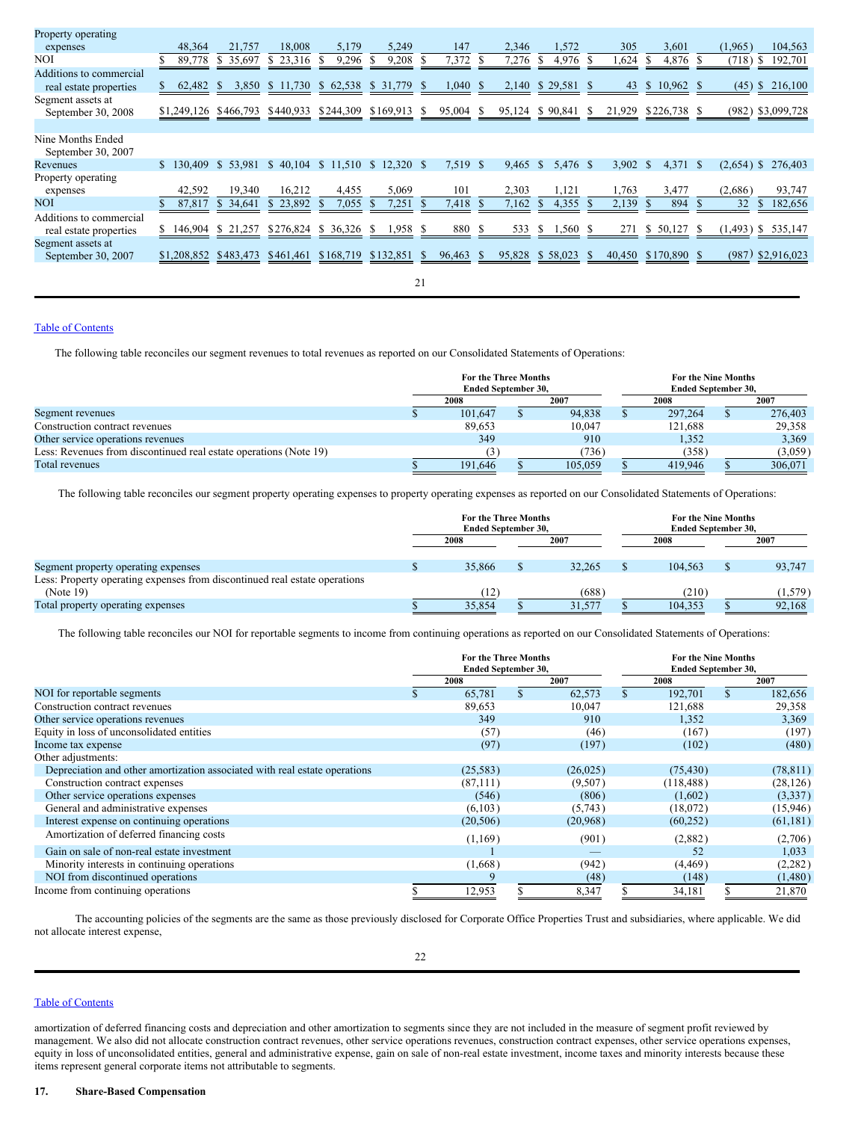| Property operating                                |    |           |                                       |              |                                  |                             |               |          |               |        |                           |               |        |                          |               |                          |                      |
|---------------------------------------------------|----|-----------|---------------------------------------|--------------|----------------------------------|-----------------------------|---------------|----------|---------------|--------|---------------------------|---------------|--------|--------------------------|---------------|--------------------------|----------------------|
| expenses                                          |    | 48,364    | 21,757                                | 18,008       | 5,179                            | 5,249                       |               | 147      |               | 2,346  | 1,572                     |               | 305    | 3,601                    |               | (1,965)                  | 104,563              |
| NOI                                               |    | 89,778    | 35,697<br>Ъ.                          | \$23,316     | 9,296                            | 9,208<br><sup>\$</sup>      | £.            | 7,372    |               | 7,276  | 4,976<br>S                | -8            | 1,624  | 4,876<br>ъ               |               | (718)                    | \$192,701            |
| Additions to commercial                           |    |           |                                       |              |                                  |                             |               |          |               |        |                           |               |        |                          |               |                          |                      |
| real estate properties                            | S. | 62,482    | 3,850                                 | \$11,730     | 62,538<br><sup>\$</sup>          | \$31,779                    | <sup>\$</sup> | 1,040    | <sup>\$</sup> | 2,140  | \$29,581                  | -S            | 43     | $$10,962$ \$             |               | (45)                     | \$216,100            |
| Segment assets at<br>September 30, 2008           |    |           | \$1,249,126 \$466,793                 | \$440,933    | \$244,309                        | \$169,913                   | S.            | 95,004   | <sup>\$</sup> | 95,124 | \$90,841                  | <sup>S</sup>  | 21,929 | $$226,738$ \$            |               | (982)                    | \$3,099,728          |
| Nine Months Ended<br>September 30, 2007           |    |           |                                       |              |                                  |                             |               |          |               |        |                           |               |        |                          |               |                          |                      |
| Revenues                                          | S. |           | 130,409 \$ 53,981 \$ 40,104 \$ 11,510 |              |                                  | $$12,320$ \$                |               | 7,519 \$ |               | 9,465  | 5,476 \$<br><sup>\$</sup> |               | 3,902  | $\mathbb{S}$<br>4,371 \$ |               | (2,654)<br><sup>\$</sup> | 276,403              |
| Property operating<br>expenses                    |    | 42,592    | 19,340                                | 16,212       | 4,455                            | 5,069                       |               | 101      |               | 2,303  | 1,121                     |               | 1,763  | 3,477                    |               | (2,686)                  | 93,747               |
| <b>NOI</b>                                        |    | 87,817    | 34,641<br>\$                          | 23,892<br>P. | 7,055<br>P.                      | 7,251<br>S                  |               | 7,418    | <sup>\$</sup> | 7,162  | 4,355<br><sup>2</sup>     | <sup>\$</sup> | 2,139  | 894<br>S                 |               | 32                       | 182,656              |
| Additions to commercial<br>real estate properties |    | \$146,904 | \$ 21,257                             |              | \$276,824 \$36,326               | <sup>\$</sup><br>$1,958$ \$ |               | 880 \$   |               | 533    | 1,560 \$<br>S             |               | 271    | \$50,127                 | <sup>\$</sup> |                          | $(1,493)$ \$ 535,147 |
| Segment assets at<br>September 30, 2007           |    |           | \$1,208,852 \$483,473                 |              | \$461,461 \$168,719 \$132,851 \$ |                             |               | 96,463   | <sup>S</sup>  |        | 95,828 \$58,023           | <sup>S</sup>  |        | 40,450 \$170,890 \$      |               |                          | $(987)$ \$2,916,023  |
|                                                   |    |           |                                       |              |                                  |                             | 21            |          |               |        |                           |               |        |                          |               |                          |                      |

# Table of [Contents](#page-0-0)

The following table reconciles our segment revenues to total revenues as reported on our Consolidated Statements of Operations:

|                                                                   |         | For the Three Months<br><b>Ended September 30.</b> |  |         |         | For the Nine Months<br><b>Ended September 30.</b> |         |  |  |
|-------------------------------------------------------------------|---------|----------------------------------------------------|--|---------|---------|---------------------------------------------------|---------|--|--|
|                                                                   |         | 2008                                               |  | 2007    | 2008    | 2007                                              |         |  |  |
| Segment revenues                                                  |         | 101.647                                            |  | 94,838  | 297.264 |                                                   | 276,403 |  |  |
| Construction contract revenues                                    |         | 89.653                                             |  | 10.047  | 121.688 |                                                   | 29.358  |  |  |
| Other service operations revenues                                 |         | 349                                                |  | 910     | 1,352   |                                                   | 3,369   |  |  |
| Less: Revenues from discontinued real estate operations (Note 19) |         |                                                    |  | (736)   | (358)   |                                                   | (3,059) |  |  |
| Total revenues                                                    | 191.646 |                                                    |  | 105,059 | 419,946 |                                                   | 306,071 |  |  |

The following table reconciles our segment property operating expenses to property operating expenses as reported on our Consolidated Statements of Operations:

|                                                                            |      | For the Three Months<br><b>Ended September 30,</b> |  |        |  | <b>For the Nine Months</b><br>Ended September 30, |  |         |
|----------------------------------------------------------------------------|------|----------------------------------------------------|--|--------|--|---------------------------------------------------|--|---------|
|                                                                            | 2008 |                                                    |  | 2007   |  | 2008                                              |  | 2007    |
| Segment property operating expenses                                        |      | 35,866                                             |  | 32,265 |  | 104.563                                           |  | 93,747  |
| Less: Property operating expenses from discontinued real estate operations |      |                                                    |  |        |  |                                                   |  |         |
| (Note 19)                                                                  |      | (12)                                               |  | (688)  |  | (210)                                             |  | (1,579) |
| Total property operating expenses                                          |      | 35.854                                             |  | 31.577 |  | 104.353                                           |  | 92.168  |

The following table reconciles our NOI for reportable segments to income from continuing operations as reported on our Consolidated Statements of Operations:

|                                                                            | <b>For the Three Months</b><br>Ended September 30, |  |           | <b>For the Nine Months</b><br>Ended September 30, |       |           |  |
|----------------------------------------------------------------------------|----------------------------------------------------|--|-----------|---------------------------------------------------|-------|-----------|--|
|                                                                            | 2008                                               |  | 2007      | 2008                                              |       | 2007      |  |
| NOI for reportable segments                                                | 65,781                                             |  | 62,573    | 192,701                                           |       | 182,656   |  |
| Construction contract revenues                                             | 89,653                                             |  | 10,047    | 121,688                                           |       | 29,358    |  |
| Other service operations revenues                                          | 349                                                |  | 910       | 1,352                                             |       | 3,369     |  |
| Equity in loss of unconsolidated entities                                  | (57)                                               |  | (46)      | (167)                                             |       | (197)     |  |
| Income tax expense                                                         | (97)                                               |  | (197)     | (102)                                             | (480) |           |  |
| Other adjustments:                                                         |                                                    |  |           |                                                   |       |           |  |
| Depreciation and other amortization associated with real estate operations | (25, 583)                                          |  | (26, 025) | (75, 430)                                         |       | (78, 811) |  |
| Construction contract expenses                                             | (87, 111)                                          |  | (9,507)   | (118, 488)                                        |       | (28, 126) |  |
| Other service operations expenses                                          | (546)                                              |  | (806)     | (1,602)                                           |       | (3,337)   |  |
| General and administrative expenses                                        | (6,103)                                            |  | (5,743)   | (18,072)                                          |       | (15,946)  |  |
| Interest expense on continuing operations                                  | (20, 506)                                          |  | (20,968)  | (60, 252)                                         |       | (61,181)  |  |
| Amortization of deferred financing costs                                   | (1,169)                                            |  | (901)     | (2,882)                                           |       | (2,706)   |  |
| Gain on sale of non-real estate investment                                 |                                                    |  |           | 52                                                |       | 1,033     |  |
| Minority interests in continuing operations                                | (1,668)                                            |  | (942)     | (4, 469)                                          |       | (2,282)   |  |
| NOI from discontinued operations                                           |                                                    |  | (48)      | (148)                                             |       | (1,480)   |  |
| Income from continuing operations                                          | 12,953                                             |  | 8,347     | 34,181                                            |       | 21,870    |  |

The accounting policies of the segments are the same as those previously disclosed for Corporate Office Properties Trust and subsidiaries, where applicable. We did not allocate interest expense,

# Table of [Contents](#page-0-0)

amortization of deferred financing costs and depreciation and other amortization to segments since they are not included in the measure of segment profit reviewed by management. We also did not allocate construction contract revenues, other service operations revenues, construction contract expenses, other service operations expenses, equity in loss of unconsolidated entities, general and administrative expense, gain on sale of non-real estate investment, income taxes and minority interests because these items represent general corporate items not attributable to segments.

### **17. Share-Based Compensation**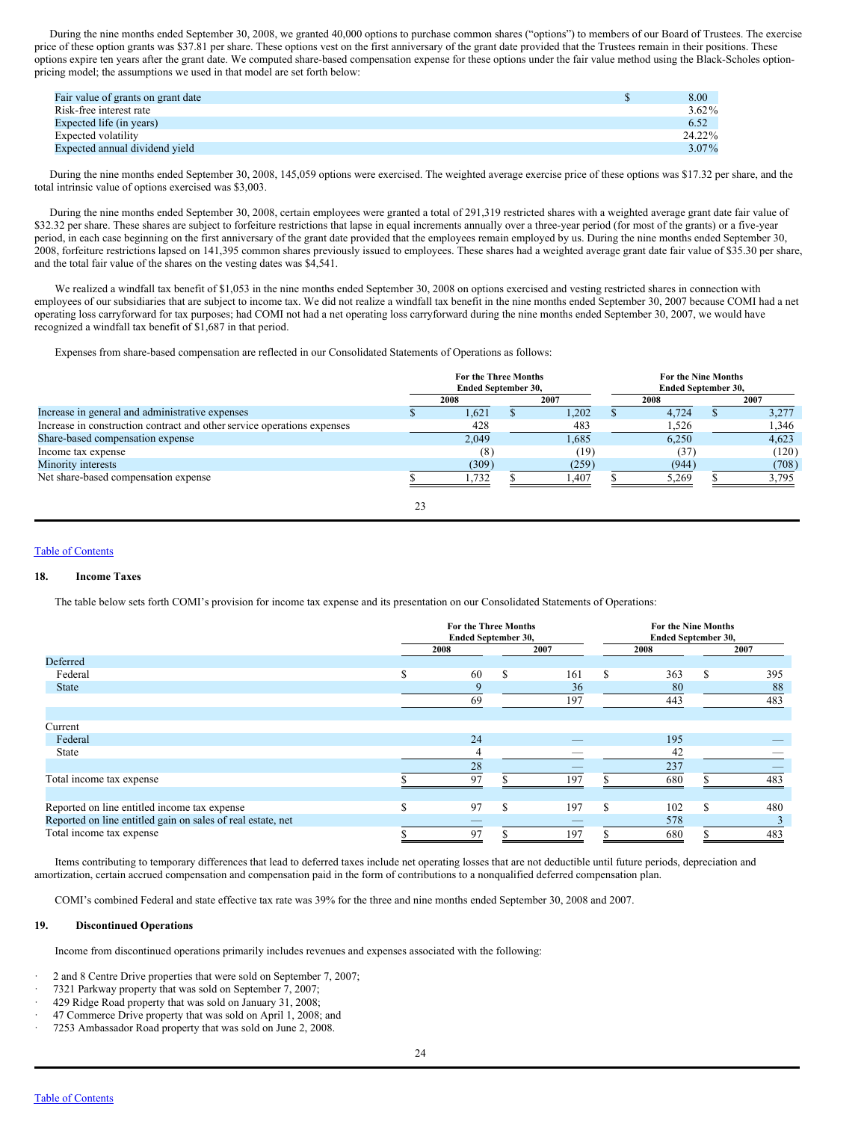During the nine months ended September 30, 2008, we granted 40,000 options to purchase common shares ("options") to members of our Board of Trustees. The exercise price of these option grants was \$37.81 per share. These options vest on the first anniversary of the grant date provided that the Trustees remain in their positions. These options expire ten years after the grant date. We computed share-based compensation expense for these options under the fair value method using the Black-Scholes optionpricing model; the assumptions we used in that model are set forth below:

| Fair value of grants on grant date | 8.00     |
|------------------------------------|----------|
| Risk-free interest rate            | $3.62\%$ |
| Expected life (in years)           | 6.52     |
| Expected volatility                | 24.22%   |
| Expected annual dividend yield     | $3.07\%$ |

During the nine months ended September 30, 2008, 145,059 options were exercised. The weighted average exercise price of these options was \$17.32 per share, and the total intrinsic value of options exercised was \$3,003.

During the nine months ended September 30, 2008, certain employees were granted a total of 291,319 restricted shares with a weighted average grant date fair value of \$32.32 per share. These shares are subject to forfeiture restrictions that lapse in equal increments annually over a three-year period (for most of the grants) or a five-year period, in each case beginning on the first anniversary of the grant date provided that the employees remain employed by us. During the nine months ended September 30, 2008, forfeiture restrictions lapsed on 141,395 common shares previously issued to employees. These shares had a weighted average grant date fair value of \$35.30 per share, and the total fair value of the shares on the vesting dates was \$4,541.

We realized a windfall tax benefit of \$1,053 in the nine months ended September 30, 2008 on options exercised and vesting restricted shares in connection with employees of our subsidiaries that are subject to income tax. We did not realize a windfall tax benefit in the nine months ended September 30, 2007 because COMI had a net operating loss carryforward for tax purposes; had COMI not had a net operating loss carryforward during the nine months ended September 30, 2007, we would have recognized a windfall tax benefit of \$1,687 in that period.

Expenses from share-based compensation are reflected in our Consolidated Statements of Operations as follows:

|                                                                         |      | <b>For the Three Months</b><br>Ended September 30, |  |       | <b>For the Nine Months</b><br><b>Ended September 30,</b> |       |
|-------------------------------------------------------------------------|------|----------------------------------------------------|--|-------|----------------------------------------------------------|-------|
|                                                                         |      | 2008                                               |  | 2007  | 2008                                                     | 2007  |
| Increase in general and administrative expenses                         |      | 1.621                                              |  | 1.202 | 4.724                                                    | 3,277 |
| Increase in construction contract and other service operations expenses |      | 428                                                |  | 483   | 1,526                                                    | 1,346 |
| Share-based compensation expense                                        |      | 2.049                                              |  | 1,685 | 6.250                                                    | 4,623 |
| Income tax expense                                                      |      | (8)                                                |  | (19)  | (37)                                                     | (120) |
| Minority interests                                                      |      | (309)                                              |  | (259) | (944)                                                    | (708) |
| Net share-based compensation expense                                    | .732 |                                                    |  | .407  | 5.269                                                    | 3.795 |
|                                                                         | 23   |                                                    |  |       |                                                          |       |

# Table of [Contents](#page-0-0)

### **18. Income Taxes**

The table below sets forth COMI's provision for income tax expense and its presentation on our Consolidated Statements of Operations:

|                                                             |                  | <b>For the Three Months</b><br>Ended September 30, |               |      |    | <b>For the Nine Months</b><br>Ended September 30, |               |      |  |  |
|-------------------------------------------------------------|------------------|----------------------------------------------------|---------------|------|----|---------------------------------------------------|---------------|------|--|--|
|                                                             |                  | 2008                                               |               | 2007 |    | 2008                                              |               | 2007 |  |  |
| Deferred                                                    |                  |                                                    |               |      |    |                                                   |               |      |  |  |
| Federal                                                     | э                | 60                                                 | <sup>\$</sup> | 161  | S  | 363                                               | S             | 395  |  |  |
| <b>State</b>                                                |                  | $\Omega$                                           |               | 36   |    | 80                                                |               | 88   |  |  |
|                                                             |                  | 69                                                 |               | 197  |    | 443                                               |               | 483  |  |  |
|                                                             |                  |                                                    |               |      |    |                                                   |               |      |  |  |
| Current                                                     |                  |                                                    |               |      |    |                                                   |               |      |  |  |
| Federal                                                     |                  | 24                                                 |               |      |    | 195                                               |               |      |  |  |
| State                                                       |                  |                                                    |               |      |    | 42                                                |               |      |  |  |
|                                                             |                  | 28                                                 |               |      |    | 237                                               |               |      |  |  |
| Total income tax expense                                    |                  | 97                                                 |               | 197  |    | 680                                               |               | 483  |  |  |
|                                                             |                  |                                                    |               |      |    |                                                   |               |      |  |  |
| Reported on line entitled income tax expense                | $\triangle$<br>ъ | 97                                                 | <sup>\$</sup> | 197  | \$ | 102                                               | <sup>\$</sup> | 480  |  |  |
| Reported on line entitled gain on sales of real estate, net |                  |                                                    |               |      |    | 578                                               |               |      |  |  |
| Total income tax expense                                    |                  | 97                                                 |               | 197  |    | 680                                               |               | 483  |  |  |

Items contributing to temporary differences that lead to deferred taxes include net operating losses that are not deductible until future periods, depreciation and amortization, certain accrued compensation and compensation paid in the form of contributions to a nonqualified deferred compensation plan.

COMI's combined Federal and state effective tax rate was 39% for the three and nine months ended September 30, 2008 and 2007.

### **19. Discontinued Operations**

Income from discontinued operations primarily includes revenues and expenses associated with the following:

- · 2 and 8 Centre Drive properties that were sold on September 7, 2007;
- 7321 Parkway property that was sold on September 7, 2007;
- · 429 Ridge Road property that was sold on January 31, 2008;
- · 47 Commerce Drive property that was sold on April 1, 2008; and
- · 7253 Ambassador Road property that was sold on June 2, 2008.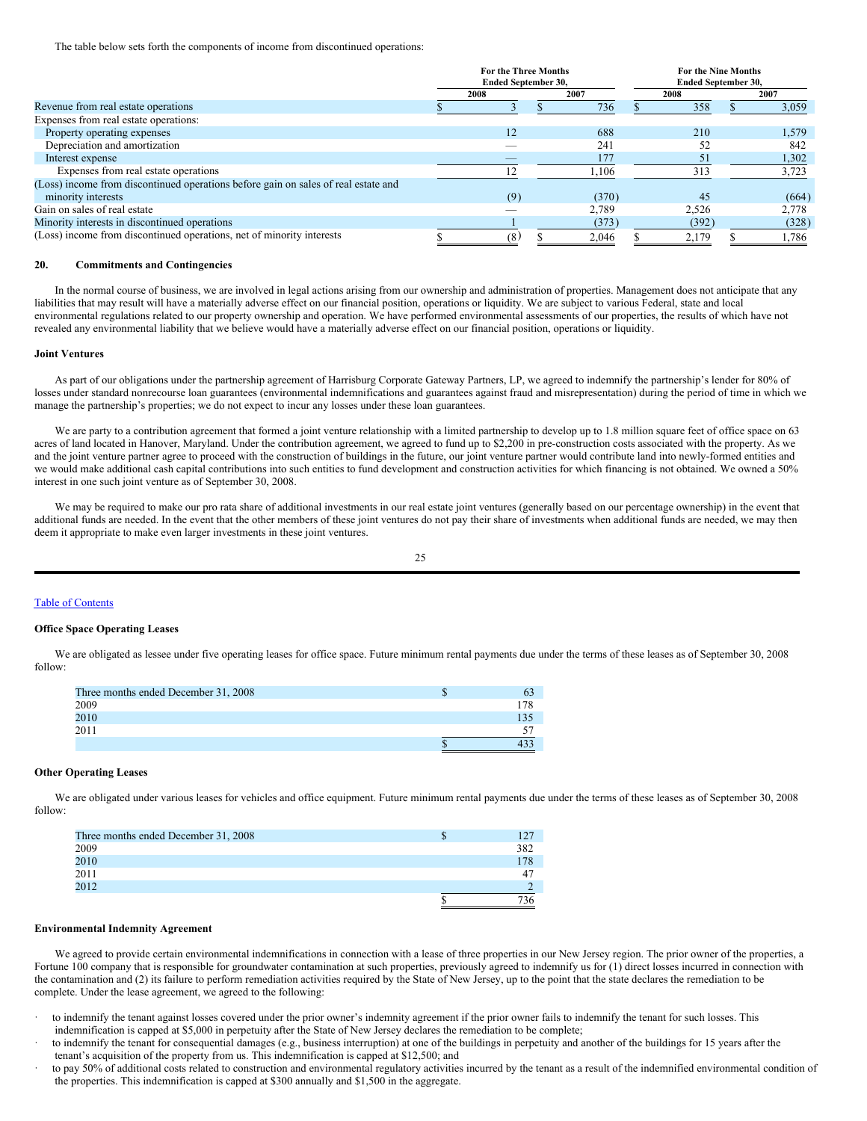The table below sets forth the components of income from discontinued operations:

|                                                                                    |  | <b>For the Three Months</b><br>Ended September 30, |  |       |  | <b>For the Nine Months</b><br>Ended September 30, |  |       |
|------------------------------------------------------------------------------------|--|----------------------------------------------------|--|-------|--|---------------------------------------------------|--|-------|
| Revenue from real estate operations                                                |  | 2008                                               |  | 2007  |  | 2008                                              |  | 2007  |
|                                                                                    |  |                                                    |  | 736   |  | 358                                               |  | 3,059 |
| Expenses from real estate operations:                                              |  |                                                    |  |       |  |                                                   |  |       |
| Property operating expenses                                                        |  | 12                                                 |  | 688   |  | 210                                               |  | 1,579 |
| Depreciation and amortization                                                      |  |                                                    |  | 241   |  | 52                                                |  | 842   |
| Interest expense                                                                   |  |                                                    |  | 177   |  | 51                                                |  | 1,302 |
| Expenses from real estate operations                                               |  |                                                    |  | 1,106 |  | 313                                               |  | 3,723 |
| (Loss) income from discontinued operations before gain on sales of real estate and |  |                                                    |  |       |  |                                                   |  |       |
| minority interests                                                                 |  | (9)                                                |  | (370) |  | 45                                                |  | (664) |
| Gain on sales of real estate                                                       |  |                                                    |  | 2,789 |  | 2,526                                             |  | 2,778 |
| Minority interests in discontinued operations                                      |  |                                                    |  | (373) |  | (392)                                             |  | (328) |
| (Loss) income from discontinued operations, net of minority interests              |  | (8)                                                |  | 2.046 |  | 2.179                                             |  | .786  |

### **20. Commitments and Contingencies**

In the normal course of business, we are involved in legal actions arising from our ownership and administration of properties. Management does not anticipate that any liabilities that may result will have a materially adverse effect on our financial position, operations or liquidity. We are subject to various Federal, state and local environmental regulations related to our property ownership and operation. We have performed environmental assessments of our properties, the results of which have not revealed any environmental liability that we believe would have a materially adverse effect on our financial position, operations or liquidity.

### **Joint Ventures**

As part of our obligations under the partnership agreement of Harrisburg Corporate Gateway Partners, LP, we agreed to indemnify the partnership's lender for 80% of losses under standard nonrecourse loan guarantees (environmental indemnifications and guarantees against fraud and misrepresentation) during the period of time in which we manage the partnership's properties; we do not expect to incur any losses under these loan guarantees.

We are party to a contribution agreement that formed a joint venture relationship with a limited partnership to develop up to 1.8 million square feet of office space on 63 acres of land located in Hanover, Maryland. Under the contribution agreement, we agreed to fund up to \$2,200 in pre-construction costs associated with the property. As we and the joint venture partner agree to proceed with the construction of buildings in the future, our joint venture partner would contribute land into newly-formed entities and we would make additional cash capital contributions into such entities to fund development and construction activities for which financing is not obtained. We owned a 50% interest in one such joint venture as of September 30, 2008.

We may be required to make our pro rata share of additional investments in our real estate joint ventures (generally based on our percentage ownership) in the event that additional funds are needed. In the event that the other members of these joint ventures do not pay their share of investments when additional funds are needed, we may then deem it appropriate to make even larger investments in these joint ventures.

25

#### Table of [Contents](#page-0-0)

# **Office Space Operating Leases**

We are obligated as lessee under five operating leases for office space. Future minimum rental payments due under the terms of these leases as of September 30, 2008 follow:

| Three months ended December 31, 2008 | 63  |
|--------------------------------------|-----|
| 2009                                 | 178 |
| 2010                                 |     |
| 2011                                 |     |
|                                      |     |

#### **Other Operating Leases**

We are obligated under various leases for vehicles and office equipment. Future minimum rental payments due under the terms of these leases as of September 30, 2008 follow:

| Three months ended December 31, 2008 | ъ | 127        |
|--------------------------------------|---|------------|
| 2009                                 |   | 382        |
| 2010                                 |   | 178        |
| 2011                                 |   | 47         |
| 2012                                 |   | $\sqrt{2}$ |
|                                      |   | 736        |

#### **Environmental Indemnity Agreement**

We agreed to provide certain environmental indemnifications in connection with a lease of three properties in our New Jersey region. The prior owner of the properties, a Fortune 100 company that is responsible for groundwater contamination at such properties, previously agreed to indemnify us for (1) direct losses incurred in connection with the contamination and (2) its failure to perform remediation activities required by the State of New Jersey, up to the point that the state declares the remediation to be complete. Under the lease agreement, we agreed to the following:

- to indemnify the tenant against losses covered under the prior owner's indemnity agreement if the prior owner fails to indemnify the tenant for such losses. This indemnification is capped at \$5,000 in perpetuity after the State of New Jersey declares the remediation to be complete;
- to indemnify the tenant for consequential damages (e.g., business interruption) at one of the buildings in perpetuity and another of the buildings for 15 years after the tenant's acquisition of the property from us. This indemnification is capped at \$12,500; and
- to pay 50% of additional costs related to construction and environmental regulatory activities incurred by the tenant as a result of the indemnified environmental condition of the properties. This indemnification is capped at \$300 annually and \$1,500 in the aggregate.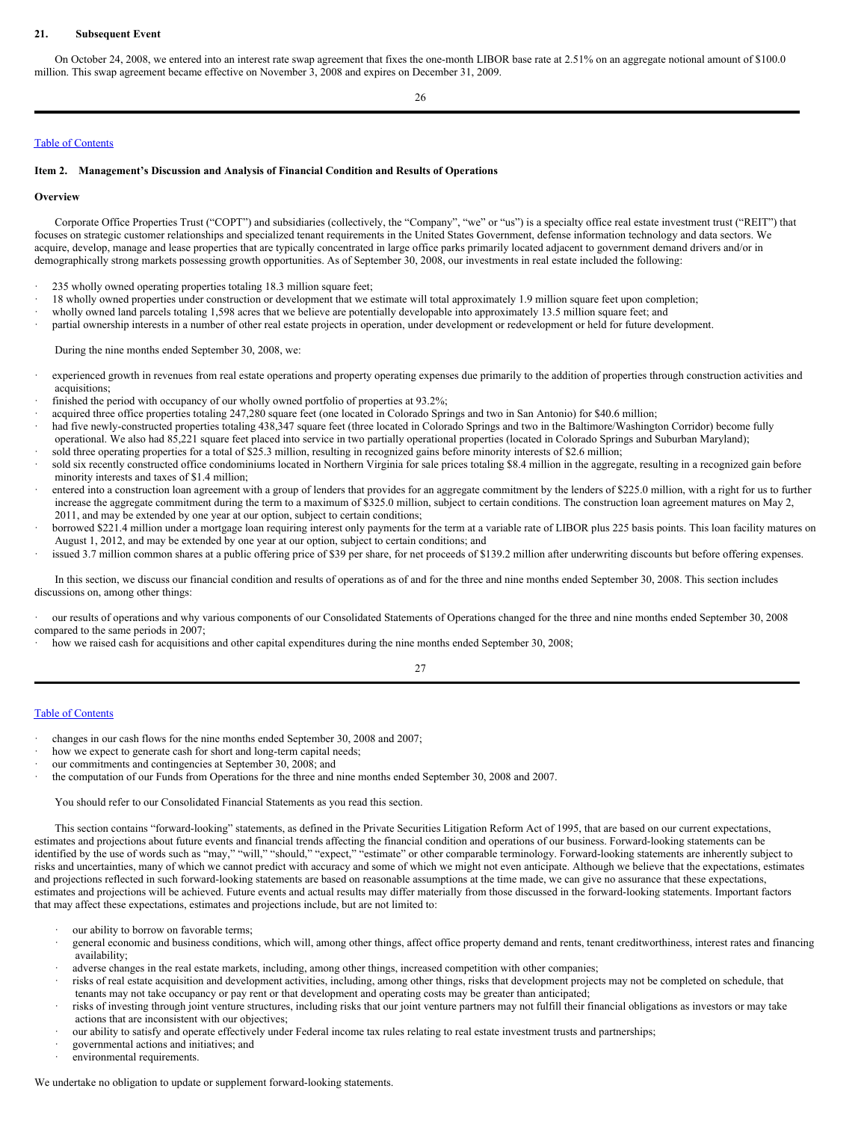### **21. Subsequent Event**

On October 24, 2008, we entered into an interest rate swap agreement that fixes the one-month LIBOR base rate at 2.51% on an aggregate notional amount of \$100.0 million. This swap agreement became effective on November 3, 2008 and expires on December 31, 2009.

<span id="page-16-0"></span>26

# Table of [Contents](#page-0-0)

#### **Item 2. Management's Discussion and Analysis of Financial Condition and Results of Operations**

### **Overview**

Corporate Office Properties Trust ("COPT") and subsidiaries (collectively, the "Company", "we" or "us") is a specialty office real estate investment trust ("REIT") that focuses on strategic customer relationships and specialized tenant requirements in the United States Government, defense information technology and data sectors. We acquire, develop, manage and lease properties that are typically concentrated in large office parks primarily located adjacent to government demand drivers and/or in demographically strong markets possessing growth opportunities. As of September 30, 2008, our investments in real estate included the following:

- 235 wholly owned operating properties totaling 18.3 million square feet;
- · 18 wholly owned properties under construction or development that we estimate will total approximately 1.9 million square feet upon completion;
- · wholly owned land parcels totaling 1,598 acres that we believe are potentially developable into approximately 13.5 million square feet; and
- partial ownership interests in a number of other real estate projects in operation, under development or redevelopment or held for future development.

During the nine months ended September 30, 2008, we:

- experienced growth in revenues from real estate operations and property operating expenses due primarily to the addition of properties through construction activities and acquisitions;
- finished the period with occupancy of our wholly owned portfolio of properties at 93.2%;
- acquired three office properties totaling 247,280 square feet (one located in Colorado Springs and two in San Antonio) for \$40.6 million;
- had five newly-constructed properties totaling 438,347 square feet (three located in Colorado Springs and two in the Baltimore/Washington Corridor) become fully operational. We also had 85,221 square feet placed into service in two partially operational properties (located in Colorado Springs and Suburban Maryland);
- sold three operating properties for a total of \$25.3 million, resulting in recognized gains before minority interests of \$2.6 million;
- sold six recently constructed office condominiums located in Northern Virginia for sale prices totaling \$8.4 million in the aggregate, resulting in a recognized gain before minority interests and taxes of \$1.4 million;
- entered into a construction loan agreement with a group of lenders that provides for an aggregate commitment by the lenders of \$225.0 million, with a right for us to further increase the aggregate commitment during the term to a maximum of \$325.0 million, subject to certain conditions. The construction loan agreement matures on May 2, 2011, and may be extended by one year at our option, subject to certain conditions;
- borrowed \$221.4 million under a mortgage loan requiring interest only payments for the term at a variable rate of LIBOR plus 225 basis points. This loan facility matures on August 1, 2012, and may be extended by one year at our option, subject to certain conditions; and
- · issued 3.7 million common shares at a public offering price of \$39 per share, for net proceeds of \$139.2 million after underwriting discounts but before offering expenses.

In this section, we discuss our financial condition and results of operations as of and for the three and nine months ended September 30, 2008. This section includes discussions on, among other things:

· our results of operations and why various components of our Consolidated Statements of Operations changed for the three and nine months ended September 30, 2008 compared to the same periods in 2007;

how we raised cash for acquisitions and other capital expenditures during the nine months ended September 30, 2008;

27

# Table of [Contents](#page-0-0)

- · changes in our cash flows for the nine months ended September 30, 2008 and 2007;
- how we expect to generate cash for short and long-term capital needs;
- our commitments and contingencies at September 30, 2008; and
- the computation of our Funds from Operations for the three and nine months ended September 30, 2008 and 2007.

You should refer to our Consolidated Financial Statements as you read this section.

This section contains "forward-looking" statements, as defined in the Private Securities Litigation Reform Act of 1995, that are based on our current expectations, estimates and projections about future events and financial trends affecting the financial condition and operations of our business. Forward-looking statements can be identified by the use of words such as "may," "will," "should," "expect," "estimate" or other comparable terminology. Forward-looking statements are inherently subject to risks and uncertainties, many of which we cannot predict with accuracy and some of which we might not even anticipate. Although we believe that the expectations, estimates and projections reflected in such forward-looking statements are based on reasonable assumptions at the time made, we can give no assurance that these expectations, estimates and projections will be achieved. Future events and actual results may differ materially from those discussed in the forward-looking statements. Important factors that may affect these expectations, estimates and projections include, but are not limited to:

- our ability to borrow on favorable terms;
- · general economic and business conditions, which will, among other things, affect office property demand and rents, tenant creditworthiness, interest rates and financing availability;
- adverse changes in the real estate markets, including, among other things, increased competition with other companies;
- · risks of real estate acquisition and development activities, including, among other things, risks that development projects may not be completed on schedule, that tenants may not take occupancy or pay rent or that development and operating costs may be greater than anticipated;
- · risks of investing through joint venture structures, including risks that our joint venture partners may not fulfill their financial obligations as investors or may take actions that are inconsistent with our objectives;
- our ability to satisfy and operate effectively under Federal income tax rules relating to real estate investment trusts and partnerships;
- · governmental actions and initiatives; and
- environmental requirements.

We undertake no obligation to update or supplement forward-looking statements.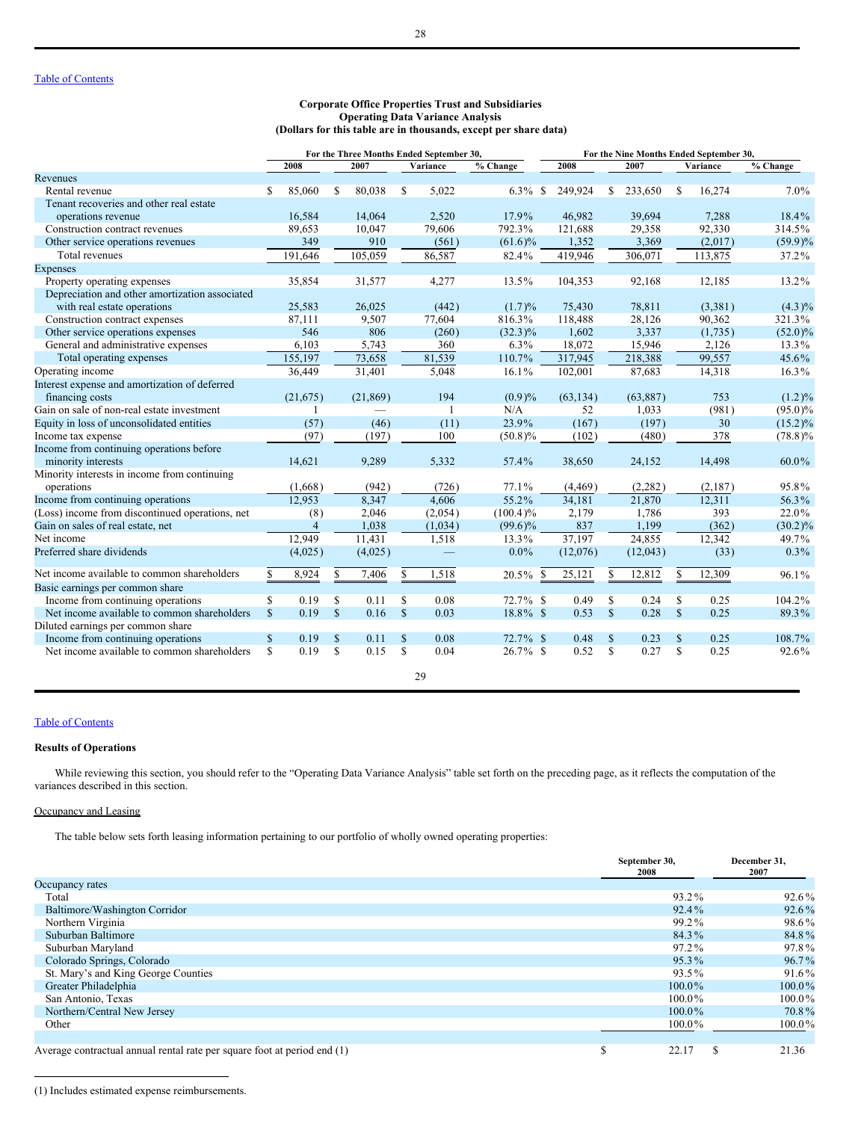# **Corporate Office Properties Trust and Subsidiaries Operating Data Variance Analysis (Dollars for this table are in thousands, except per share data)**

|                                                 |              |                | For the Three Months Ended September 30, |           |              |          |             |               | For the Nine Months Ended September 30, |                    |          |               |          |            |
|-------------------------------------------------|--------------|----------------|------------------------------------------|-----------|--------------|----------|-------------|---------------|-----------------------------------------|--------------------|----------|---------------|----------|------------|
|                                                 |              | 2008           |                                          | 2007      |              | Variance | % Change    |               | 2008                                    |                    | 2007     |               | Variance | % Change   |
| Revenues                                        |              |                |                                          |           |              |          |             |               |                                         |                    |          |               |          |            |
| Rental revenue                                  | \$.          | 85,060         | \$                                       | 80,038    | S            | 5,022    | $6.3\%$ \$  |               | 249,924                                 | \$                 | 233,650  | <sup>\$</sup> | 16,274   | 7.0%       |
| Tenant recoveries and other real estate         |              |                |                                          |           |              |          |             |               |                                         |                    |          |               |          |            |
| operations revenue                              |              | 16.584         |                                          | 14.064    |              | 2.520    | 17.9%       |               | 46.982                                  |                    | 39.694   |               | 7.288    | $18.4\%$   |
| Construction contract revenues                  |              | 89,653         |                                          | 10,047    |              | 79,606   | 792.3%      |               | 121,688                                 |                    | 29,358   |               | 92,330   | 314.5%     |
| Other service operations revenues               |              | 349            |                                          | 910       |              | (561)    | $(61.6)\%$  |               | 1,352                                   |                    | 3,369    |               | (2,017)  | $(59.9)\%$ |
| Total revenues                                  |              | 191,646        |                                          | 105,059   |              | 86,587   | 82.4%       |               | 419,946                                 |                    | 306,071  |               | 113,875  | 37.2%      |
| <b>Expenses</b>                                 |              |                |                                          |           |              |          |             |               |                                         |                    |          |               |          |            |
| Property operating expenses                     |              | 35,854         |                                          | 31,577    |              | 4,277    | 13.5%       |               | 104,353                                 |                    | 92,168   |               | 12,185   | 13.2%      |
| Depreciation and other amortization associated  |              |                |                                          |           |              |          |             |               |                                         |                    |          |               |          |            |
| with real estate operations                     |              | 25,583         |                                          | 26,025    |              | (442)    | (1.7)%      |               | 75,430                                  |                    | 78,811   |               | (3,381)  | $(4.3)\%$  |
| Construction contract expenses                  |              | 87,111         |                                          | 9,507     |              | 77,604   | 816.3%      |               | 118,488                                 |                    | 28,126   |               | 90,362   | 321.3%     |
| Other service operations expenses               |              | 546            |                                          | 806       |              | (260)    | $(32.3)\%$  |               | 1,602                                   |                    | 3,337    |               | (1,735)  | $(52.0)\%$ |
| General and administrative expenses             |              | 6,103          |                                          | 5,743     |              | 360      | 6.3%        |               | 18,072                                  |                    | 15,946   |               | 2,126    | 13.3%      |
| Total operating expenses                        |              | 155,197        |                                          | 73,658    |              | 81,539   | 110.7%      |               | 317,945                                 |                    | 218,388  |               | 99,557   | 45.6%      |
| Operating income                                |              | 36,449         |                                          | 31,401    |              | 5,048    | 16.1%       |               | 102,001                                 |                    | 87,683   |               | 14,318   | $16.3\%$   |
| Interest expense and amortization of deferred   |              |                |                                          |           |              |          |             |               |                                         |                    |          |               |          |            |
| financing costs                                 |              | (21,675)       |                                          | (21, 869) |              | 194      | (0.9)%      |               | (63, 134)                               |                    | (63,887) |               | 753      | $(1.2)\%$  |
| Gain on sale of non-real estate investment      |              | 1              |                                          |           |              | -1       | N/A         |               | 52                                      |                    | 1,033    |               | (981)    | $(95.0)\%$ |
| Equity in loss of unconsolidated entities       |              | (57)           |                                          | (46)      |              | (11)     | 23.9%       |               | (167)                                   |                    | (197)    |               | 30       | $(15.2)\%$ |
| Income tax expense                              |              | (97)           |                                          | (197)     |              | 100      | $(50.8)\%$  |               | (102)                                   |                    | (480)    |               | 378      | $(78.8)\%$ |
| Income from continuing operations before        |              |                |                                          |           |              |          |             |               |                                         |                    |          |               |          |            |
| minority interests                              |              | 14,621         |                                          | 9,289     |              | 5,332    | 57.4%       |               | 38,650                                  |                    | 24,152   |               | 14,498   | 60.0%      |
| Minority interests in income from continuing    |              |                |                                          |           |              |          |             |               |                                         |                    |          |               |          |            |
| operations                                      |              | (1,668)        |                                          | (942)     |              | (726)    | 77.1%       |               | (4, 469)                                |                    | (2,282)  |               | (2,187)  | 95.8%      |
| Income from continuing operations               |              | 12,953         |                                          | 8,347     |              | 4,606    | 55.2%       |               | 34,181                                  |                    | 21,870   |               | 12,311   | 56.3%      |
| (Loss) income from discontinued operations, net |              | (8)            |                                          | 2,046     |              | (2,054)  | $(100.4)\%$ |               | 2,179                                   |                    | 1,786    |               | 393      | 22.0%      |
| Gain on sales of real estate, net               |              | $\overline{A}$ |                                          | 1,038     |              | (1,034)  | $(99.6)\%$  |               | 837                                     |                    | 1,199    |               | (362)    | $(30.2)\%$ |
| Net income                                      |              | 12.949         |                                          | 11,431    |              | 1,518    | 13.3%       |               | 37.197                                  |                    | 24.855   |               | 12.342   | 49.7%      |
| Preferred share dividends                       |              | (4,025)        |                                          | (4,025)   |              |          | $0.0\%$     |               | (12,076)                                |                    | (12,043) |               | (33)     | $0.3\%$    |
|                                                 |              |                |                                          |           |              |          |             |               |                                         |                    |          |               |          |            |
| Net income available to common shareholders     | $\mathbb{S}$ | 8,924          | \$                                       | 7,406     | S            | 1,518    | 20.5%       | <sup>\$</sup> | 25,121                                  | \$                 | 12,812   | \$            | 12,309   | 96.1%      |
| Basic earnings per common share                 |              |                |                                          |           |              |          |             |               |                                         |                    |          |               |          |            |
| Income from continuing operations               | $\mathbf S$  | 0.19           | S                                        | 0.11      | S            | 0.08     | $72.7\%$ \$ |               | 0.49                                    | \$                 | 0.24     | \$            | 0.25     | 104.2%     |
| Net income available to common shareholders     | $\mathbf S$  | 0.19           | $\mathbf S$                              | 0.16      | $\mathbf S$  | 0.03     | 18.8% \$    |               | 0.53                                    | $\mathbf S$        | 0.28     | $\mathbf S$   | 0.25     | 89.3%      |
| Diluted earnings per common share               |              |                |                                          |           |              |          |             |               |                                         |                    |          |               |          |            |
| Income from continuing operations               | $\mathbb{S}$ | 0.19           | $\mathbb{S}$                             | 0.11      | $\mathbb{S}$ | 0.08     | $72.7\%$ \$ |               | 0.48                                    | $\mathsf{\$}$      | 0.23     | $\mathbf{s}$  | 0.25     | 108.7%     |
| Net income available to common shareholders     | $\mathbf S$  | 0.19           | <sup>\$</sup>                            | 0.15      | \$.          | 0.04     | $26.7\%$ \$ |               | 0.52                                    | $\mathbf{\hat{S}}$ | 0.27     | $\mathcal{S}$ | 0.25     | 92.6%      |
|                                                 |              |                |                                          |           |              |          |             |               |                                         |                    |          |               |          |            |
|                                                 |              |                |                                          |           |              | 29       |             |               |                                         |                    |          |               |          |            |

# Table of [Contents](#page-0-0)

# **Results of Operations**

While reviewing this section, you should refer to the "Operating Data Variance Analysis" table set forth on the preceding page, as it reflects the computation of the variances described in this section.

# Occupancy and Leasing

The table below sets forth leasing information pertaining to our portfolio of wholly owned operating properties:

|                                                                          | September 30,<br>2008 | December 31,<br>2007 |
|--------------------------------------------------------------------------|-----------------------|----------------------|
| Occupancy rates                                                          |                       |                      |
| Total                                                                    | 93.2%                 | 92.6%                |
| Baltimore/Washington Corridor                                            | $92.4\%$              | $92.6\%$             |
| Northern Virginia                                                        | 99.2%                 | 98.6%                |
| Suburban Baltimore                                                       | 84.3%                 | 84.8%                |
| Suburban Maryland                                                        | $97.2\%$              | 97.8%                |
| Colorado Springs, Colorado                                               | $95.3\%$              | $96.7\%$             |
| St. Mary's and King George Counties                                      | 93.5%                 | 91.6%                |
| Greater Philadelphia                                                     | $100.0\%$             | $100.0\%$            |
| San Antonio, Texas                                                       | $100.0\%$             | $100.0\%$            |
| Northern/Central New Jersey                                              | $100.0\%$             | 70.8%                |
| Other                                                                    | $100.0\%$             | $100.0\%$            |
|                                                                          |                       |                      |
| Average contractual annual rental rate per square foot at period end (1) | S<br>22.17            | 21.36                |

<sup>(1)</sup> Includes estimated expense reimbursements.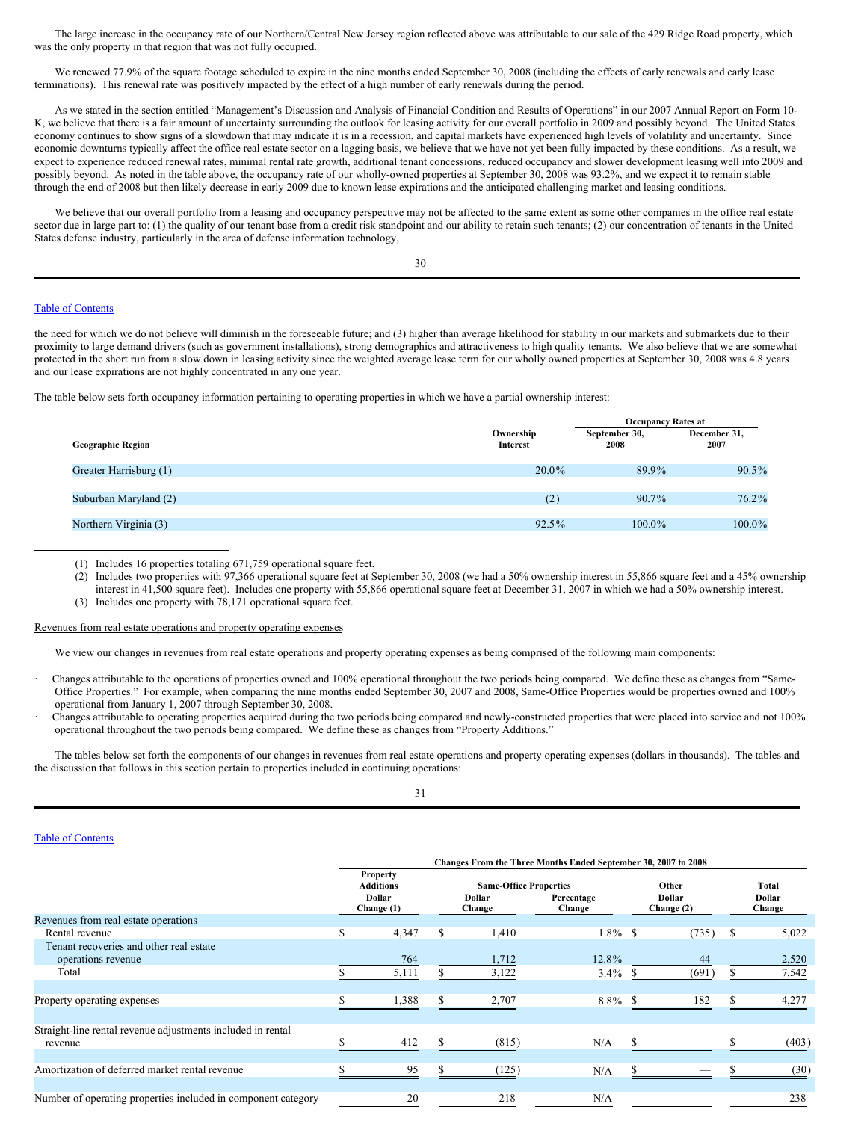The large increase in the occupancy rate of our Northern/Central New Jersey region reflected above was attributable to our sale of the 429 Ridge Road property, which was the only property in that region that was not fully occupied.

We renewed 77.9% of the square footage scheduled to expire in the nine months ended September 30, 2008 (including the effects of early renewals and early lease terminations). This renewal rate was positively impacted by the effect of a high number of early renewals during the period.

As we stated in the section entitled "Management's Discussion and Analysis of Financial Condition and Results of Operations" in our 2007 Annual Report on Form 10- K, we believe that there is a fair amount of uncertainty surrounding the outlook for leasing activity for our overall portfolio in 2009 and possibly beyond. The United States economy continues to show signs of a slowdown that may indicate it is in a recession, and capital markets have experienced high levels of volatility and uncertainty. Since economic downturns typically affect the office real estate sector on a lagging basis, we believe that we have not yet been fully impacted by these conditions. As a result, we expect to experience reduced renewal rates, minimal rental rate growth, additional tenant concessions, reduced occupancy and slower development leasing well into 2009 and possibly beyond. As noted in the table above, the occupancy rate of our wholly-owned properties at September 30, 2008 was 93.2%, and we expect it to remain stable through the end of 2008 but then likely decrease in early 2009 due to known lease expirations and the anticipated challenging market and leasing conditions.

We believe that our overall portfolio from a leasing and occupancy perspective may not be affected to the same extent as some other companies in the office real estate sector due in large part to: (1) the quality of our tenant base from a credit risk standpoint and our ability to retain such tenants; (2) our concentration of tenants in the United States defense industry, particularly in the area of defense information technology,

30

### Table of [Contents](#page-0-0)

the need for which we do not believe will diminish in the foreseeable future; and (3) higher than average likelihood for stability in our markets and submarkets due to their proximity to large demand drivers (such as government installations), strong demographics and attractiveness to high quality tenants. We also believe that we are somewhat protected in the short run from a slow down in leasing activity since the weighted average lease term for our wholly owned properties at September 30, 2008 was 4.8 years and our lease expirations are not highly concentrated in any one year.

The table below sets forth occupancy information pertaining to operating properties in which we have a partial ownership interest:

|                          |                       | <b>Occupancy Rates at</b> |                      |
|--------------------------|-----------------------|---------------------------|----------------------|
| <b>Geographic Region</b> | Ownership<br>Interest | September 30,<br>2008     | December 31,<br>2007 |
| Greater Harrisburg (1)   | $20.0\%$              | 89.9%                     | $90.5\%$             |
| Suburban Maryland (2)    | (2)                   | 90.7%                     | 76.2%                |
| Northern Virginia (3)    | 92.5%                 | 100.0%                    | 100.0%               |

<sup>(1)</sup> Includes 16 properties totaling 671,759 operational square feet.

(2) Includes two properties with 97,366 operational square feet at September 30, 2008 (we had a 50% ownership interest in 55,866 square feet and a 45% ownership interest in 41,500 square feet). Includes one property with 55,866 operational square feet at December 31, 2007 in which we had a 50% ownership interest.

#### Revenues from real estate operations and property operating expenses

We view our changes in revenues from real estate operations and property operating expenses as being comprised of the following main components:

- · Changes attributable to the operations of properties owned and 100% operational throughout the two periods being compared. We define these as changes from "Same-Office Properties." For example, when comparing the nine months ended September 30, 2007 and 2008, Same-Office Properties would be properties owned and 100% operational from January 1, 2007 through September 30, 2008.
- · Changes attributable to operating properties acquired during the two periods being compared and newly-constructed properties that were placed into service and not 100% operational throughout the two periods being compared. We define these as changes from "Property Additions."

The tables below set forth the components of our changes in revenues from real estate operations and property operating expenses (dollars in thousands). The tables and the discussion that follows in this section pertain to properties included in continuing operations:

### 31

# Table of [Contents](#page-0-0)

|                                                               | Changes From the Three Months Ended September 30, 2007 to 2008 |                                                             |    |                                                          |                      |  |                                      |    |                           |
|---------------------------------------------------------------|----------------------------------------------------------------|-------------------------------------------------------------|----|----------------------------------------------------------|----------------------|--|--------------------------------------|----|---------------------------|
|                                                               |                                                                | <b>Property</b><br><b>Additions</b><br>Dollar<br>Change (1) |    | <b>Same-Office Properties</b><br><b>Dollar</b><br>Change | Percentage<br>Change |  | Other<br><b>Dollar</b><br>Change (2) |    | Total<br>Dollar<br>Change |
| Revenues from real estate operations                          |                                                                |                                                             |    |                                                          |                      |  |                                      |    |                           |
| Rental revenue                                                | S                                                              | 4,347                                                       | \$ | 1,410                                                    | $1.8\%$ \$           |  | (735)                                | -S | 5,022                     |
| Tenant recoveries and other real estate                       |                                                                |                                                             |    |                                                          |                      |  |                                      |    |                           |
| operations revenue                                            |                                                                | 764                                                         |    | 1,712                                                    | 12.8%                |  | 44                                   |    | 2,520                     |
| Total                                                         |                                                                | 5,111                                                       |    | 3,122                                                    | $3.4\%$              |  | (691)                                |    | 7,542                     |
|                                                               |                                                                |                                                             |    |                                                          |                      |  |                                      |    |                           |
| Property operating expenses                                   |                                                                | 1,388                                                       |    | 2,707                                                    | $8.8\%$              |  | 182                                  |    | 4,277                     |
|                                                               |                                                                |                                                             |    |                                                          |                      |  |                                      |    |                           |
| Straight-line rental revenue adjustments included in rental   |                                                                |                                                             |    |                                                          |                      |  |                                      |    |                           |
| revenue                                                       |                                                                | 412                                                         |    | (815)                                                    | N/A                  |  |                                      |    | (403)                     |
|                                                               |                                                                |                                                             |    |                                                          |                      |  |                                      |    |                           |
| Amortization of deferred market rental revenue                |                                                                | 95                                                          | \$ | (125)                                                    | N/A                  |  |                                      |    | (30)                      |
|                                                               |                                                                |                                                             |    |                                                          |                      |  |                                      |    |                           |
| Number of operating properties included in component category |                                                                | 20                                                          |    | 218                                                      | N/A                  |  |                                      |    | 238                       |
|                                                               |                                                                |                                                             |    |                                                          |                      |  |                                      |    |                           |

<sup>(3)</sup> Includes one property with 78,171 operational square feet.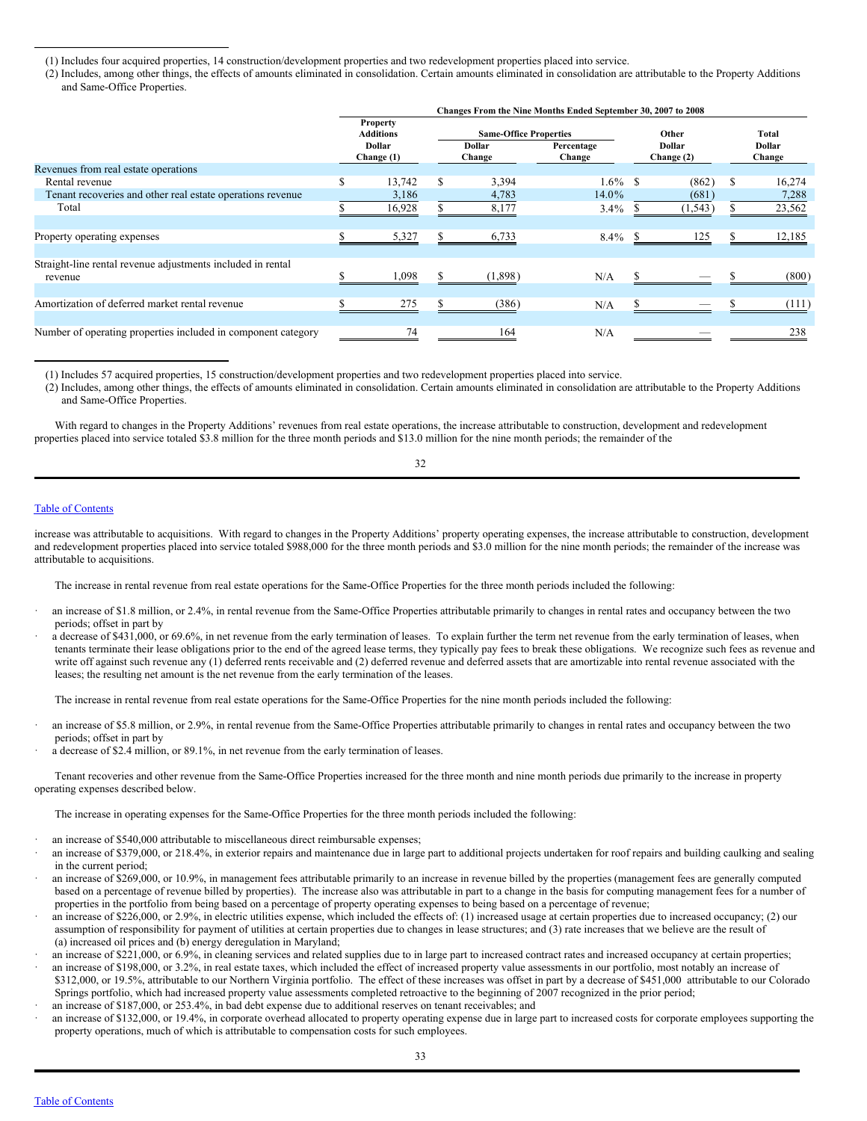(1) Includes four acquired properties, 14 construction/development properties and two redevelopment properties placed into service.

(2) Includes, among other things, the effects of amounts eliminated in consolidation. Certain amounts eliminated in consolidation are attributable to the Property Additions and Same-Office Properties.

|                                                                        | Changes From the Nine Months Ended September 30, 2007 to 2008 |                                     |                  |                               |                      |  |                             |   |                         |  |
|------------------------------------------------------------------------|---------------------------------------------------------------|-------------------------------------|------------------|-------------------------------|----------------------|--|-----------------------------|---|-------------------------|--|
|                                                                        |                                                               | <b>Property</b><br><b>Additions</b> |                  | <b>Same-Office Properties</b> |                      |  | Other                       |   | Total                   |  |
|                                                                        |                                                               | <b>Dollar</b><br>Change (1)         | Dollar<br>Change |                               | Percentage<br>Change |  | <b>Dollar</b><br>Change (2) |   | <b>Dollar</b><br>Change |  |
| Revenues from real estate operations                                   |                                                               |                                     |                  |                               |                      |  |                             |   |                         |  |
| Rental revenue                                                         | S                                                             | 13,742                              | \$               | 3,394                         | $1.6\%$ \$           |  | (862)                       | ъ | 16,274                  |  |
| Tenant recoveries and other real estate operations revenue             |                                                               | 3,186                               |                  | 4,783                         | $14.0\%$             |  | (681)                       |   | 7,288                   |  |
| Total                                                                  |                                                               | 16,928                              |                  | 8,177                         | 3.4%                 |  | (1, 543)                    |   | 23,562                  |  |
| Property operating expenses                                            |                                                               | 5,327                               |                  | 6,733                         | $8.4\%$              |  | 125                         |   | 12,185                  |  |
| Straight-line rental revenue adjustments included in rental<br>revenue |                                                               | 1,098                               |                  | (1,898)                       | N/A                  |  |                             |   | (800)                   |  |
| Amortization of deferred market rental revenue                         |                                                               | 275                                 |                  | (386)                         | N/A                  |  |                             |   | (111)                   |  |
| Number of operating properties included in component category          |                                                               | 74                                  |                  | 164                           | N/A                  |  |                             |   | 238                     |  |

(1) Includes 57 acquired properties, 15 construction/development properties and two redevelopment properties placed into service.

(2) Includes, among other things, the effects of amounts eliminated in consolidation. Certain amounts eliminated in consolidation are attributable to the Property Additions and Same-Office Properties.

With regard to changes in the Property Additions' revenues from real estate operations, the increase attributable to construction, development and redevelopment properties placed into service totaled \$3.8 million for the three month periods and \$13.0 million for the nine month periods; the remainder of the

|         | v |
|---------|---|
| I       |   |
| ÷<br>۰. |   |

# Table of [Contents](#page-0-0)

increase was attributable to acquisitions. With regard to changes in the Property Additions' property operating expenses, the increase attributable to construction, development and redevelopment properties placed into service totaled \$988,000 for the three month periods and \$3.0 million for the nine month periods; the remainder of the increase was attributable to acquisitions.

The increase in rental revenue from real estate operations for the Same-Office Properties for the three month periods included the following:

- an increase of \$1.8 million, or 2.4%, in rental revenue from the Same-Office Properties attributable primarily to changes in rental rates and occupancy between the two periods; offset in part by
- a decrease of \$431,000, or 69.6%, in net revenue from the early termination of leases. To explain further the term net revenue from the early termination of leases, when tenants terminate their lease obligations prior to the end of the agreed lease terms, they typically pay fees to break these obligations. We recognize such fees as revenue and write off against such revenue any (1) deferred rents receivable and (2) deferred revenue and deferred assets that are amortizable into rental revenue associated with the leases; the resulting net amount is the net revenue from the early termination of the leases.

The increase in rental revenue from real estate operations for the Same-Office Properties for the nine month periods included the following:

- an increase of \$5.8 million, or 2.9%, in rental revenue from the Same-Office Properties attributable primarily to changes in rental rates and occupancy between the two periods; offset in part by
- a decrease of \$2.4 million, or 89.1%, in net revenue from the early termination of leases.

Tenant recoveries and other revenue from the Same-Office Properties increased for the three month and nine month periods due primarily to the increase in property operating expenses described below.

The increase in operating expenses for the Same-Office Properties for the three month periods included the following:

- an increase of \$540,000 attributable to miscellaneous direct reimbursable expenses;
- an increase of \$379,000, or 218.4%, in exterior repairs and maintenance due in large part to additional projects undertaken for roof repairs and building caulking and sealing in the current period;
- an increase of \$269,000, or 10.9%, in management fees attributable primarily to an increase in revenue billed by the properties (management fees are generally computed based on a percentage of revenue billed by properties). The increase also was attributable in part to a change in the basis for computing management fees for a number of properties in the portfolio from being based on a percentage of property operating expenses to being based on a percentage of revenue;
- an increase of \$226,000, or 2.9%, in electric utilities expense, which included the effects of: (1) increased usage at certain properties due to increased occupancy; (2) our assumption of responsibility for payment of utilities at certain properties due to changes in lease structures; and (3) rate increases that we believe are the result of (a) increased oil prices and (b) energy deregulation in Maryland;
- an increase of \$221,000, or 6.9%, in cleaning services and related supplies due to in large part to increased contract rates and increased occupancy at certain properties;
- an increase of \$198,000, or 3.2%, in real estate taxes, which included the effect of increased property value assessments in our portfolio, most notably an increase of \$312,000, or 19.5%, attributable to our Northern Virginia portfolio. The effect of these increases was offset in part by a decrease of \$451,000 attributable to our Colorado Springs portfolio, which had increased property value assessments completed retroactive to the beginning of 2007 recognized in the prior period;
- an increase of \$187,000, or 253.4%, in bad debt expense due to additional reserves on tenant receivables; and
- an increase of \$132,000, or 19.4%, in corporate overhead allocated to property operating expense due in large part to increased costs for corporate employees supporting the property operations, much of which is attributable to compensation costs for such employees.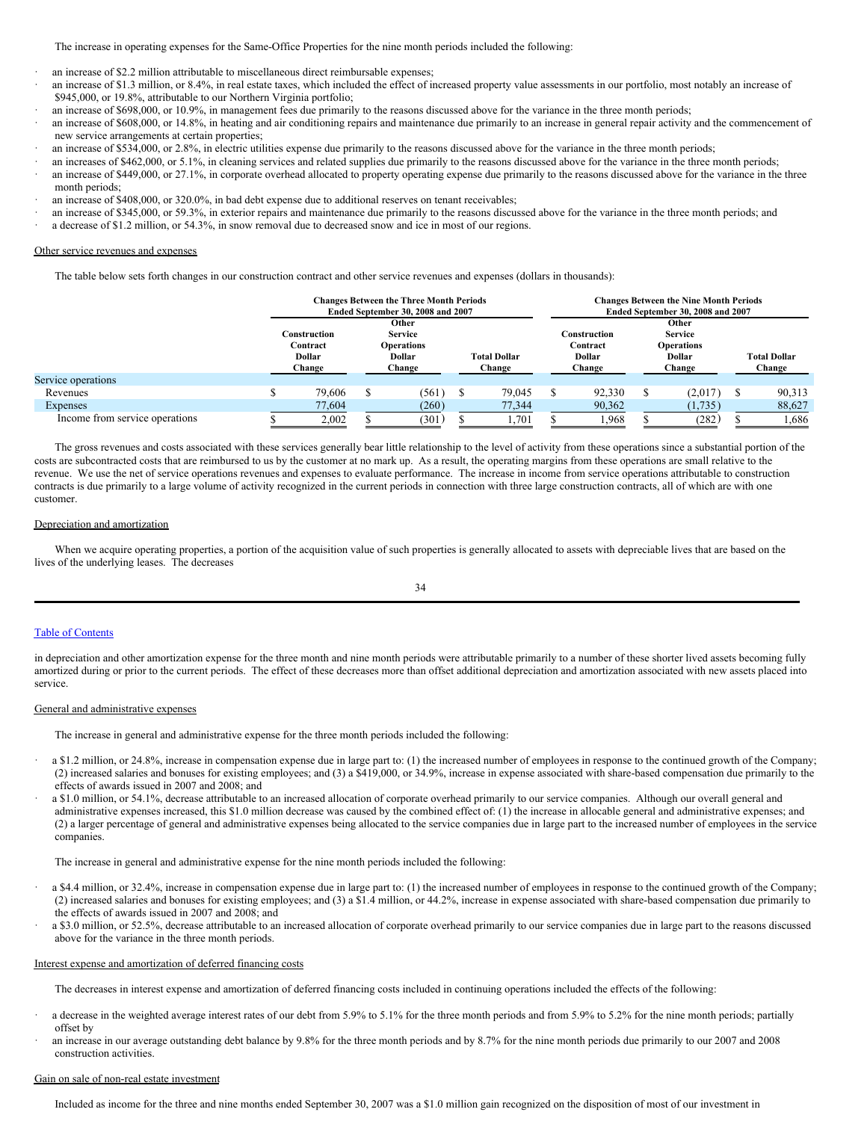The increase in operating expenses for the Same-Office Properties for the nine month periods included the following:

- an increase of \$2.2 million attributable to miscellaneous direct reimbursable expenses;
- an increase of \$1.3 million, or 8.4%, in real estate taxes, which included the effect of increased property value assessments in our portfolio, most notably an increase of \$945,000, or 19.8%, attributable to our Northern Virginia portfolio;
- an increase of \$698,000, or 10.9%, in management fees due primarily to the reasons discussed above for the variance in the three month periods;
- an increase of \$608,000, or 14.8%, in heating and air conditioning repairs and maintenance due primarily to an increase in general repair activity and the commencement of new service arrangements at certain properties;
- an increase of \$534,000, or 2.8%, in electric utilities expense due primarily to the reasons discussed above for the variance in the three month periods;
- an increases of \$462,000, or 5.1%, in cleaning services and related supplies due primarily to the reasons discussed above for the variance in the three month periods;
- an increase of \$449,000, or 27.1%, in corporate overhead allocated to property operating expense due primarily to the reasons discussed above for the variance in the three month periods;
- an increase of \$408,000, or 320.0%, in bad debt expense due to additional reserves on tenant receivables;
- an increase of \$345,000, or 59.3%, in exterior repairs and maintenance due primarily to the reasons discussed above for the variance in the three month periods; and
- a decrease of \$1.2 million, or 54.3%, in snow removal due to decreased snow and ice in most of our regions.

### Other service revenues and expenses

The table below sets forth changes in our construction contract and other service revenues and expenses (dollars in thousands):

|                                | <b>Changes Between the Three Month Periods</b><br>Ended September 30, 2008 and 2007 |  |                                                                  |  |                               |  |                                                     | <b>Changes Between the Nine Month Periods</b><br>Ended September 30, 2008 and 2007 |                               |
|--------------------------------|-------------------------------------------------------------------------------------|--|------------------------------------------------------------------|--|-------------------------------|--|-----------------------------------------------------|------------------------------------------------------------------------------------|-------------------------------|
|                                | Construction<br>Contract<br><b>Dollar</b><br>Change                                 |  | Other<br><b>Service</b><br><b>Operations</b><br>Dollar<br>Change |  | <b>Total Dollar</b><br>Change |  | Construction<br>Contract<br><b>Dollar</b><br>Change | Other<br><b>Service</b><br><b>Operations</b><br>Dollar<br>Change                   | <b>Total Dollar</b><br>Change |
| Service operations             |                                                                                     |  |                                                                  |  |                               |  |                                                     |                                                                                    |                               |
| Revenues                       | 79.606                                                                              |  | (561)                                                            |  | 79.045                        |  | 92.330                                              | (2,017)                                                                            | 90,313                        |
| Expenses                       | 77,604                                                                              |  | (260)                                                            |  | 77,344                        |  | 90,362                                              | (1,735)                                                                            | 88,627                        |
| Income from service operations | 2.002                                                                               |  | (301)                                                            |  | 1,701                         |  | 1,968                                               | (282,                                                                              | 1,686                         |

The gross revenues and costs associated with these services generally bear little relationship to the level of activity from these operations since a substantial portion of the costs are subcontracted costs that are reimbursed to us by the customer at no mark up. As a result, the operating margins from these operations are small relative to the revenue. We use the net of service operations revenues and expenses to evaluate performance. The increase in income from service operations attributable to construction contracts is due primarily to a large volume of activity recognized in the current periods in connection with three large construction contracts, all of which are with one customer.

# Depreciation and amortization

When we acquire operating properties, a portion of the acquisition value of such properties is generally allocated to assets with depreciable lives that are based on the lives of the underlying leases. The decreases

34

### Table of [Contents](#page-0-0)

in depreciation and other amortization expense for the three month and nine month periods were attributable primarily to a number of these shorter lived assets becoming fully amortized during or prior to the current periods. The effect of these decreases more than offset additional depreciation and amortization associated with new assets placed into service.

### General and administrative expenses

The increase in general and administrative expense for the three month periods included the following:

- · a \$1.2 million, or 24.8%, increase in compensation expense due in large part to: (1) the increased number of employees in response to the continued growth of the Company; (2) increased salaries and bonuses for existing employees; and (3) a \$419,000, or 34.9%, increase in expense associated with share-based compensation due primarily to the effects of awards issued in 2007 and 2008; and
- a \$1.0 million, or 54.1%, decrease attributable to an increased allocation of corporate overhead primarily to our service companies. Although our overall general and administrative expenses increased, this \$1.0 million decrease was caused by the combined effect of: (1) the increase in allocable general and administrative expenses; and (2) a larger percentage of general and administrative expenses being allocated to the service companies due in large part to the increased number of employees in the service companies.

The increase in general and administrative expense for the nine month periods included the following:

- · a \$4.4 million, or 32.4%, increase in compensation expense due in large part to: (1) the increased number of employees in response to the continued growth of the Company; (2) increased salaries and bonuses for existing employees; and (3) a \$1.4 million, or 44.2%, increase in expense associated with share-based compensation due primarily to the effects of awards issued in 2007 and 2008; and
- a \$3.0 million, or 52.5%, decrease attributable to an increased allocation of corporate overhead primarily to our service companies due in large part to the reasons discussed above for the variance in the three month periods.

#### Interest expense and amortization of deferred financing costs

The decreases in interest expense and amortization of deferred financing costs included in continuing operations included the effects of the following:

- a decrease in the weighted average interest rates of our debt from 5.9% to 5.1% for the three month periods and from 5.9% to 5.2% for the nine month periods; partially offset by
- · an increase in our average outstanding debt balance by 9.8% for the three month periods and by 8.7% for the nine month periods due primarily to our 2007 and 2008 construction activities.

# Gain on sale of non-real estate investment

Included as income for the three and nine months ended September 30, 2007 was a \$1.0 million gain recognized on the disposition of most of our investment in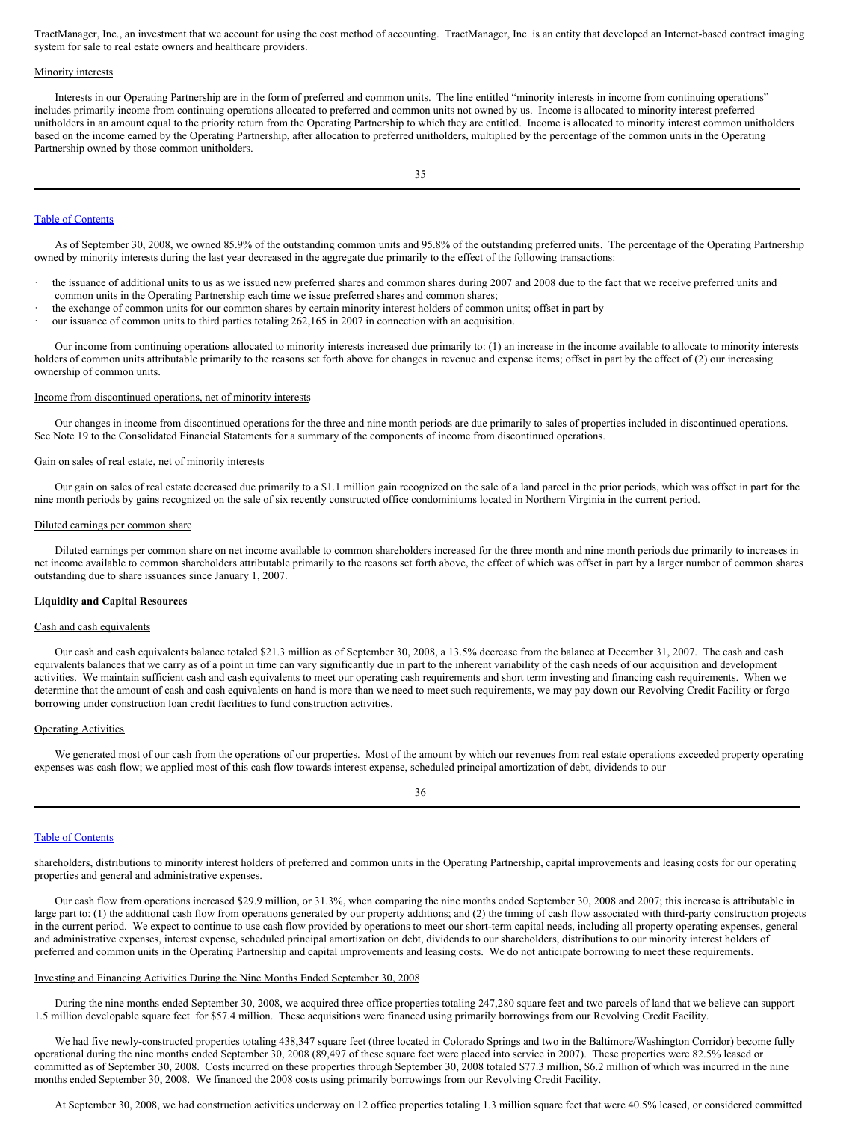TractManager, Inc., an investment that we account for using the cost method of accounting. TractManager, Inc. is an entity that developed an Internet-based contract imaging system for sale to real estate owners and healthcare providers.

#### **Minority interests**

Interests in our Operating Partnership are in the form of preferred and common units. The line entitled "minority interests in income from continuing operations" includes primarily income from continuing operations allocated to preferred and common units not owned by us. Income is allocated to minority interest preferred unitholders in an amount equal to the priority return from the Operating Partnership to which they are entitled. Income is allocated to minority interest common unitholders based on the income earned by the Operating Partnership, after allocation to preferred unitholders, multiplied by the percentage of the common units in the Operating Partnership owned by those common unitholders.

### Table of [Contents](#page-0-0)

As of September 30, 2008, we owned 85.9% of the outstanding common units and 95.8% of the outstanding preferred units. The percentage of the Operating Partnership owned by minority interests during the last year decreased in the aggregate due primarily to the effect of the following transactions:

- the issuance of additional units to us as we issued new preferred shares and common shares during 2007 and 2008 due to the fact that we receive preferred units and common units in the Operating Partnership each time we issue preferred shares and common shares;
- the exchange of common units for our common shares by certain minority interest holders of common units; offset in part by
- our issuance of common units to third parties totaling 262,165 in 2007 in connection with an acquisition.

Our income from continuing operations allocated to minority interests increased due primarily to: (1) an increase in the income available to allocate to minority interests holders of common units attributable primarily to the reasons set forth above for changes in revenue and expense items; offset in part by the effect of (2) our increasing ownership of common units.

#### Income from discontinued operations, net of minority interests

Our changes in income from discontinued operations for the three and nine month periods are due primarily to sales of properties included in discontinued operations. See Note 19 to the Consolidated Financial Statements for a summary of the components of income from discontinued operations.

#### Gain on sales of real estate, net of minority interests

Our gain on sales of real estate decreased due primarily to a \$1.1 million gain recognized on the sale of a land parcel in the prior periods, which was offset in part for the nine month periods by gains recognized on the sale of six recently constructed office condominiums located in Northern Virginia in the current period.

#### Diluted earnings per common share

Diluted earnings per common share on net income available to common shareholders increased for the three month and nine month periods due primarily to increases in net income available to common shareholders attributable primarily to the reasons set forth above, the effect of which was offset in part by a larger number of common shares outstanding due to share issuances since January 1, 2007.

### **Liquidity and Capital Resources**

### Cash and cash equivalents

Our cash and cash equivalents balance totaled \$21.3 million as of September 30, 2008, a 13.5% decrease from the balance at December 31, 2007. The cash and cash equivalents balances that we carry as of a point in time can vary significantly due in part to the inherent variability of the cash needs of our acquisition and development activities. We maintain sufficient cash and cash equivalents to meet our operating cash requirements and short term investing and financing cash requirements. When we determine that the amount of cash and cash equivalents on hand is more than we need to meet such requirements, we may pay down our Revolving Credit Facility or forgo borrowing under construction loan credit facilities to fund construction activities.

# Operating Activities

We generated most of our cash from the operations of our properties. Most of the amount by which our revenues from real estate operations exceeded property operating expenses was cash flow; we applied most of this cash flow towards interest expense, scheduled principal amortization of debt, dividends to our

### Table of [Contents](#page-0-0)

shareholders, distributions to minority interest holders of preferred and common units in the Operating Partnership, capital improvements and leasing costs for our operating properties and general and administrative expenses.

Our cash flow from operations increased \$29.9 million, or 31.3%, when comparing the nine months ended September 30, 2008 and 2007; this increase is attributable in large part to: (1) the additional cash flow from operations generated by our property additions; and (2) the timing of cash flow associated with third-party construction projects in the current period. We expect to continue to use cash flow provided by operations to meet our short-term capital needs, including all property operating expenses, general and administrative expenses, interest expense, scheduled principal amortization on debt, dividends to our shareholders, distributions to our minority interest holders of preferred and common units in the Operating Partnership and capital improvements and leasing costs. We do not anticipate borrowing to meet these requirements.

### Investing and Financing Activities During the Nine Months Ended September 30, 2008

During the nine months ended September 30, 2008, we acquired three office properties totaling 247,280 square feet and two parcels of land that we believe can support 1.5 million developable square feet for \$57.4 million. These acquisitions were financed using primarily borrowings from our Revolving Credit Facility.

We had five newly-constructed properties totaling 438,347 square feet (three located in Colorado Springs and two in the Baltimore/Washington Corridor) become fully operational during the nine months ended September 30, 2008 (89,497 of these square feet were placed into service in 2007). These properties were 82.5% leased or committed as of September 30, 2008. Costs incurred on these properties through September 30, 2008 totaled \$77.3 million, \$6.2 million of which was incurred in the nine months ended September 30, 2008. We financed the 2008 costs using primarily borrowings from our Revolving Credit Facility.

At September 30, 2008, we had construction activities underway on 12 office properties totaling 1.3 million square feet that were 40.5% leased, or considered committed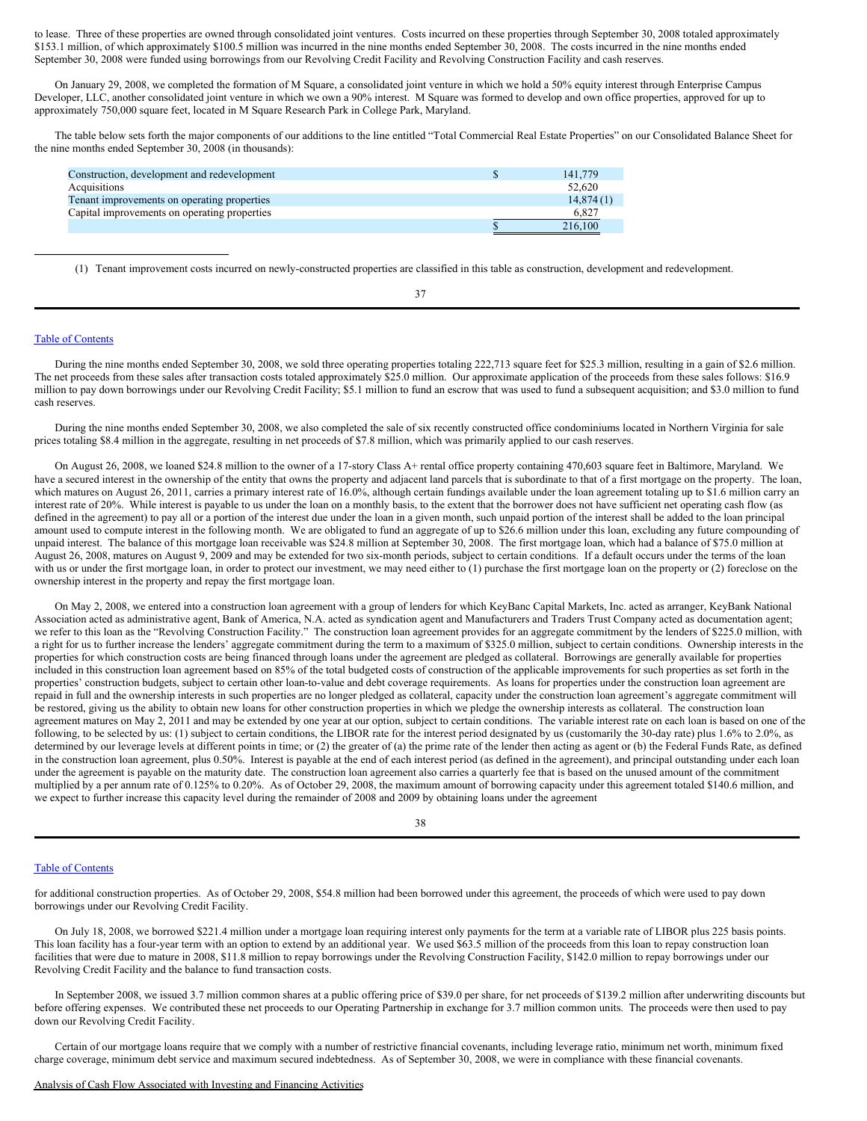to lease. Three of these properties are owned through consolidated joint ventures. Costs incurred on these properties through September 30, 2008 totaled approximately \$153.1 million, of which approximately \$100.5 million was incurred in the nine months ended September 30, 2008. The costs incurred in the nine months ended September 30, 2008 were funded using borrowings from our Revolving Credit Facility and Revolving Construction Facility and cash reserves.

On January 29, 2008, we completed the formation of M Square, a consolidated joint venture in which we hold a 50% equity interest through Enterprise Campus Developer, LLC, another consolidated joint venture in which we own a 90% interest. M Square was formed to develop and own office properties, approved for up to approximately 750,000 square feet, located in M Square Research Park in College Park, Maryland.

The table below sets forth the major components of our additions to the line entitled "Total Commercial Real Estate Properties" on our Consolidated Balance Sheet for the nine months ended September 30, 2008 (in thousands):

| 141,779   |
|-----------|
| 52,620    |
| 14.874(1) |
| 6.827     |
| 216,100   |
|           |

(1) Tenant improvement costs incurred on newly-constructed properties are classified in this table as construction, development and redevelopment.

# 37

### Table of [Contents](#page-0-0)

During the nine months ended September 30, 2008, we sold three operating properties totaling 222,713 square feet for \$25.3 million, resulting in a gain of \$2.6 million. The net proceeds from these sales after transaction costs totaled approximately \$25.0 million. Our approximate application of the proceeds from these sales follows: \$16.9 million to pay down borrowings under our Revolving Credit Facility; \$5.1 million to fund an escrow that was used to fund a subsequent acquisition; and \$3.0 million to fund cash reserves.

During the nine months ended September 30, 2008, we also completed the sale of six recently constructed office condominiums located in Northern Virginia for sale prices totaling \$8.4 million in the aggregate, resulting in net proceeds of \$7.8 million, which was primarily applied to our cash reserves.

On August 26, 2008, we loaned \$24.8 million to the owner of a 17-story Class A+ rental office property containing 470,603 square feet in Baltimore, Maryland. We have a secured interest in the ownership of the entity that owns the property and adjacent land parcels that is subordinate to that of a first mortgage on the property. The loan, which matures on August 26, 2011, carries a primary interest rate of 16.0%, although certain fundings available under the loan agreement totaling up to \$1.6 million carry an interest rate of 20%. While interest is payable to us under the loan on a monthly basis, to the extent that the borrower does not have sufficient net operating cash flow (as defined in the agreement) to pay all or a portion of the interest due under the loan in a given month, such unpaid portion of the interest shall be added to the loan principal amount used to compute interest in the following month. We are obligated to fund an aggregate of up to \$26.6 million under this loan, excluding any future compounding of unpaid interest. The balance of this mortgage loan receivable was \$24.8 million at September 30, 2008. The first mortgage loan, which had a balance of \$75.0 million at August 26, 2008, matures on August 9, 2009 and may be extended for two six-month periods, subject to certain conditions. If a default occurs under the terms of the loan with us or under the first mortgage loan, in order to protect our investment, we may need either to (1) purchase the first mortgage loan on the property or (2) foreclose on the ownership interest in the property and repay the first mortgage loan.

On May 2, 2008, we entered into a construction loan agreement with a group of lenders for which KeyBanc Capital Markets, Inc. acted as arranger, KeyBank National Association acted as administrative agent, Bank of America, N.A. acted as syndication agent and Manufacturers and Traders Trust Company acted as documentation agent; we refer to this loan as the "Revolving Construction Facility." The construction loan agreement provides for an aggregate commitment by the lenders of \$225.0 million, with a right for us to further increase the lenders' aggregate commitment during the term to a maximum of \$325.0 million, subject to certain conditions. Ownership interests in the properties for which construction costs are being financed through loans under the agreement are pledged as collateral. Borrowings are generally available for properties included in this construction loan agreement based on 85% of the total budgeted costs of construction of the applicable improvements for such properties as set forth in the properties' construction budgets, subject to certain other loan-to-value and debt coverage requirements. As loans for properties under the construction loan agreement are repaid in full and the ownership interests in such properties are no longer pledged as collateral, capacity under the construction loan agreement's aggregate commitment will be restored, giving us the ability to obtain new loans for other construction properties in which we pledge the ownership interests as collateral. The construction loan agreement matures on May 2, 2011 and may be extended by one year at our option, subject to certain conditions. The variable interest rate on each loan is based on one of the following, to be selected by us: (1) subject to certain conditions, the LIBOR rate for the interest period designated by us (customarily the 30-day rate) plus 1.6% to 2.0%, as determined by our leverage levels at different points in time; or (2) the greater of (a) the prime rate of the lender then acting as agent or (b) the Federal Funds Rate, as defined in the construction loan agreement, plus 0.50%. Interest is payable at the end of each interest period (as defined in the agreement), and principal outstanding under each loan under the agreement is payable on the maturity date. The construction loan agreement also carries a quarterly fee that is based on the unused amount of the commitment multiplied by a per annum rate of 0.125% to 0.20%. As of October 29, 2008, the maximum amount of borrowing capacity under this agreement totaled \$140.6 million, and we expect to further increase this capacity level during the remainder of 2008 and 2009 by obtaining loans under the agreement

# 38

# Table of [Contents](#page-0-0)

for additional construction properties. As of October 29, 2008, \$54.8 million had been borrowed under this agreement, the proceeds of which were used to pay down borrowings under our Revolving Credit Facility.

On July 18, 2008, we borrowed \$221.4 million under a mortgage loan requiring interest only payments for the term at a variable rate of LIBOR plus 225 basis points. This loan facility has a four-year term with an option to extend by an additional year. We used \$63.5 million of the proceeds from this loan to repay construction loan facilities that were due to mature in 2008, \$11.8 million to repay borrowings under the Revolving Construction Facility, \$142.0 million to repay borrowings under our Revolving Credit Facility and the balance to fund transaction costs.

In September 2008, we issued 3.7 million common shares at a public offering price of \$39.0 per share, for net proceeds of \$139.2 million after underwriting discounts but before offering expenses. We contributed these net proceeds to our Operating Partnership in exchange for 3.7 million common units. The proceeds were then used to pay down our Revolving Credit Facility.

Certain of our mortgage loans require that we comply with a number of restrictive financial covenants, including leverage ratio, minimum net worth, minimum fixed charge coverage, minimum debt service and maximum secured indebtedness. As of September 30, 2008, we were in compliance with these financial covenants.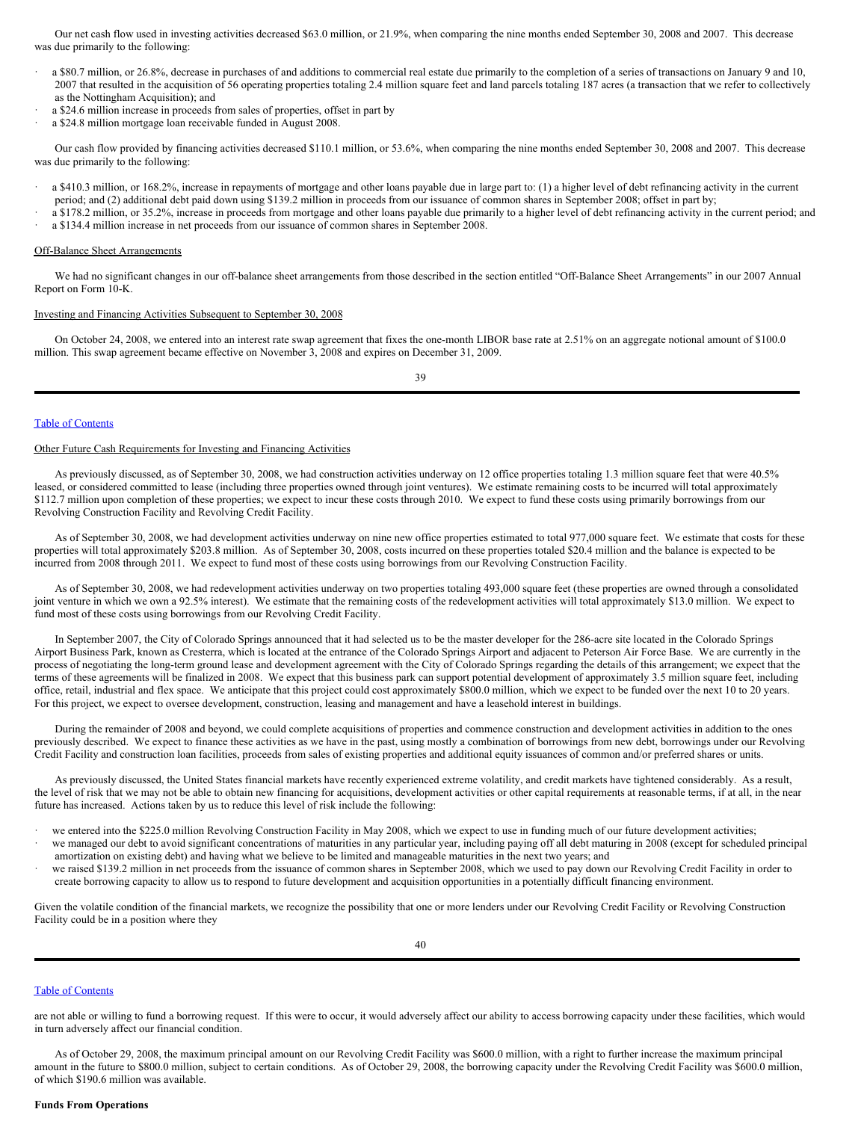Our net cash flow used in investing activities decreased \$63.0 million, or 21.9%, when comparing the nine months ended September 30, 2008 and 2007. This decrease was due primarily to the following:

- · a \$80.7 million, or 26.8%, decrease in purchases of and additions to commercial real estate due primarily to the completion of a series of transactions on January 9 and 10, 2007 that resulted in the acquisition of 56 operating properties totaling 2.4 million square feet and land parcels totaling 187 acres (a transaction that we refer to collectively as the Nottingham Acquisition); and
- a \$24.6 million increase in proceeds from sales of properties, offset in part by
- a \$24.8 million mortgage loan receivable funded in August 2008.

Our cash flow provided by financing activities decreased \$110.1 million, or 53.6%, when comparing the nine months ended September 30, 2008 and 2007. This decrease was due primarily to the following:

- a \$410.3 million, or 168.2%, increase in repayments of mortgage and other loans payable due in large part to: (1) a higher level of debt refinancing activity in the current period; and (2) additional debt paid down using \$139.2 million in proceeds from our issuance of common shares in September 2008; offset in part by;
- a \$178.2 million, or 35.2%, increase in proceeds from mortgage and other loans payable due primarily to a higher level of debt refinancing activity in the current period; and · a \$134.4 million increase in net proceeds from our issuance of common shares in September 2008.

### Off-Balance Sheet Arrangements

We had no significant changes in our off-balance sheet arrangements from those described in the section entitled "Off-Balance Sheet Arrangements" in our 2007 Annual Report on Form 10-K.

### Investing and Financing Activities Subsequent to September 30, 2008

On October 24, 2008, we entered into an interest rate swap agreement that fixes the one-month LIBOR base rate at 2.51% on an aggregate notional amount of \$100.0 million. This swap agreement became effective on November 3, 2008 and expires on December 31, 2009.

39

### Table of [Contents](#page-0-0)

### Other Future Cash Requirements for Investing and Financing Activities

As previously discussed, as of September 30, 2008, we had construction activities underway on 12 office properties totaling 1.3 million square feet that were 40.5% leased, or considered committed to lease (including three properties owned through joint ventures). We estimate remaining costs to be incurred will total approximately \$112.7 million upon completion of these properties; we expect to incur these costs through 2010. We expect to fund these costs using primarily borrowings from our Revolving Construction Facility and Revolving Credit Facility.

As of September 30, 2008, we had development activities underway on nine new office properties estimated to total 977,000 square feet. We estimate that costs for these properties will total approximately \$203.8 million. As of September 30, 2008, costs incurred on these properties totaled \$20.4 million and the balance is expected to be incurred from 2008 through 2011. We expect to fund most of these costs using borrowings from our Revolving Construction Facility.

As of September 30, 2008, we had redevelopment activities underway on two properties totaling 493,000 square feet (these properties are owned through a consolidated joint venture in which we own a 92.5% interest). We estimate that the remaining costs of the redevelopment activities will total approximately \$13.0 million. We expect to fund most of these costs using borrowings from our Revolving Credit Facility.

In September 2007, the City of Colorado Springs announced that it had selected us to be the master developer for the 286-acre site located in the Colorado Springs Airport Business Park, known as Cresterra, which is located at the entrance of the Colorado Springs Airport and adjacent to Peterson Air Force Base. We are currently in the process of negotiating the long-term ground lease and development agreement with the City of Colorado Springs regarding the details of this arrangement; we expect that the terms of these agreements will be finalized in 2008. We expect that this business park can support potential development of approximately 3.5 million square feet, including office, retail, industrial and flex space. We anticipate that this project could cost approximately \$800.0 million, which we expect to be funded over the next 10 to 20 years. For this project, we expect to oversee development, construction, leasing and management and have a leasehold interest in buildings.

During the remainder of 2008 and beyond, we could complete acquisitions of properties and commence construction and development activities in addition to the ones previously described. We expect to finance these activities as we have in the past, using mostly a combination of borrowings from new debt, borrowings under our Revolving Credit Facility and construction loan facilities, proceeds from sales of existing properties and additional equity issuances of common and/or preferred shares or units.

As previously discussed, the United States financial markets have recently experienced extreme volatility, and credit markets have tightened considerably. As a result, the level of risk that we may not be able to obtain new financing for acquisitions, development activities or other capital requirements at reasonable terms, if at all, in the near future has increased. Actions taken by us to reduce this level of risk include the following:

- we entered into the \$225.0 million Revolving Construction Facility in May 2008, which we expect to use in funding much of our future development activities;
- we managed our debt to avoid significant concentrations of maturities in any particular year, including paying off all debt maturing in 2008 (except for scheduled principal amortization on existing debt) and having what we believe to be limited and manageable maturities in the next two years; and
- · we raised \$139.2 million in net proceeds from the issuance of common shares in September 2008, which we used to pay down our Revolving Credit Facility in order to create borrowing capacity to allow us to respond to future development and acquisition opportunities in a potentially difficult financing environment.

Given the volatile condition of the financial markets, we recognize the possibility that one or more lenders under our Revolving Credit Facility or Revolving Construction Facility could be in a position where they

### Table of [Contents](#page-0-0)

are not able or willing to fund a borrowing request. If this were to occur, it would adversely affect our ability to access borrowing capacity under these facilities, which would in turn adversely affect our financial condition.

As of October 29, 2008, the maximum principal amount on our Revolving Credit Facility was \$600.0 million, with a right to further increase the maximum principal amount in the future to \$800.0 million, subject to certain conditions. As of October 29, 2008, the borrowing capacity under the Revolving Credit Facility was \$600.0 million, of which \$190.6 million was available.

### **Funds From Operations**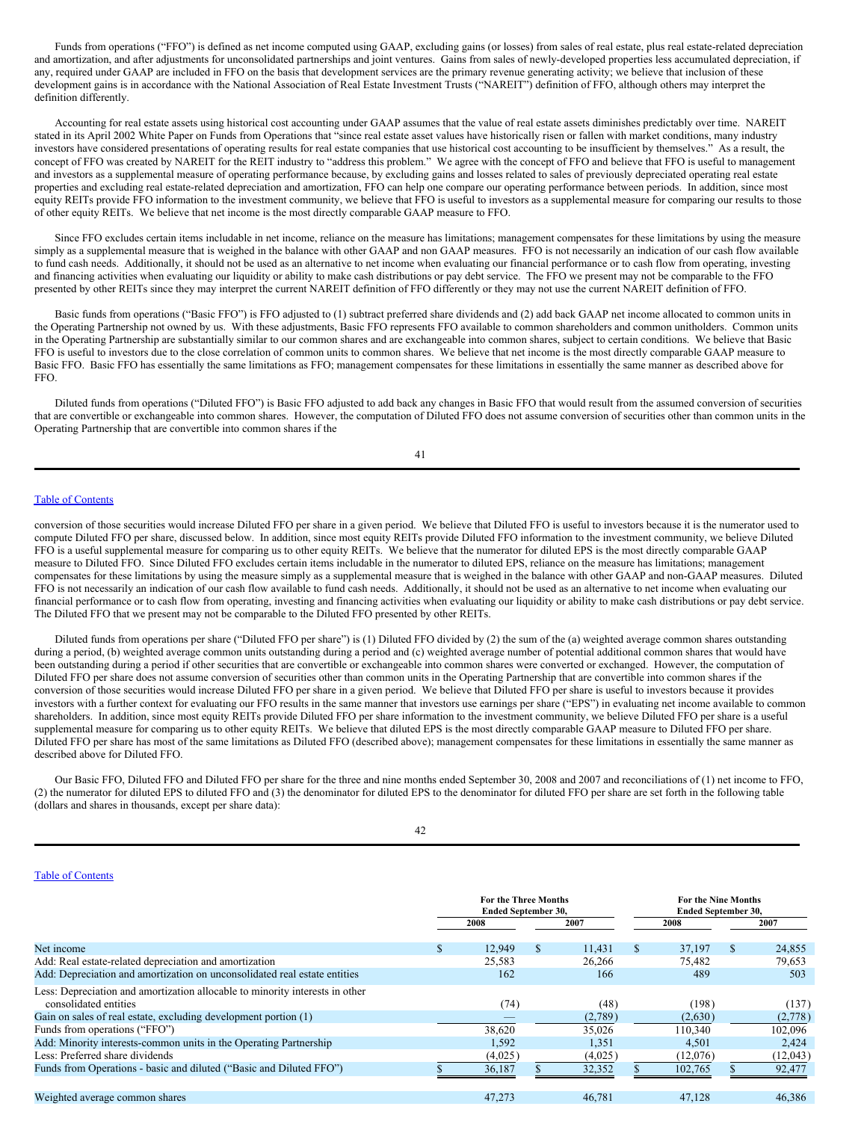Funds from operations ("FFO") is defined as net income computed using GAAP, excluding gains (or losses) from sales of real estate, plus real estate-related depreciation and amortization, and after adjustments for unconsolidated partnerships and joint ventures. Gains from sales of newly-developed properties less accumulated depreciation, if any, required under GAAP are included in FFO on the basis that development services are the primary revenue generating activity; we believe that inclusion of these development gains is in accordance with the National Association of Real Estate Investment Trusts ("NAREIT") definition of FFO, although others may interpret the definition differently.

Accounting for real estate assets using historical cost accounting under GAAP assumes that the value of real estate assets diminishes predictably over time. NAREIT stated in its April 2002 White Paper on Funds from Operations that "since real estate asset values have historically risen or fallen with market conditions, many industry investors have considered presentations of operating results for real estate companies that use historical cost accounting to be insufficient by themselves." As a result, the concept of FFO was created by NAREIT for the REIT industry to "address this problem." We agree with the concept of FFO and believe that FFO is useful to management and investors as a supplemental measure of operating performance because, by excluding gains and losses related to sales of previously depreciated operating real estate properties and excluding real estate-related depreciation and amortization, FFO can help one compare our operating performance between periods. In addition, since most equity REITs provide FFO information to the investment community, we believe that FFO is useful to investors as a supplemental measure for comparing our results to those of other equity REITs. We believe that net income is the most directly comparable GAAP measure to FFO.

Since FFO excludes certain items includable in net income, reliance on the measure has limitations; management compensates for these limitations by using the measure simply as a supplemental measure that is weighed in the balance with other GAAP and non GAAP measures. FFO is not necessarily an indication of our cash flow available to fund cash needs. Additionally, it should not be used as an alternative to net income when evaluating our financial performance or to cash flow from operating, investing and financing activities when evaluating our liquidity or ability to make cash distributions or pay debt service. The FFO we present may not be comparable to the FFO presented by other REITs since they may interpret the current NAREIT definition of FFO differently or they may not use the current NAREIT definition of FFO.

Basic funds from operations ("Basic FFO") is FFO adjusted to (1) subtract preferred share dividends and (2) add back GAAP net income allocated to common units in the Operating Partnership not owned by us. With these adjustments, Basic FFO represents FFO available to common shareholders and common unitholders. Common units in the Operating Partnership are substantially similar to our common shares and are exchangeable into common shares, subject to certain conditions. We believe that Basic FFO is useful to investors due to the close correlation of common units to common shares. We believe that net income is the most directly comparable GAAP measure to Basic FFO. Basic FFO has essentially the same limitations as FFO; management compensates for these limitations in essentially the same manner as described above for FFO.

Diluted funds from operations ("Diluted FFO") is Basic FFO adjusted to add back any changes in Basic FFO that would result from the assumed conversion of securities that are convertible or exchangeable into common shares. However, the computation of Diluted FFO does not assume conversion of securities other than common units in the Operating Partnership that are convertible into common shares if the

41

## Table of [Contents](#page-0-0)

conversion of those securities would increase Diluted FFO per share in a given period. We believe that Diluted FFO is useful to investors because it is the numerator used to compute Diluted FFO per share, discussed below. In addition, since most equity REITs provide Diluted FFO information to the investment community, we believe Diluted FFO is a useful supplemental measure for comparing us to other equity REITs. We believe that the numerator for diluted EPS is the most directly comparable GAAP measure to Diluted FFO. Since Diluted FFO excludes certain items includable in the numerator to diluted EPS, reliance on the measure has limitations; management compensates for these limitations by using the measure simply as a supplemental measure that is weighed in the balance with other GAAP and non-GAAP measures. Diluted FFO is not necessarily an indication of our cash flow available to fund cash needs. Additionally, it should not be used as an alternative to net income when evaluating our financial performance or to cash flow from operating, investing and financing activities when evaluating our liquidity or ability to make cash distributions or pay debt service. The Diluted FFO that we present may not be comparable to the Diluted FFO presented by other REITs.

Diluted funds from operations per share ("Diluted FFO per share") is (1) Diluted FFO divided by (2) the sum of the (a) weighted average common shares outstanding during a period, (b) weighted average common units outstanding during a period and (c) weighted average number of potential additional common shares that would have been outstanding during a period if other securities that are convertible or exchangeable into common shares were converted or exchanged. However, the computation of Diluted FFO per share does not assume conversion of securities other than common units in the Operating Partnership that are convertible into common shares if the conversion of those securities would increase Diluted FFO per share in a given period. We believe that Diluted FFO per share is useful to investors because it provides investors with a further context for evaluating our FFO results in the same manner that investors use earnings per share ("EPS") in evaluating net income available to common shareholders. In addition, since most equity REITs provide Diluted FFO per share information to the investment community, we believe Diluted FFO per share is a useful supplemental measure for comparing us to other equity REITs. We believe that diluted EPS is the most directly comparable GAAP measure to Diluted FFO per share. Diluted FFO per share has most of the same limitations as Diluted FFO (described above); management compensates for these limitations in essentially the same manner as described above for Diluted FFO.

Our Basic FFO, Diluted FFO and Diluted FFO per share for the three and nine months ended September 30, 2008 and 2007 and reconciliations of (1) net income to FFO, (2) the numerator for diluted EPS to diluted FFO and (3) the denominator for diluted EPS to the denominator for diluted FFO per share are set forth in the following table (dollars and shares in thousands, except per share data):

## Table of [Contents](#page-0-0)

|                                                                                                       |    | <b>For the Three Months</b><br>Ended September 30, |               |         |    | <b>For the Nine Months</b><br>Ended September 30, |    |          |  |
|-------------------------------------------------------------------------------------------------------|----|----------------------------------------------------|---------------|---------|----|---------------------------------------------------|----|----------|--|
|                                                                                                       |    | 2008                                               |               | 2007    |    | 2008                                              |    | 2007     |  |
| Net income                                                                                            | S. | 12.949                                             | $\mathcal{S}$ | 11.431  | S. | 37,197                                            | S. | 24,855   |  |
| Add: Real estate-related depreciation and amortization                                                |    | 25,583                                             |               | 26,266  |    | 75,482                                            |    | 79,653   |  |
| Add: Depreciation and amortization on unconsolidated real estate entities                             |    | 162                                                |               | 166     |    | 489                                               |    | 503      |  |
| Less: Depreciation and amortization allocable to minority interests in other<br>consolidated entities |    | (74)                                               |               | (48)    |    | (198)                                             |    | (137)    |  |
| Gain on sales of real estate, excluding development portion (1)                                       |    |                                                    |               | (2,789) |    | (2,630)                                           |    | (2,778)  |  |
| Funds from operations ("FFO")                                                                         |    | 38,620                                             |               | 35,026  |    | 110,340                                           |    | 102,096  |  |
| Add: Minority interests-common units in the Operating Partnership                                     |    | 1,592                                              |               | 1,351   |    | 4,501                                             |    | 2,424    |  |
| Less: Preferred share dividends                                                                       |    | (4,025)                                            |               | (4,025) |    | (12,076)                                          |    | (12,043) |  |
| Funds from Operations - basic and diluted ("Basic and Diluted FFO")                                   |    | 36,187                                             |               | 32,352  |    | 102,765                                           |    | 92,477   |  |
| Weighted average common shares                                                                        |    | 47.273                                             |               | 46.781  |    | 47.128                                            |    | 46.386   |  |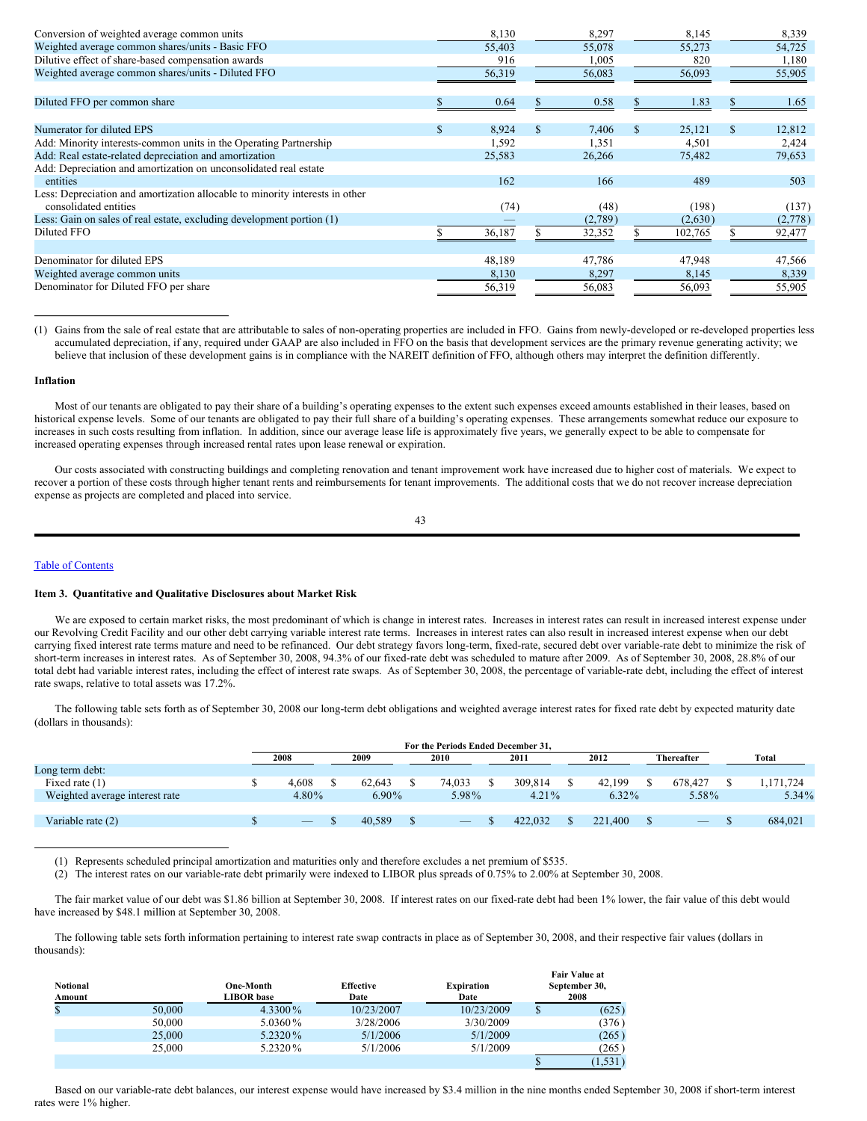| Conversion of weighted average common units                                  | 8,130  |              | 8,297   |              | 8,145   |    | 8,339   |
|------------------------------------------------------------------------------|--------|--------------|---------|--------------|---------|----|---------|
| Weighted average common shares/units - Basic FFO                             | 55,403 |              | 55,078  |              | 55,273  |    | 54,725  |
| Dilutive effect of share-based compensation awards                           | 916    |              | 1,005   |              | 820     |    | 1,180   |
| Weighted average common shares/units - Diluted FFO                           | 56,319 |              | 56,083  |              | 56,093  |    | 55,905  |
|                                                                              | 0.64   |              | 0.58    |              | 1.83    |    | 1.65    |
| Diluted FFO per common share                                                 |        |              |         |              |         |    |         |
| Numerator for diluted EPS                                                    | 8,924  | $\mathbb{S}$ | 7,406   | <sup>S</sup> | 25,121  | S. | 12,812  |
| Add: Minority interests-common units in the Operating Partnership            | 1,592  |              | 1,351   |              | 4,501   |    | 2,424   |
| Add: Real estate-related depreciation and amortization                       | 25,583 |              | 26,266  |              | 75,482  |    | 79,653  |
| Add: Depreciation and amortization on unconsolidated real estate             |        |              |         |              |         |    |         |
| entities                                                                     | 162    |              | 166     |              | 489     |    | 503     |
| Less: Depreciation and amortization allocable to minority interests in other |        |              |         |              |         |    |         |
| consolidated entities                                                        | (74)   |              | (48)    |              | (198)   |    | (137)   |
| Less: Gain on sales of real estate, excluding development portion (1)        |        |              | (2,789) |              | (2,630) |    | (2,778) |
| Diluted FFO                                                                  | 36,187 |              | 32,352  |              | 102,765 |    | 92,477  |
| Denominator for diluted EPS                                                  | 48,189 |              | 47,786  |              | 47,948  |    | 47,566  |
| Weighted average common units.                                               | 8,130  |              | 8,297   |              | 8,145   |    | 8,339   |
| Denominator for Diluted FFO per share                                        | 56,319 |              | 56,083  |              | 56,093  |    | 55,905  |

(1) Gains from the sale of real estate that are attributable to sales of non-operating properties are included in FFO. Gains from newly-developed or re-developed properties less accumulated depreciation, if any, required under GAAP are also included in FFO on the basis that development services are the primary revenue generating activity; we believe that inclusion of these development gains is in compliance with the NAREIT definition of FFO, although others may interpret the definition differently.

### **Inflation**

Most of our tenants are obligated to pay their share of a building's operating expenses to the extent such expenses exceed amounts established in their leases, based on historical expense levels. Some of our tenants are obligated to pay their full share of a building's operating expenses. These arrangements somewhat reduce our exposure to increases in such costs resulting from inflation. In addition, since our average lease life is approximately five years, we generally expect to be able to compensate for increased operating expenses through increased rental rates upon lease renewal or expiration.

Our costs associated with constructing buildings and completing renovation and tenant improvement work have increased due to higher cost of materials. We expect to recover a portion of these costs through higher tenant rents and reimbursements for tenant improvements. The additional costs that we do not recover increase depreciation expense as projects are completed and placed into service.

<span id="page-25-0"></span>

# Table of [Contents](#page-0-0)

### **Item 3. Quantitative and Qualitative Disclosures about Market Risk**

We are exposed to certain market risks, the most predominant of which is change in interest rates. Increases in interest rates can result in increased interest expense under our Revolving Credit Facility and our other debt carrying variable interest rate terms. Increases in interest rates can also result in increased interest expense when our debt carrying fixed interest rate terms mature and need to be refinanced. Our debt strategy favors long-term, fixed-rate, secured debt over variable-rate debt to minimize the risk of short-term increases in interest rates. As of September 30, 2008, 94.3% of our fixed-rate debt was scheduled to mature after 2009. As of September 30, 2008, 28.8% of our total debt had variable interest rates, including the effect of interest rate swaps. As of September 30, 2008, the percentage of variable-rate debt, including the effect of interest rate swaps, relative to total assets was 17.2%.

The following table sets forth as of September 30, 2008 our long-term debt obligations and weighted average interest rates for fixed rate debt by expected maturity date (dollars in thousands):

| For the Periods Ended December 31. |  |        |  |                          |  |         |  |         |          |                   |          |
|------------------------------------|--|--------|--|--------------------------|--|---------|--|---------|----------|-------------------|----------|
| 2008                               |  | 2009   |  | 2010                     |  | 2011    |  | 2012    |          |                   | Total    |
|                                    |  |        |  |                          |  |         |  |         |          |                   |          |
| 4.608                              |  | 62.643 |  | 74.033                   |  | 309.814 |  | 42.199  | 678.427  |                   | ,171,724 |
| 4.80%                              |  |        |  |                          |  |         |  |         |          |                   | $5.34\%$ |
|                                    |  |        |  |                          |  |         |  |         |          |                   |          |
| $\qquad \qquad - \qquad$           |  | 40.589 |  | $\qquad \qquad - \qquad$ |  | 422,032 |  | 221,400 | $-$      |                   | 684,021  |
|                                    |  |        |  | $6.90\%$                 |  | 5.98%   |  | 4.21%   | $6.32\%$ | <b>Thereafter</b> | 5.58%    |

(1) Represents scheduled principal amortization and maturities only and therefore excludes a net premium of \$535.

(2) The interest rates on our variable-rate debt primarily were indexed to LIBOR plus spreads of 0.75% to 2.00% at September 30, 2008.

The fair market value of our debt was \$1.86 billion at September 30, 2008. If interest rates on our fixed-rate debt had been 1% lower, the fair value of this debt would have increased by \$48.1 million at September 30, 2008.

The following table sets forth information pertaining to interest rate swap contracts in place as of September 30, 2008, and their respective fair values (dollars in thousands):

| Notional<br>Amount |        | One-Month<br><b>LIBOR</b> base | <b>Effective</b><br>Date | <b>Expiration</b><br>Date | <b>Fair Value at</b><br>September 30,<br>2008 |
|--------------------|--------|--------------------------------|--------------------------|---------------------------|-----------------------------------------------|
| \$                 | 50,000 | $4.3300\%$                     | 10/23/2007               | 10/23/2009                | (625)                                         |
|                    | 50,000 | $5.0360\%$                     | 3/28/2006                | 3/30/2009                 | (376)                                         |
|                    | 25,000 | 5.2320 %                       | 5/1/2006                 | 5/1/2009                  | (265)                                         |
|                    | 25,000 | 5.2320 %                       | 5/1/2006                 | 5/1/2009                  | (265)                                         |
|                    |        |                                |                          |                           | (1, 531)                                      |

Based on our variable-rate debt balances, our interest expense would have increased by \$3.4 million in the nine months ended September 30, 2008 if short-term interest rates were 1% higher.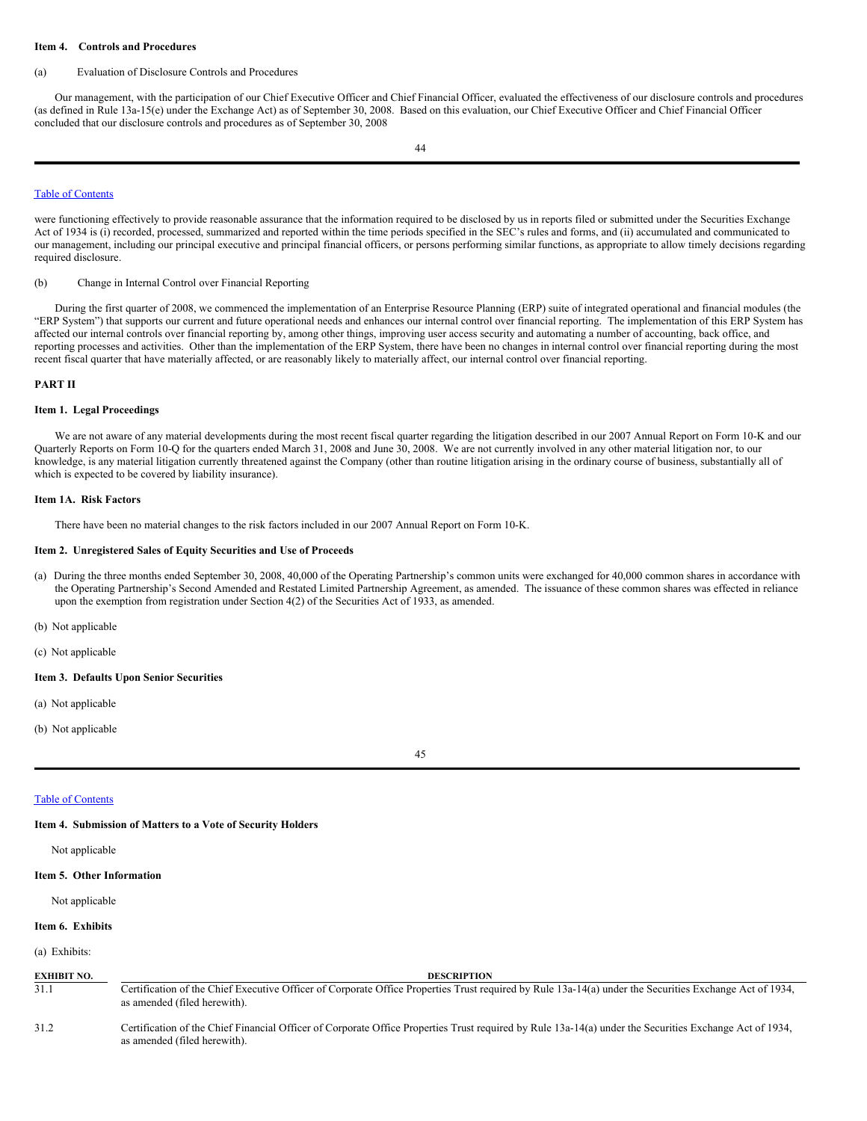### <span id="page-26-0"></span>**Item 4. Controls and Procedures**

#### (a) Evaluation of Disclosure Controls and Procedures

Our management, with the participation of our Chief Executive Officer and Chief Financial Officer, evaluated the effectiveness of our disclosure controls and procedures (as defined in Rule 13a-15(e) under the Exchange Act) as of September 30, 2008. Based on this evaluation, our Chief Executive Officer and Chief Financial Officer concluded that our disclosure controls and procedures as of September 30, 2008

# Table of [Contents](#page-0-0)

were functioning effectively to provide reasonable assurance that the information required to be disclosed by us in reports filed or submitted under the Securities Exchange Act of 1934 is (i) recorded, processed, summarized and reported within the time periods specified in the SEC's rules and forms, and (ii) accumulated and communicated to our management, including our principal executive and principal financial officers, or persons performing similar functions, as appropriate to allow timely decisions regarding required disclosure.

### (b) Change in Internal Control over Financial Reporting

During the first quarter of 2008, we commenced the implementation of an Enterprise Resource Planning (ERP) suite of integrated operational and financial modules (the "ERP System") that supports our current and future operational needs and enhances our internal control over financial reporting. The implementation of this ERP System has affected our internal controls over financial reporting by, among other things, improving user access security and automating a number of accounting, back office, and reporting processes and activities. Other than the implementation of the ERP System, there have been no changes in internal control over financial reporting during the most recent fiscal quarter that have materially affected, or are reasonably likely to materially affect, our internal control over financial reporting.

#### <span id="page-26-1"></span>**PART II**

### <span id="page-26-2"></span>**Item 1. Legal Proceedings**

We are not aware of any material developments during the most recent fiscal quarter regarding the litigation described in our 2007 Annual Report on Form 10-K and our Quarterly Reports on Form 10-Q for the quarters ended March 31, 2008 and June 30, 2008. We are not currently involved in any other material litigation nor, to our knowledge, is any material litigation currently threatened against the Company (other than routine litigation arising in the ordinary course of business, substantially all of which is expected to be covered by liability insurance).

#### **Item 1A. Risk Factors**

<span id="page-26-3"></span>There have been no material changes to the risk factors included in our 2007 Annual Report on Form 10-K.

### **Item 2. Unregistered Sales of Equity Securities and Use of Proceeds**

(a) During the three months ended September 30, 2008, 40,000 of the Operating Partnership's common units were exchanged for 40,000 common shares in accordance with the Operating Partnership's Second Amended and Restated Limited Partnership Agreement, as amended. The issuance of these common shares was effected in reliance upon the exemption from registration under Section 4(2) of the Securities Act of 1933, as amended.

(b) Not applicable

(c) Not applicable

<span id="page-26-5"></span>**Item 3. Defaults Upon Senior Securities**

(a) Not applicable

(b) Not applicable

<span id="page-26-6"></span><span id="page-26-4"></span>45

# Table of [Contents](#page-0-0)

## **Item 4. Submission of Matters to a Vote of Security Holders**

<span id="page-26-7"></span>Not applicable

# **Item 5. Other Information**

<span id="page-26-8"></span>Not applicable

# **Item 6. Exhibits**

(a) Exhibits:

| <b>EXHIBIT NO.</b> | <b>DESCRIPTION</b>                                                                                                                                                                      |
|--------------------|-----------------------------------------------------------------------------------------------------------------------------------------------------------------------------------------|
| 31.1               | Certification of the Chief Executive Officer of Corporate Office Properties Trust required by Rule 13a-14(a) under the Securities Exchange Act of 1934,<br>as amended (filed herewith). |
| 31.2               | Certification of the Chief Financial Officer of Corporate Office Properties Trust required by Rule 13a-14(a) under the Securities Exchange Act of 1934,<br>as amended (filed herewith). |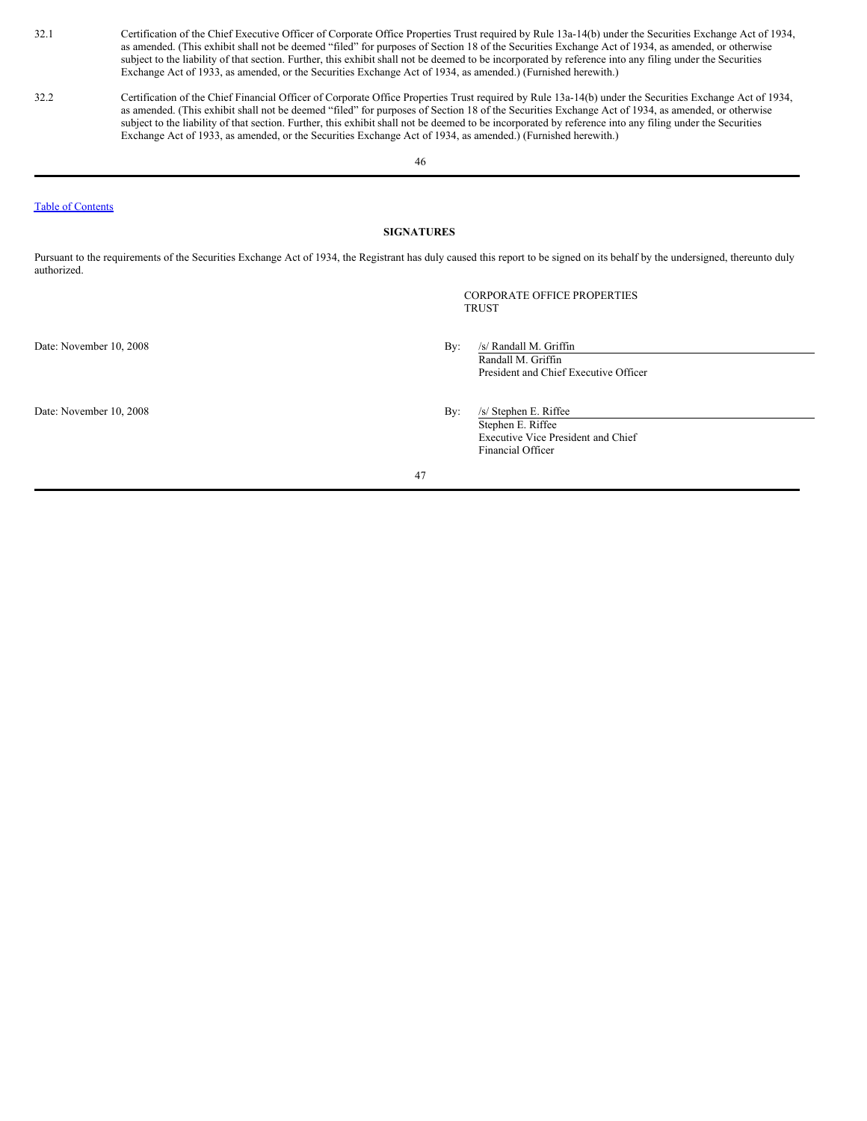32.1 Certification of the Chief Executive Officer of Corporate Office Properties Trust required by Rule 13a-14(b) under the Securities Exchange Act of 1934, as amended. (This exhibit shall not be deemed "filed" for purposes of Section 18 of the Securities Exchange Act of 1934, as amended, or otherwise subject to the liability of that section. Further, this exhibit shall not be deemed to be incorporated by reference into any filing under the Securities Exchange Act of 1933, as amended, or the Securities Exchange Act of 1934, as amended.) (Furnished herewith.)

32.2 Certification of the Chief Financial Officer of Corporate Office Properties Trust required by Rule 13a-14(b) under the Securities Exchange Act of 1934, as amended. (This exhibit shall not be deemed "filed" for purposes of Section 18 of the Securities Exchange Act of 1934, as amended, or otherwise subject to the liability of that section. Further, this exhibit shall not be deemed to be incorporated by reference into any filing under the Securities Exchange Act of 1933, as amended, or the Securities Exchange Act of 1934, as amended.) (Furnished herewith.)

### Table of [Contents](#page-0-0)

# **SIGNATURES**

Pursuant to the requirements of the Securities Exchange Act of 1934, the Registrant has duly caused this report to be signed on its behalf by the undersigned, thereunto duly authorized.

> <span id="page-27-0"></span>CORPORATE OFFICE PROPERTIES TRUST

Date: November 10, 2008 By: /s/ Stephen E. Riffee

- Date: November 10, 2008 By: /s/ Randall M. Griffin Randall M. Griffin President and Chief Executive Officer
	- Stephen E. Riffee Executive Vice President and Chief Financial Officer

47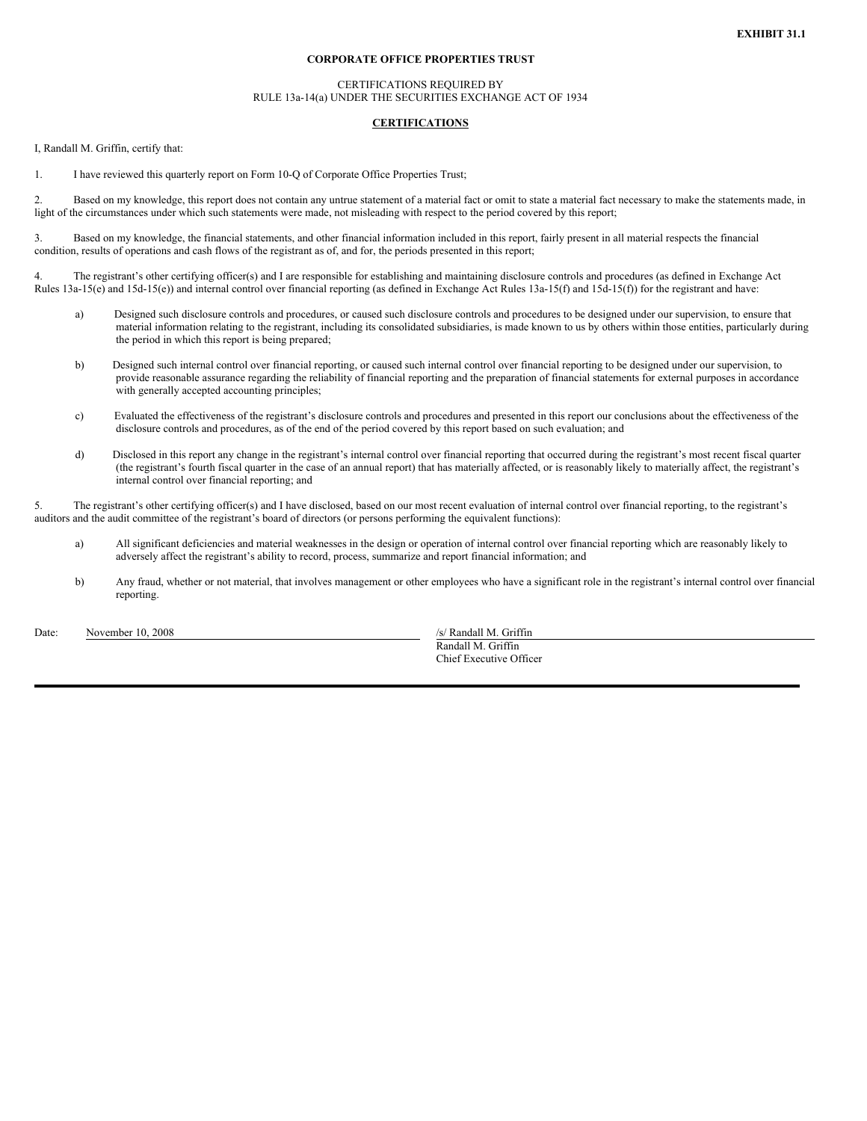# CERTIFICATIONS REQUIRED BY RULE 13a-14(a) UNDER THE SECURITIES EXCHANGE ACT OF 1934

### **CERTIFICATIONS**

I, Randall M. Griffin, certify that:

1. I have reviewed this quarterly report on Form 10-Q of Corporate Office Properties Trust;

2. Based on my knowledge, this report does not contain any untrue statement of a material fact or omit to state a material fact necessary to make the statements made, in light of the circumstances under which such statements were made, not misleading with respect to the period covered by this report;

3. Based on my knowledge, the financial statements, and other financial information included in this report, fairly present in all material respects the financial condition, results of operations and cash flows of the registrant as of, and for, the periods presented in this report;

4. The registrant's other certifying officer(s) and I are responsible for establishing and maintaining disclosure controls and procedures (as defined in Exchange Act Rules 13a-15(e) and 15d-15(e)) and internal control over financial reporting (as defined in Exchange Act Rules 13a-15(f) and 15d-15(f)) for the registrant and have:

- a) Designed such disclosure controls and procedures, or caused such disclosure controls and procedures to be designed under our supervision, to ensure that material information relating to the registrant, including its consolidated subsidiaries, is made known to us by others within those entities, particularly during the period in which this report is being prepared;
- b) Designed such internal control over financial reporting, or caused such internal control over financial reporting to be designed under our supervision, to provide reasonable assurance regarding the reliability of financial reporting and the preparation of financial statements for external purposes in accordance with generally accepted accounting principles;
- c) Evaluated the effectiveness of the registrant's disclosure controls and procedures and presented in this report our conclusions about the effectiveness of the disclosure controls and procedures, as of the end of the period covered by this report based on such evaluation; and
- d) Disclosed in this report any change in the registrant's internal control over financial reporting that occurred during the registrant's most recent fiscal quarter (the registrant's fourth fiscal quarter in the case of an annual report) that has materially affected, or is reasonably likely to materially affect, the registrant's internal control over financial reporting; and

5. The registrant's other certifying officer(s) and I have disclosed, based on our most recent evaluation of internal control over financial reporting, to the registrant's auditors and the audit committee of the registrant's board of directors (or persons performing the equivalent functions):

- a) All significant deficiencies and material weaknesses in the design or operation of internal control over financial reporting which are reasonably likely to adversely affect the registrant's ability to record, process, summarize and report financial information; and
- b) Any fraud, whether or not material, that involves management or other employees who have a significant role in the registrant's internal control over financial reporting.

Date: November 10, 2008 /s/ Randall M. Griffin

Randall M. Griffin Chief Executive Officer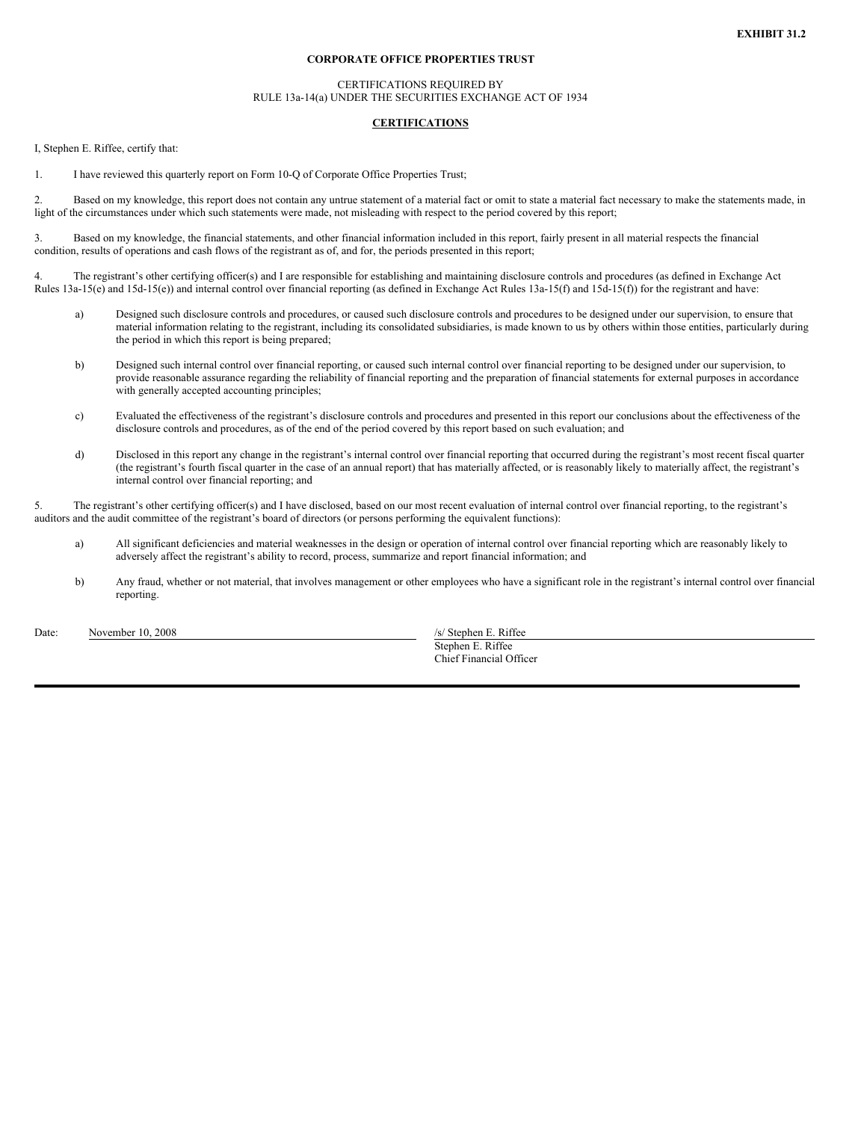# CERTIFICATIONS REQUIRED BY RULE 13a-14(a) UNDER THE SECURITIES EXCHANGE ACT OF 1934

### **CERTIFICATIONS**

I, Stephen E. Riffee, certify that:

1. I have reviewed this quarterly report on Form 10-Q of Corporate Office Properties Trust;

2. Based on my knowledge, this report does not contain any untrue statement of a material fact or omit to state a material fact necessary to make the statements made, in light of the circumstances under which such statements were made, not misleading with respect to the period covered by this report;

3. Based on my knowledge, the financial statements, and other financial information included in this report, fairly present in all material respects the financial condition, results of operations and cash flows of the registrant as of, and for, the periods presented in this report;

4. The registrant's other certifying officer(s) and I are responsible for establishing and maintaining disclosure controls and procedures (as defined in Exchange Act Rules 13a-15(e) and 15d-15(e)) and internal control over financial reporting (as defined in Exchange Act Rules 13a-15(f) and 15d-15(f)) for the registrant and have:

- a) Designed such disclosure controls and procedures, or caused such disclosure controls and procedures to be designed under our supervision, to ensure that material information relating to the registrant, including its consolidated subsidiaries, is made known to us by others within those entities, particularly during the period in which this report is being prepared;
- b) Designed such internal control over financial reporting, or caused such internal control over financial reporting to be designed under our supervision, to provide reasonable assurance regarding the reliability of financial reporting and the preparation of financial statements for external purposes in accordance with generally accepted accounting principles;
- c) Evaluated the effectiveness of the registrant's disclosure controls and procedures and presented in this report our conclusions about the effectiveness of the disclosure controls and procedures, as of the end of the period covered by this report based on such evaluation; and
- d) Disclosed in this report any change in the registrant's internal control over financial reporting that occurred during the registrant's most recent fiscal quarter (the registrant's fourth fiscal quarter in the case of an annual report) that has materially affected, or is reasonably likely to materially affect, the registrant's internal control over financial reporting; and

5. The registrant's other certifying officer(s) and I have disclosed, based on our most recent evaluation of internal control over financial reporting, to the registrant's auditors and the audit committee of the registrant's board of directors (or persons performing the equivalent functions):

- a) All significant deficiencies and material weaknesses in the design or operation of internal control over financial reporting which are reasonably likely to adversely affect the registrant's ability to record, process, summarize and report financial information; and
- b) Any fraud, whether or not material, that involves management or other employees who have a significant role in the registrant's internal control over financial reporting.

Date: November 10, 2008 /s/ Stephen E. Riffee

Stephen E. Riffee Chief Financial Officer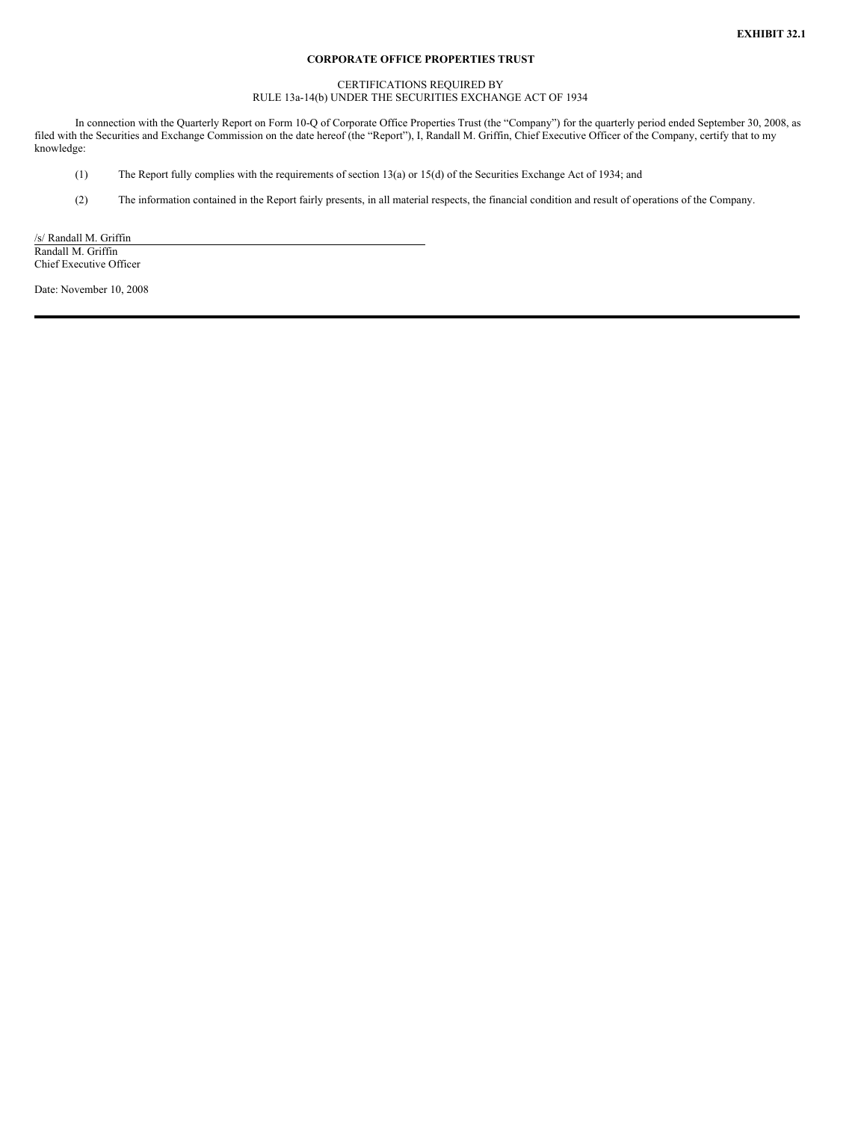# CERTIFICATIONS REQUIRED BY RULE 13a-14(b) UNDER THE SECURITIES EXCHANGE ACT OF 1934

In connection with the Quarterly Report on Form 10-Q of Corporate Office Properties Trust (the "Company") for the quarterly period ended September 30, 2008, as filed with the Securities and Exchange Commission on the date hereof (the "Report"), I, Randall M. Griffin, Chief Executive Officer of the Company, certify that to my knowledge:

- (1) The Report fully complies with the requirements of section 13(a) or 15(d) of the Securities Exchange Act of 1934; and
- (2) The information contained in the Report fairly presents, in all material respects, the financial condition and result of operations of the Company.

/s/ Randall M. Griffin Randall M. Griffin Chief Executive Officer

Date: November 10, 2008